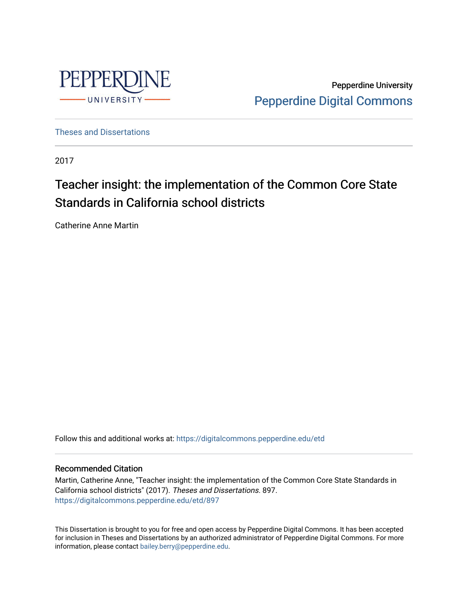

Pepperdine University [Pepperdine Digital Commons](https://digitalcommons.pepperdine.edu/) 

[Theses and Dissertations](https://digitalcommons.pepperdine.edu/etd)

2017

# Teacher insight: the implementation of the Common Core State Standards in California school districts

Catherine Anne Martin

Follow this and additional works at: [https://digitalcommons.pepperdine.edu/etd](https://digitalcommons.pepperdine.edu/etd?utm_source=digitalcommons.pepperdine.edu%2Fetd%2F897&utm_medium=PDF&utm_campaign=PDFCoverPages) 

#### Recommended Citation

Martin, Catherine Anne, "Teacher insight: the implementation of the Common Core State Standards in California school districts" (2017). Theses and Dissertations. 897. [https://digitalcommons.pepperdine.edu/etd/897](https://digitalcommons.pepperdine.edu/etd/897?utm_source=digitalcommons.pepperdine.edu%2Fetd%2F897&utm_medium=PDF&utm_campaign=PDFCoverPages) 

This Dissertation is brought to you for free and open access by Pepperdine Digital Commons. It has been accepted for inclusion in Theses and Dissertations by an authorized administrator of Pepperdine Digital Commons. For more information, please contact [bailey.berry@pepperdine.edu.](mailto:bailey.berry@pepperdine.edu)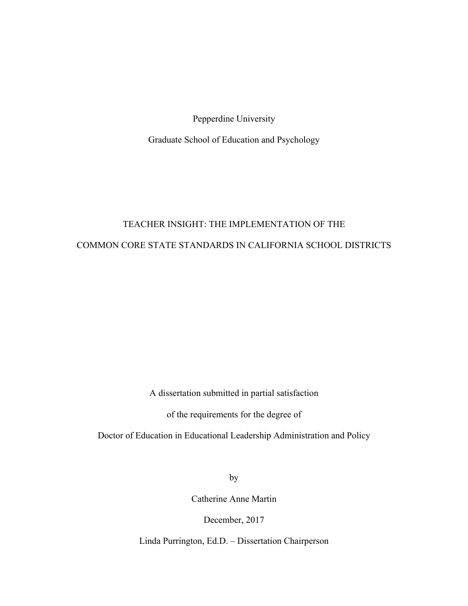Pepperdine University

Graduate School of Education and Psychology

# TEACHER INSIGHT: THE IMPLEMENTATION OF THE COMMON CORE STATE STANDARDS IN CALIFORNIA SCHOOL DISTRICTS

A dissertation submitted in partial satisfaction

of the requirements for the degree of

Doctor of Education in Educational Leadership Administration and Policy

by

Catherine Anne Martin

December, 2017

Linda Purrington, Ed.D. ‒ Dissertation Chairperson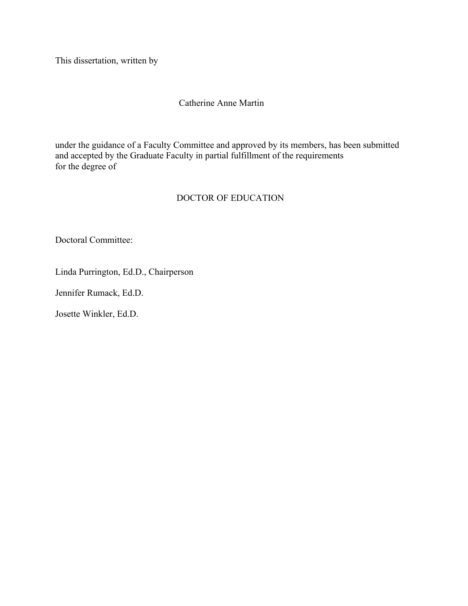This dissertation, written by

# Catherine Anne Martin

under the guidance of a Faculty Committee and approved by its members, has been submitted and accepted by the Graduate Faculty in partial fulfillment of the requirements for the degree of

# DOCTOR OF EDUCATION

Doctoral Committee:

Linda Purrington, Ed.D., Chairperson

Jennifer Rumack, Ed.D.

Josette Winkler, Ed.D.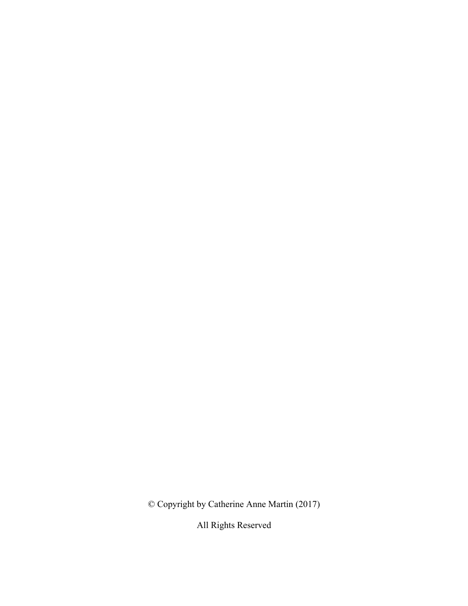© Copyright by Catherine Anne Martin (2017)

All Rights Reserved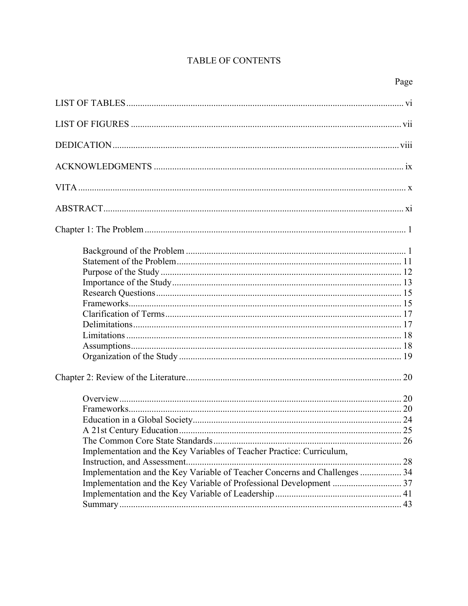# TABLE OF CONTENTS

| Implementation and the Key Variables of Teacher Practice: Curriculum,<br>Implementation and the Key Variable of Teacher Concerns and Challenges  34 |  |
|-----------------------------------------------------------------------------------------------------------------------------------------------------|--|
|                                                                                                                                                     |  |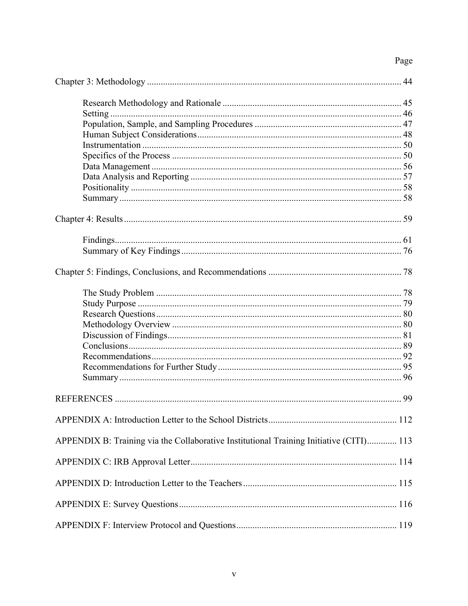# Page

| APPENDIX B: Training via the Collaborative Institutional Training Initiative (CITI) 113 |  |
|-----------------------------------------------------------------------------------------|--|
|                                                                                         |  |
|                                                                                         |  |
|                                                                                         |  |
|                                                                                         |  |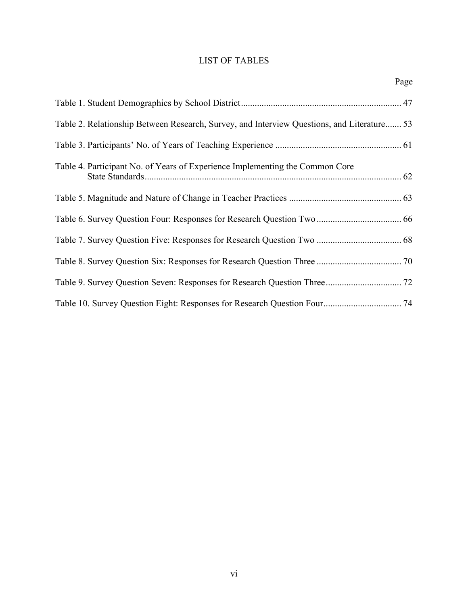# LIST OF TABLES

|                                                                                            | Page |
|--------------------------------------------------------------------------------------------|------|
|                                                                                            |      |
| Table 2. Relationship Between Research, Survey, and Interview Questions, and Literature 53 |      |
|                                                                                            |      |
| Table 4. Participant No. of Years of Experience Implementing the Common Core               |      |
|                                                                                            |      |
|                                                                                            |      |
|                                                                                            |      |
|                                                                                            |      |
|                                                                                            |      |
|                                                                                            |      |
|                                                                                            |      |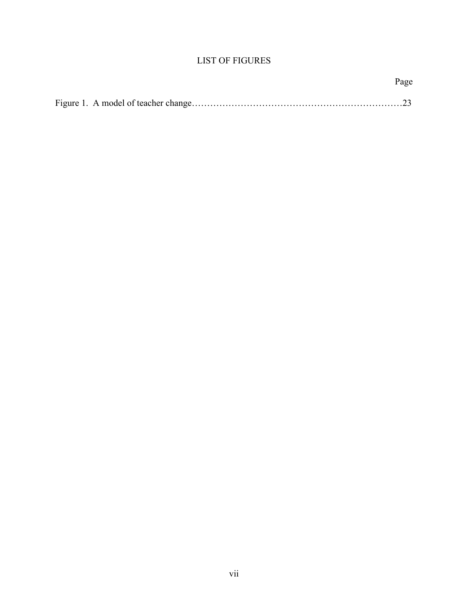# LIST OF FIGURES

| Page |
|------|
|      |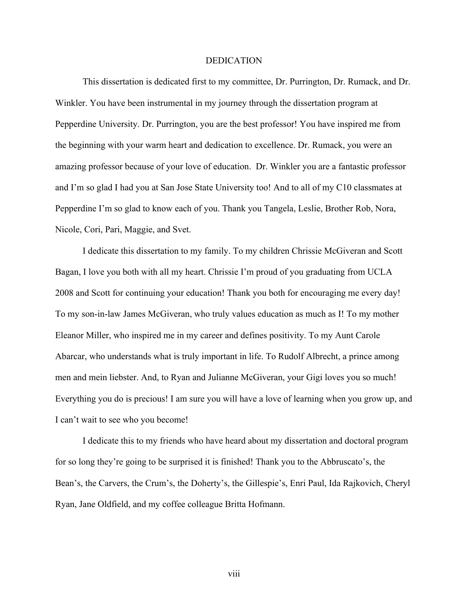#### DEDICATION

This dissertation is dedicated first to my committee, Dr. Purrington, Dr. Rumack, and Dr. Winkler. You have been instrumental in my journey through the dissertation program at Pepperdine University. Dr. Purrington, you are the best professor! You have inspired me from the beginning with your warm heart and dedication to excellence. Dr. Rumack, you were an amazing professor because of your love of education. Dr. Winkler you are a fantastic professor and I'm so glad I had you at San Jose State University too! And to all of my C10 classmates at Pepperdine I'm so glad to know each of you. Thank you Tangela, Leslie, Brother Rob, Nora, Nicole, Cori, Pari, Maggie, and Svet.

I dedicate this dissertation to my family. To my children Chrissie McGiveran and Scott Bagan, I love you both with all my heart. Chrissie I'm proud of you graduating from UCLA 2008 and Scott for continuing your education! Thank you both for encouraging me every day! To my son-in-law James McGiveran, who truly values education as much as I! To my mother Eleanor Miller, who inspired me in my career and defines positivity. To my Aunt Carole Abarcar, who understands what is truly important in life. To Rudolf Albrecht, a prince among men and mein liebster. And, to Ryan and Julianne McGiveran, your Gigi loves you so much! Everything you do is precious! I am sure you will have a love of learning when you grow up, and I can't wait to see who you become!

I dedicate this to my friends who have heard about my dissertation and doctoral program for so long they're going to be surprised it is finished! Thank you to the Abbruscato's, the Bean's, the Carvers, the Crum's, the Doherty's, the Gillespie's, Enri Paul, Ida Rajkovich, Cheryl Ryan, Jane Oldfield, and my coffee colleague Britta Hofmann.

viii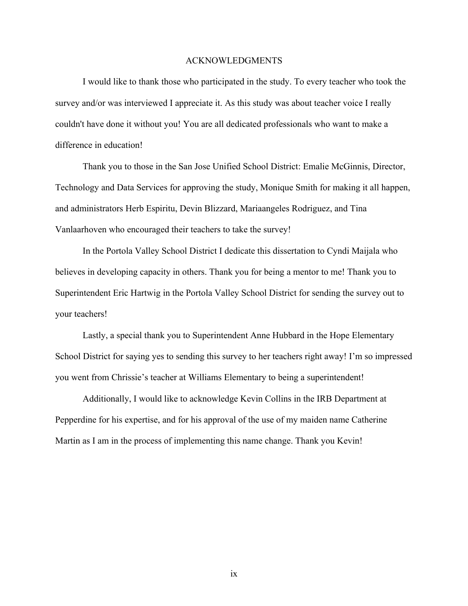#### ACKNOWLEDGMENTS

I would like to thank those who participated in the study. To every teacher who took the survey and/or was interviewed I appreciate it. As this study was about teacher voice I really couldn't have done it without you! You are all dedicated professionals who want to make a difference in education!

Thank you to those in the San Jose Unified School District: Emalie McGinnis, Director, Technology and Data Services for approving the study, Monique Smith for making it all happen, and administrators Herb Espiritu, Devin Blizzard, Mariaangeles Rodriguez, and Tina Vanlaarhoven who encouraged their teachers to take the survey!

In the Portola Valley School District I dedicate this dissertation to Cyndi Maijala who believes in developing capacity in others. Thank you for being a mentor to me! Thank you to Superintendent Eric Hartwig in the Portola Valley School District for sending the survey out to your teachers!

Lastly, a special thank you to Superintendent Anne Hubbard in the Hope Elementary School District for saying yes to sending this survey to her teachers right away! I'm so impressed you went from Chrissie's teacher at Williams Elementary to being a superintendent!

Additionally, I would like to acknowledge Kevin Collins in the IRB Department at Pepperdine for his expertise, and for his approval of the use of my maiden name Catherine Martin as I am in the process of implementing this name change. Thank you Kevin!

ix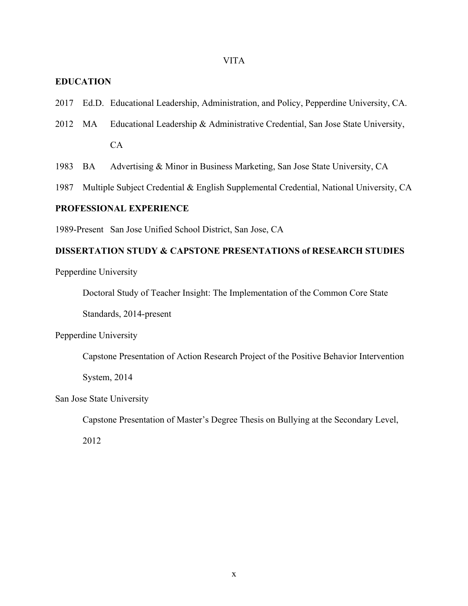### VITA

## **EDUCATION**

- 2017 Ed.D. Educational Leadership, Administration, and Policy, Pepperdine University, CA.
- 2012 MA Educational Leadership & Administrative Credential, San Jose State University, CA
- 1983 BA Advertising & Minor in Business Marketing, San Jose State University, CA
- 1987 Multiple Subject Credential & English Supplemental Credential, National University, CA

## **PROFESSIONAL EXPERIENCE**

1989-Present San Jose Unified School District, San Jose, CA

# **DISSERTATION STUDY & CAPSTONE PRESENTATIONS of RESEARCH STUDIES**

Pepperdine University

Doctoral Study of Teacher Insight: The Implementation of the Common Core State

Standards, 2014-present

Pepperdine University

Capstone Presentation of Action Research Project of the Positive Behavior Intervention

System, 2014

San Jose State University

Capstone Presentation of Master's Degree Thesis on Bullying at the Secondary Level,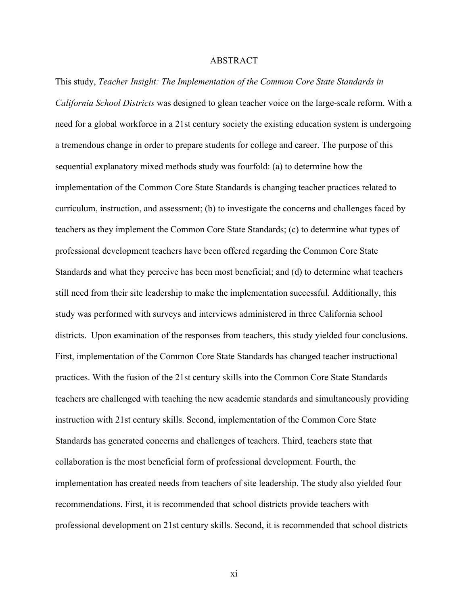#### ABSTRACT

This study, *Teacher Insight: The Implementation of the Common Core State Standards in California School Districts* was designed to glean teacher voice on the large-scale reform. With a need for a global workforce in a 21st century society the existing education system is undergoing a tremendous change in order to prepare students for college and career. The purpose of this sequential explanatory mixed methods study was fourfold: (a) to determine how the implementation of the Common Core State Standards is changing teacher practices related to curriculum, instruction, and assessment; (b) to investigate the concerns and challenges faced by teachers as they implement the Common Core State Standards; (c) to determine what types of professional development teachers have been offered regarding the Common Core State Standards and what they perceive has been most beneficial; and (d) to determine what teachers still need from their site leadership to make the implementation successful. Additionally, this study was performed with surveys and interviews administered in three California school districts. Upon examination of the responses from teachers, this study yielded four conclusions. First, implementation of the Common Core State Standards has changed teacher instructional practices. With the fusion of the 21st century skills into the Common Core State Standards teachers are challenged with teaching the new academic standards and simultaneously providing instruction with 21st century skills. Second, implementation of the Common Core State Standards has generated concerns and challenges of teachers. Third, teachers state that collaboration is the most beneficial form of professional development. Fourth, the implementation has created needs from teachers of site leadership. The study also yielded four recommendations. First, it is recommended that school districts provide teachers with professional development on 21st century skills. Second, it is recommended that school districts

xi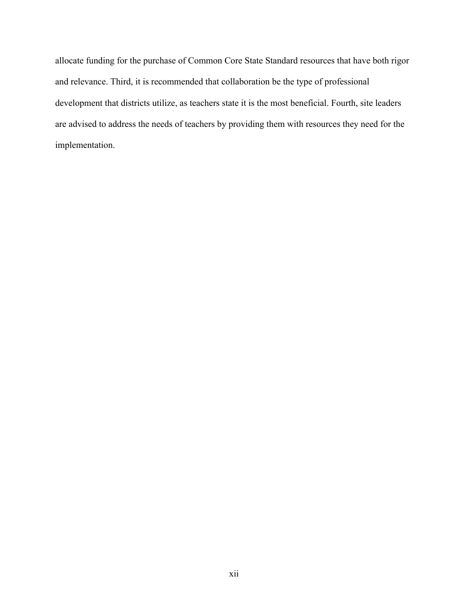allocate funding for the purchase of Common Core State Standard resources that have both rigor and relevance. Third, it is recommended that collaboration be the type of professional development that districts utilize, as teachers state it is the most beneficial. Fourth, site leaders are advised to address the needs of teachers by providing them with resources they need for the implementation.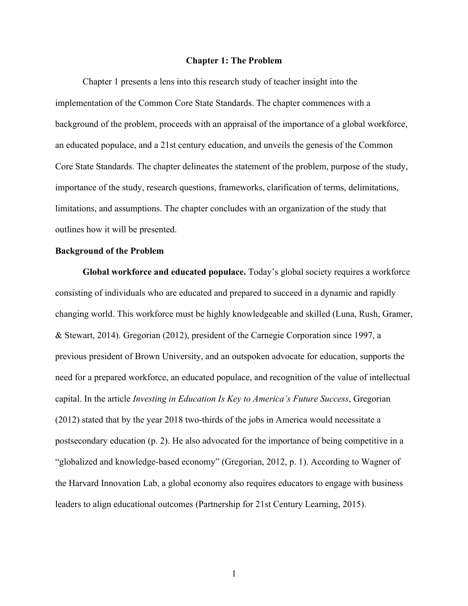#### **Chapter 1: The Problem**

Chapter 1 presents a lens into this research study of teacher insight into the implementation of the Common Core State Standards. The chapter commences with a background of the problem, proceeds with an appraisal of the importance of a global workforce, an educated populace, and a 21st century education, and unveils the genesis of the Common Core State Standards. The chapter delineates the statement of the problem, purpose of the study, importance of the study, research questions, frameworks, clarification of terms, delimitations, limitations, and assumptions. The chapter concludes with an organization of the study that outlines how it will be presented.

#### **Background of the Problem**

**Global workforce and educated populace.** Today's global society requires a workforce consisting of individuals who are educated and prepared to succeed in a dynamic and rapidly changing world. This workforce must be highly knowledgeable and skilled (Luna, Rush, Gramer, & Stewart, 2014). Gregorian (2012), president of the Carnegie Corporation since 1997, a previous president of Brown University, and an outspoken advocate for education, supports the need for a prepared workforce, an educated populace, and recognition of the value of intellectual capital. In the article *Investing in Education Is Key to America's Future Success*, Gregorian (2012) stated that by the year 2018 two-thirds of the jobs in America would necessitate a postsecondary education (p. 2). He also advocated for the importance of being competitive in a "globalized and knowledge-based economy" (Gregorian, 2012, p. 1). According to Wagner of the Harvard Innovation Lab, a global economy also requires educators to engage with business leaders to align educational outcomes (Partnership for 21st Century Learning, 2015).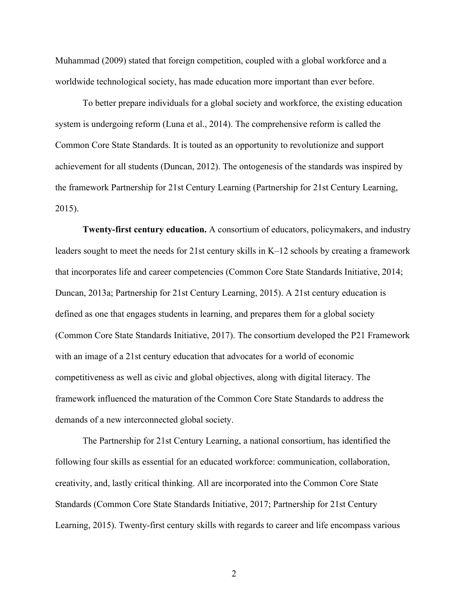Muhammad (2009) stated that foreign competition, coupled with a global workforce and a worldwide technological society, has made education more important than ever before.

To better prepare individuals for a global society and workforce, the existing education system is undergoing reform (Luna et al., 2014). The comprehensive reform is called the Common Core State Standards. It is touted as an opportunity to revolutionize and support achievement for all students (Duncan, 2012). The ontogenesis of the standards was inspired by the framework Partnership for 21st Century Learning (Partnership for 21st Century Learning, 2015).

**Twenty-first century education.** A consortium of educators, policymakers, and industry leaders sought to meet the needs for 21st century skills in K–12 schools by creating a framework that incorporates life and career competencies (Common Core State Standards Initiative, 2014; Duncan, 2013a; Partnership for 21st Century Learning, 2015). A 21st century education is defined as one that engages students in learning, and prepares them for a global society (Common Core State Standards Initiative, 2017). The consortium developed the P21 Framework with an image of a 21st century education that advocates for a world of economic competitiveness as well as civic and global objectives, along with digital literacy. The framework influenced the maturation of the Common Core State Standards to address the demands of a new interconnected global society.

The Partnership for 21st Century Learning, a national consortium, has identified the following four skills as essential for an educated workforce: communication, collaboration, creativity, and, lastly critical thinking. All are incorporated into the Common Core State Standards (Common Core State Standards Initiative, 2017; Partnership for 21st Century Learning, 2015). Twenty-first century skills with regards to career and life encompass various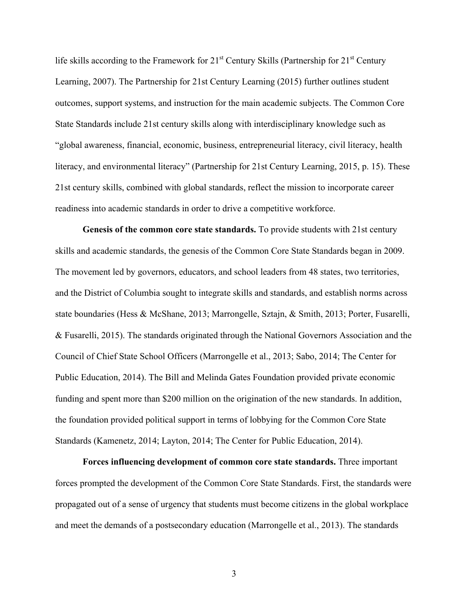life skills according to the Framework for  $21<sup>st</sup>$  Century Skills (Partnership for  $21<sup>st</sup>$  Century Learning, 2007). The Partnership for 21st Century Learning (2015) further outlines student outcomes, support systems, and instruction for the main academic subjects. The Common Core State Standards include 21st century skills along with interdisciplinary knowledge such as "global awareness, financial, economic, business, entrepreneurial literacy, civil literacy, health literacy, and environmental literacy" (Partnership for 21st Century Learning, 2015, p. 15). These 21st century skills, combined with global standards, reflect the mission to incorporate career readiness into academic standards in order to drive a competitive workforce.

**Genesis of the common core state standards.** To provide students with 21st century skills and academic standards, the genesis of the Common Core State Standards began in 2009. The movement led by governors, educators, and school leaders from 48 states, two territories, and the District of Columbia sought to integrate skills and standards, and establish norms across state boundaries (Hess & McShane, 2013; Marrongelle, Sztajn, & Smith, 2013; Porter, Fusarelli, & Fusarelli, 2015). The standards originated through the National Governors Association and the Council of Chief State School Officers (Marrongelle et al., 2013; Sabo, 2014; The Center for Public Education, 2014). The Bill and Melinda Gates Foundation provided private economic funding and spent more than \$200 million on the origination of the new standards. In addition, the foundation provided political support in terms of lobbying for the Common Core State Standards (Kamenetz, 2014; Layton, 2014; The Center for Public Education, 2014).

**Forces influencing development of common core state standards.** Three important forces prompted the development of the Common Core State Standards. First, the standards were propagated out of a sense of urgency that students must become citizens in the global workplace and meet the demands of a postsecondary education (Marrongelle et al., 2013). The standards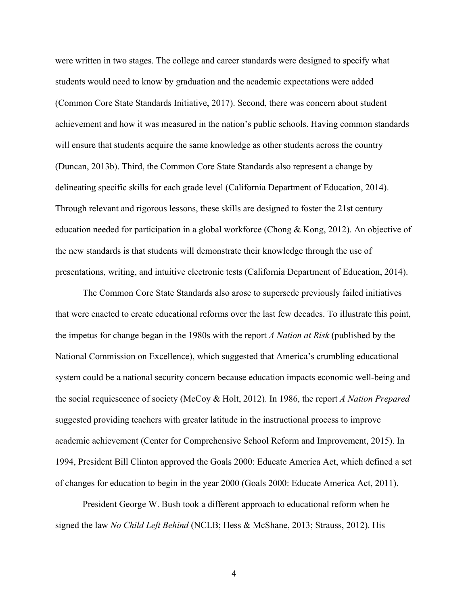were written in two stages. The college and career standards were designed to specify what students would need to know by graduation and the academic expectations were added (Common Core State Standards Initiative, 2017). Second, there was concern about student achievement and how it was measured in the nation's public schools. Having common standards will ensure that students acquire the same knowledge as other students across the country (Duncan, 2013b). Third, the Common Core State Standards also represent a change by delineating specific skills for each grade level (California Department of Education, 2014). Through relevant and rigorous lessons, these skills are designed to foster the 21st century education needed for participation in a global workforce (Chong & Kong, 2012). An objective of the new standards is that students will demonstrate their knowledge through the use of presentations, writing, and intuitive electronic tests (California Department of Education, 2014).

The Common Core State Standards also arose to supersede previously failed initiatives that were enacted to create educational reforms over the last few decades. To illustrate this point, the impetus for change began in the 1980s with the report *A Nation at Risk* (published by the National Commission on Excellence), which suggested that America's crumbling educational system could be a national security concern because education impacts economic well-being and the social requiescence of society (McCoy & Holt, 2012). In 1986, the report *A Nation Prepared* suggested providing teachers with greater latitude in the instructional process to improve academic achievement (Center for Comprehensive School Reform and Improvement, 2015). In 1994, President Bill Clinton approved the Goals 2000: Educate America Act, which defined a set of changes for education to begin in the year 2000 (Goals 2000: Educate America Act, 2011).

President George W. Bush took a different approach to educational reform when he signed the law *No Child Left Behind* (NCLB; Hess & McShane, 2013; Strauss, 2012). His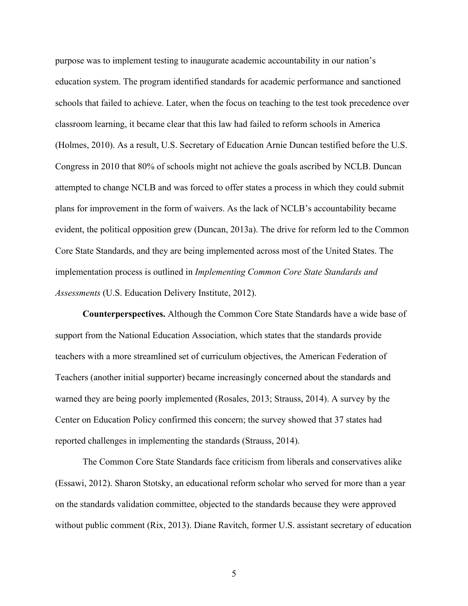purpose was to implement testing to inaugurate academic accountability in our nation's education system. The program identified standards for academic performance and sanctioned schools that failed to achieve. Later, when the focus on teaching to the test took precedence over classroom learning, it became clear that this law had failed to reform schools in America (Holmes, 2010). As a result, U.S. Secretary of Education Arnie Duncan testified before the U.S. Congress in 2010 that 80% of schools might not achieve the goals ascribed by NCLB. Duncan attempted to change NCLB and was forced to offer states a process in which they could submit plans for improvement in the form of waivers. As the lack of NCLB's accountability became evident, the political opposition grew (Duncan, 2013a). The drive for reform led to the Common Core State Standards, and they are being implemented across most of the United States. The implementation process is outlined in *Implementing Common Core State Standards and Assessments* (U.S. Education Delivery Institute, 2012).

**Counterperspectives.** Although the Common Core State Standards have a wide base of support from the National Education Association, which states that the standards provide teachers with a more streamlined set of curriculum objectives, the American Federation of Teachers (another initial supporter) became increasingly concerned about the standards and warned they are being poorly implemented (Rosales, 2013; Strauss, 2014). A survey by the Center on Education Policy confirmed this concern; the survey showed that 37 states had reported challenges in implementing the standards (Strauss, 2014).

The Common Core State Standards face criticism from liberals and conservatives alike (Essawi, 2012). Sharon Stotsky, an educational reform scholar who served for more than a year on the standards validation committee, objected to the standards because they were approved without public comment (Rix, 2013). Diane Ravitch, former U.S. assistant secretary of education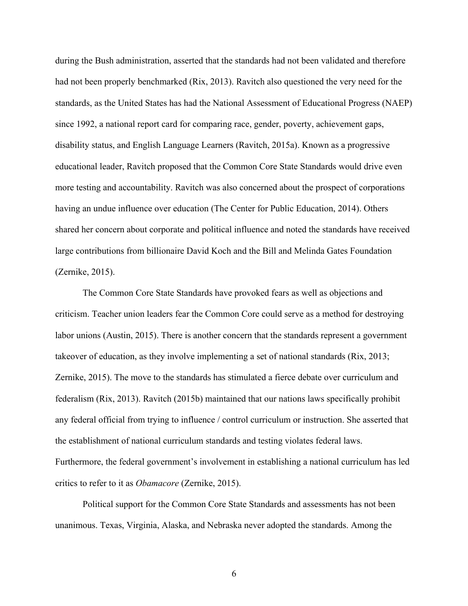during the Bush administration, asserted that the standards had not been validated and therefore had not been properly benchmarked (Rix, 2013). Ravitch also questioned the very need for the standards, as the United States has had the National Assessment of Educational Progress (NAEP) since 1992, a national report card for comparing race, gender, poverty, achievement gaps, disability status, and English Language Learners (Ravitch, 2015a). Known as a progressive educational leader, Ravitch proposed that the Common Core State Standards would drive even more testing and accountability. Ravitch was also concerned about the prospect of corporations having an undue influence over education (The Center for Public Education, 2014). Others shared her concern about corporate and political influence and noted the standards have received large contributions from billionaire David Koch and the Bill and Melinda Gates Foundation (Zernike, 2015).

The Common Core State Standards have provoked fears as well as objections and criticism. Teacher union leaders fear the Common Core could serve as a method for destroying labor unions (Austin, 2015). There is another concern that the standards represent a government takeover of education, as they involve implementing a set of national standards (Rix, 2013; Zernike, 2015). The move to the standards has stimulated a fierce debate over curriculum and federalism (Rix, 2013). Ravitch (2015b) maintained that our nations laws specifically prohibit any federal official from trying to influence / control curriculum or instruction. She asserted that the establishment of national curriculum standards and testing violates federal laws. Furthermore, the federal government's involvement in establishing a national curriculum has led critics to refer to it as *Obamacore* (Zernike, 2015).

Political support for the Common Core State Standards and assessments has not been unanimous. Texas, Virginia, Alaska, and Nebraska never adopted the standards. Among the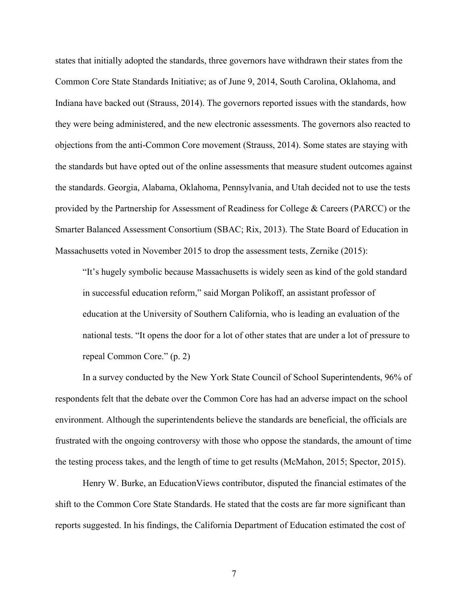states that initially adopted the standards, three governors have withdrawn their states from the Common Core State Standards Initiative; as of June 9, 2014, South Carolina, Oklahoma, and Indiana have backed out (Strauss, 2014). The governors reported issues with the standards, how they were being administered, and the new electronic assessments. The governors also reacted to objections from the anti-Common Core movement (Strauss, 2014). Some states are staying with the standards but have opted out of the online assessments that measure student outcomes against the standards. Georgia, Alabama, Oklahoma, Pennsylvania, and Utah decided not to use the tests provided by the Partnership for Assessment of Readiness for College & Careers (PARCC) or the Smarter Balanced Assessment Consortium (SBAC; Rix, 2013). The State Board of Education in Massachusetts voted in November 2015 to drop the assessment tests, Zernike (2015):

"It's hugely symbolic because Massachusetts is widely seen as kind of the gold standard in successful education reform," said Morgan Polikoff, an assistant professor of education at the University of Southern California, who is leading an evaluation of the national tests. "It opens the door for a lot of other states that are under a lot of pressure to repeal Common Core." (p. 2)

In a survey conducted by the New York State Council of School Superintendents, 96% of respondents felt that the debate over the Common Core has had an adverse impact on the school environment. Although the superintendents believe the standards are beneficial, the officials are frustrated with the ongoing controversy with those who oppose the standards, the amount of time the testing process takes, and the length of time to get results (McMahon, 2015; Spector, 2015).

Henry W. Burke, an EducationViews contributor, disputed the financial estimates of the shift to the Common Core State Standards. He stated that the costs are far more significant than reports suggested. In his findings, the California Department of Education estimated the cost of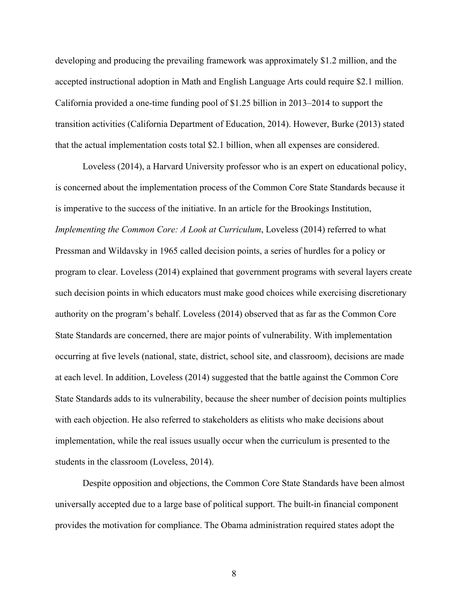developing and producing the prevailing framework was approximately \$1.2 million, and the accepted instructional adoption in Math and English Language Arts could require \$2.1 million. California provided a one-time funding pool of \$1.25 billion in 2013–2014 to support the transition activities (California Department of Education, 2014). However, Burke (2013) stated that the actual implementation costs total \$2.1 billion, when all expenses are considered.

Loveless (2014), a Harvard University professor who is an expert on educational policy, is concerned about the implementation process of the Common Core State Standards because it is imperative to the success of the initiative. In an article for the Brookings Institution, *Implementing the Common Core: A Look at Curriculum*, Loveless (2014) referred to what Pressman and Wildavsky in 1965 called decision points, a series of hurdles for a policy or program to clear. Loveless (2014) explained that government programs with several layers create such decision points in which educators must make good choices while exercising discretionary authority on the program's behalf. Loveless (2014) observed that as far as the Common Core State Standards are concerned, there are major points of vulnerability. With implementation occurring at five levels (national, state, district, school site, and classroom), decisions are made at each level. In addition, Loveless (2014) suggested that the battle against the Common Core State Standards adds to its vulnerability, because the sheer number of decision points multiplies with each objection. He also referred to stakeholders as elitists who make decisions about implementation, while the real issues usually occur when the curriculum is presented to the students in the classroom (Loveless, 2014).

Despite opposition and objections, the Common Core State Standards have been almost universally accepted due to a large base of political support. The built-in financial component provides the motivation for compliance. The Obama administration required states adopt the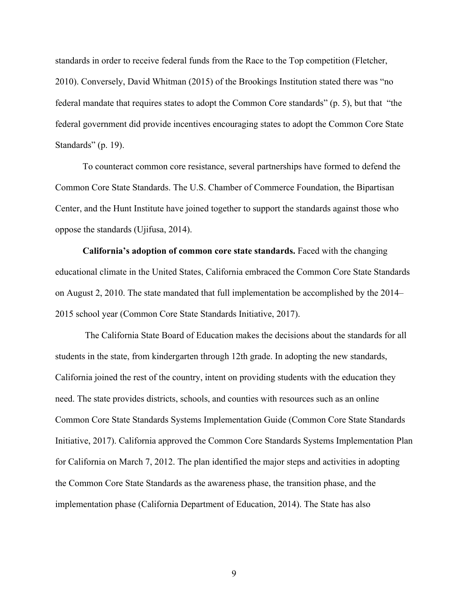standards in order to receive federal funds from the Race to the Top competition (Fletcher, 2010). Conversely, David Whitman (2015) of the Brookings Institution stated there was "no federal mandate that requires states to adopt the Common Core standards" (p. 5), but that "the federal government did provide incentives encouraging states to adopt the Common Core State Standards" (p. 19).

To counteract common core resistance, several partnerships have formed to defend the Common Core State Standards. The U.S. Chamber of Commerce Foundation, the Bipartisan Center, and the Hunt Institute have joined together to support the standards against those who oppose the standards (Ujifusa, 2014).

**California's adoption of common core state standards.** Faced with the changing educational climate in the United States, California embraced the Common Core State Standards on August 2, 2010. The state mandated that full implementation be accomplished by the 2014– 2015 school year (Common Core State Standards Initiative, 2017).

The California State Board of Education makes the decisions about the standards for all students in the state, from kindergarten through 12th grade. In adopting the new standards, California joined the rest of the country, intent on providing students with the education they need. The state provides districts, schools, and counties with resources such as an online Common Core State Standards Systems Implementation Guide (Common Core State Standards Initiative, 2017). California approved the Common Core Standards Systems Implementation Plan for California on March 7, 2012. The plan identified the major steps and activities in adopting the Common Core State Standards as the awareness phase, the transition phase, and the implementation phase (California Department of Education, 2014). The State has also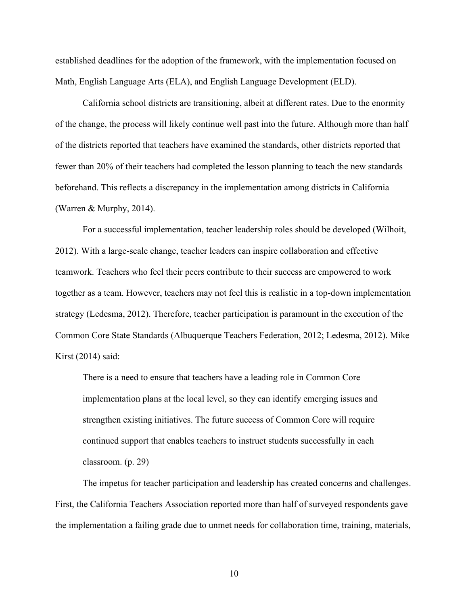established deadlines for the adoption of the framework, with the implementation focused on Math, English Language Arts (ELA), and English Language Development (ELD).

California school districts are transitioning, albeit at different rates. Due to the enormity of the change, the process will likely continue well past into the future. Although more than half of the districts reported that teachers have examined the standards, other districts reported that fewer than 20% of their teachers had completed the lesson planning to teach the new standards beforehand. This reflects a discrepancy in the implementation among districts in California (Warren & Murphy, 2014).

For a successful implementation, teacher leadership roles should be developed (Wilhoit, 2012). With a large-scale change, teacher leaders can inspire collaboration and effective teamwork. Teachers who feel their peers contribute to their success are empowered to work together as a team. However, teachers may not feel this is realistic in a top-down implementation strategy (Ledesma, 2012). Therefore, teacher participation is paramount in the execution of the Common Core State Standards (Albuquerque Teachers Federation, 2012; Ledesma, 2012). Mike Kirst (2014) said:

There is a need to ensure that teachers have a leading role in Common Core implementation plans at the local level, so they can identify emerging issues and strengthen existing initiatives. The future success of Common Core will require continued support that enables teachers to instruct students successfully in each classroom. (p. 29)

The impetus for teacher participation and leadership has created concerns and challenges. First, the California Teachers Association reported more than half of surveyed respondents gave the implementation a failing grade due to unmet needs for collaboration time, training, materials,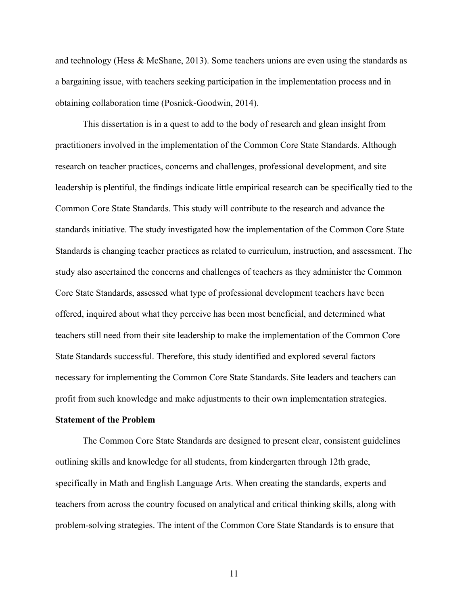and technology (Hess & McShane, 2013). Some teachers unions are even using the standards as a bargaining issue, with teachers seeking participation in the implementation process and in obtaining collaboration time (Posnick-Goodwin, 2014).

This dissertation is in a quest to add to the body of research and glean insight from practitioners involved in the implementation of the Common Core State Standards. Although research on teacher practices, concerns and challenges, professional development, and site leadership is plentiful, the findings indicate little empirical research can be specifically tied to the Common Core State Standards. This study will contribute to the research and advance the standards initiative. The study investigated how the implementation of the Common Core State Standards is changing teacher practices as related to curriculum, instruction, and assessment. The study also ascertained the concerns and challenges of teachers as they administer the Common Core State Standards, assessed what type of professional development teachers have been offered, inquired about what they perceive has been most beneficial, and determined what teachers still need from their site leadership to make the implementation of the Common Core State Standards successful. Therefore, this study identified and explored several factors necessary for implementing the Common Core State Standards. Site leaders and teachers can profit from such knowledge and make adjustments to their own implementation strategies.

#### **Statement of the Problem**

The Common Core State Standards are designed to present clear, consistent guidelines outlining skills and knowledge for all students, from kindergarten through 12th grade, specifically in Math and English Language Arts. When creating the standards, experts and teachers from across the country focused on analytical and critical thinking skills, along with problem-solving strategies. The intent of the Common Core State Standards is to ensure that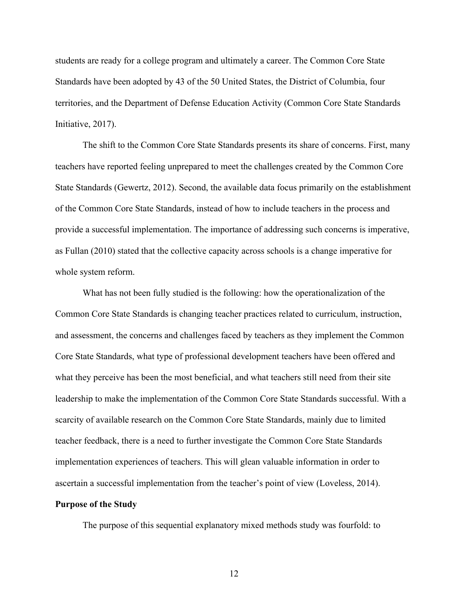students are ready for a college program and ultimately a career. The Common Core State Standards have been adopted by 43 of the 50 United States, the District of Columbia, four territories, and the Department of Defense Education Activity (Common Core State Standards Initiative, 2017).

The shift to the Common Core State Standards presents its share of concerns. First, many teachers have reported feeling unprepared to meet the challenges created by the Common Core State Standards (Gewertz, 2012). Second, the available data focus primarily on the establishment of the Common Core State Standards, instead of how to include teachers in the process and provide a successful implementation. The importance of addressing such concerns is imperative, as Fullan (2010) stated that the collective capacity across schools is a change imperative for whole system reform.

What has not been fully studied is the following: how the operationalization of the Common Core State Standards is changing teacher practices related to curriculum, instruction, and assessment, the concerns and challenges faced by teachers as they implement the Common Core State Standards, what type of professional development teachers have been offered and what they perceive has been the most beneficial, and what teachers still need from their site leadership to make the implementation of the Common Core State Standards successful. With a scarcity of available research on the Common Core State Standards, mainly due to limited teacher feedback, there is a need to further investigate the Common Core State Standards implementation experiences of teachers. This will glean valuable information in order to ascertain a successful implementation from the teacher's point of view (Loveless, 2014). **Purpose of the Study**

The purpose of this sequential explanatory mixed methods study was fourfold: to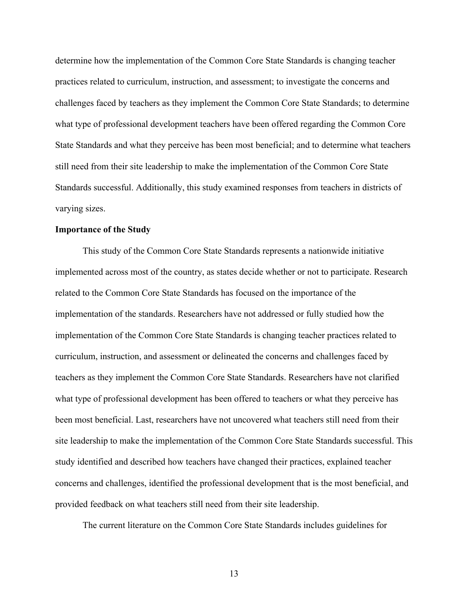determine how the implementation of the Common Core State Standards is changing teacher practices related to curriculum, instruction, and assessment; to investigate the concerns and challenges faced by teachers as they implement the Common Core State Standards; to determine what type of professional development teachers have been offered regarding the Common Core State Standards and what they perceive has been most beneficial; and to determine what teachers still need from their site leadership to make the implementation of the Common Core State Standards successful. Additionally, this study examined responses from teachers in districts of varying sizes.

#### **Importance of the Study**

This study of the Common Core State Standards represents a nationwide initiative implemented across most of the country, as states decide whether or not to participate. Research related to the Common Core State Standards has focused on the importance of the implementation of the standards. Researchers have not addressed or fully studied how the implementation of the Common Core State Standards is changing teacher practices related to curriculum, instruction, and assessment or delineated the concerns and challenges faced by teachers as they implement the Common Core State Standards. Researchers have not clarified what type of professional development has been offered to teachers or what they perceive has been most beneficial. Last, researchers have not uncovered what teachers still need from their site leadership to make the implementation of the Common Core State Standards successful. This study identified and described how teachers have changed their practices, explained teacher concerns and challenges, identified the professional development that is the most beneficial, and provided feedback on what teachers still need from their site leadership.

The current literature on the Common Core State Standards includes guidelines for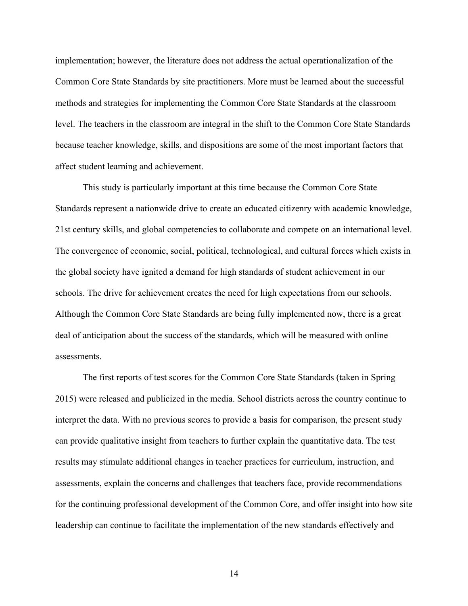implementation; however, the literature does not address the actual operationalization of the Common Core State Standards by site practitioners. More must be learned about the successful methods and strategies for implementing the Common Core State Standards at the classroom level. The teachers in the classroom are integral in the shift to the Common Core State Standards because teacher knowledge, skills, and dispositions are some of the most important factors that affect student learning and achievement.

This study is particularly important at this time because the Common Core State Standards represent a nationwide drive to create an educated citizenry with academic knowledge, 21st century skills, and global competencies to collaborate and compete on an international level. The convergence of economic, social, political, technological, and cultural forces which exists in the global society have ignited a demand for high standards of student achievement in our schools. The drive for achievement creates the need for high expectations from our schools. Although the Common Core State Standards are being fully implemented now, there is a great deal of anticipation about the success of the standards, which will be measured with online assessments.

The first reports of test scores for the Common Core State Standards (taken in Spring 2015) were released and publicized in the media. School districts across the country continue to interpret the data. With no previous scores to provide a basis for comparison, the present study can provide qualitative insight from teachers to further explain the quantitative data. The test results may stimulate additional changes in teacher practices for curriculum, instruction, and assessments, explain the concerns and challenges that teachers face, provide recommendations for the continuing professional development of the Common Core, and offer insight into how site leadership can continue to facilitate the implementation of the new standards effectively and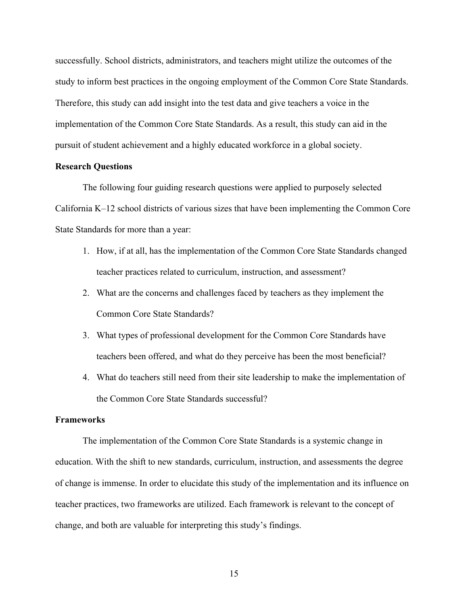successfully. School districts, administrators, and teachers might utilize the outcomes of the study to inform best practices in the ongoing employment of the Common Core State Standards. Therefore, this study can add insight into the test data and give teachers a voice in the implementation of the Common Core State Standards. As a result, this study can aid in the pursuit of student achievement and a highly educated workforce in a global society.

#### **Research Questions**

The following four guiding research questions were applied to purposely selected California K–12 school districts of various sizes that have been implementing the Common Core State Standards for more than a year:

- 1. How, if at all, has the implementation of the Common Core State Standards changed teacher practices related to curriculum, instruction, and assessment?
- 2. What are the concerns and challenges faced by teachers as they implement the Common Core State Standards?
- 3. What types of professional development for the Common Core Standards have teachers been offered, and what do they perceive has been the most beneficial?
- 4. What do teachers still need from their site leadership to make the implementation of the Common Core State Standards successful?

#### **Frameworks**

The implementation of the Common Core State Standards is a systemic change in education. With the shift to new standards, curriculum, instruction, and assessments the degree of change is immense. In order to elucidate this study of the implementation and its influence on teacher practices, two frameworks are utilized. Each framework is relevant to the concept of change, and both are valuable for interpreting this study's findings.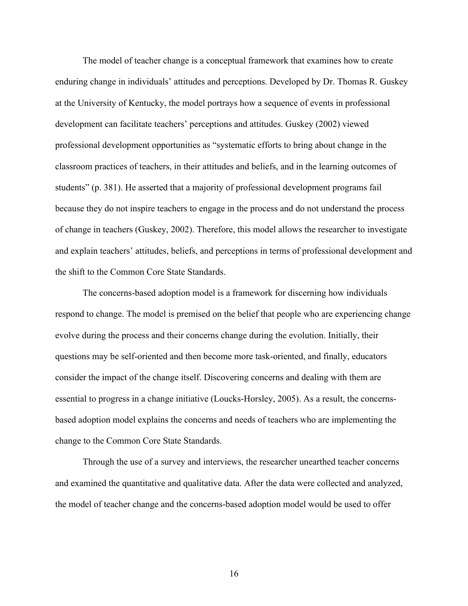The model of teacher change is a conceptual framework that examines how to create enduring change in individuals' attitudes and perceptions. Developed by Dr. Thomas R. Guskey at the University of Kentucky, the model portrays how a sequence of events in professional development can facilitate teachers' perceptions and attitudes. Guskey (2002) viewed professional development opportunities as "systematic efforts to bring about change in the classroom practices of teachers, in their attitudes and beliefs, and in the learning outcomes of students" (p. 381). He asserted that a majority of professional development programs fail because they do not inspire teachers to engage in the process and do not understand the process of change in teachers (Guskey, 2002). Therefore, this model allows the researcher to investigate and explain teachers' attitudes, beliefs, and perceptions in terms of professional development and the shift to the Common Core State Standards.

The concerns-based adoption model is a framework for discerning how individuals respond to change. The model is premised on the belief that people who are experiencing change evolve during the process and their concerns change during the evolution. Initially, their questions may be self-oriented and then become more task-oriented, and finally, educators consider the impact of the change itself. Discovering concerns and dealing with them are essential to progress in a change initiative (Loucks-Horsley, 2005). As a result, the concernsbased adoption model explains the concerns and needs of teachers who are implementing the change to the Common Core State Standards.

Through the use of a survey and interviews, the researcher unearthed teacher concerns and examined the quantitative and qualitative data. After the data were collected and analyzed, the model of teacher change and the concerns-based adoption model would be used to offer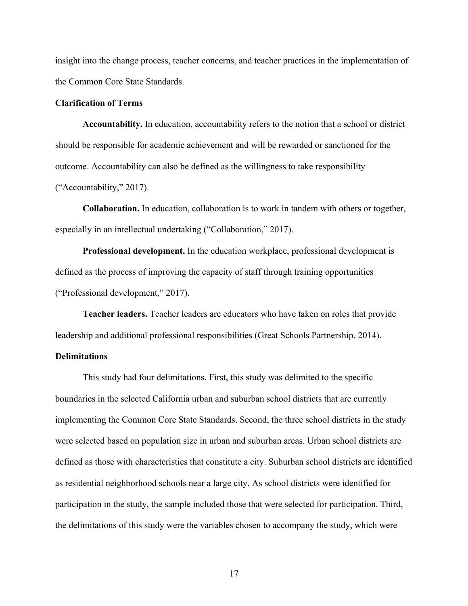insight into the change process, teacher concerns, and teacher practices in the implementation of the Common Core State Standards.

#### **Clarification of Terms**

**Accountability.** In education, accountability refers to the notion that a school or district should be responsible for academic achievement and will be rewarded or sanctioned for the outcome. Accountability can also be defined as the willingness to take responsibility ("Accountability," 2017).

**Collaboration.** In education, collaboration is to work in tandem with others or together, especially in an intellectual undertaking ("Collaboration," 2017).

**Professional development.** In the education workplace, professional development is defined as the process of improving the capacity of staff through training opportunities ("Professional development," 2017).

**Teacher leaders.** Teacher leaders are educators who have taken on roles that provide leadership and additional professional responsibilities (Great Schools Partnership, 2014).

#### **Delimitations**

This study had four delimitations. First, this study was delimited to the specific boundaries in the selected California urban and suburban school districts that are currently implementing the Common Core State Standards. Second, the three school districts in the study were selected based on population size in urban and suburban areas. Urban school districts are defined as those with characteristics that constitute a city. Suburban school districts are identified as residential neighborhood schools near a large city. As school districts were identified for participation in the study, the sample included those that were selected for participation. Third, the delimitations of this study were the variables chosen to accompany the study, which were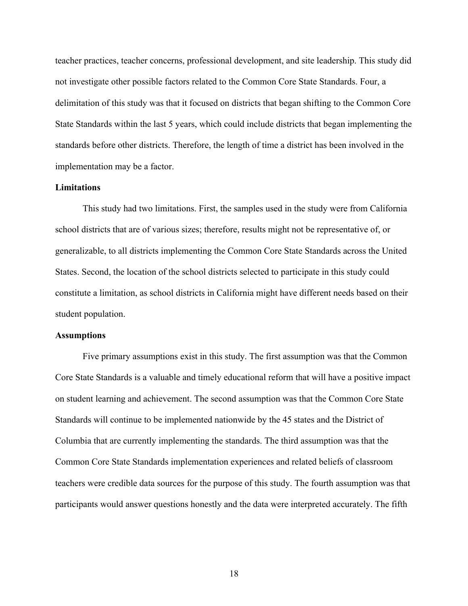teacher practices, teacher concerns, professional development, and site leadership. This study did not investigate other possible factors related to the Common Core State Standards. Four, a delimitation of this study was that it focused on districts that began shifting to the Common Core State Standards within the last 5 years, which could include districts that began implementing the standards before other districts. Therefore, the length of time a district has been involved in the implementation may be a factor.

## **Limitations**

This study had two limitations. First, the samples used in the study were from California school districts that are of various sizes; therefore, results might not be representative of, or generalizable, to all districts implementing the Common Core State Standards across the United States. Second, the location of the school districts selected to participate in this study could constitute a limitation, as school districts in California might have different needs based on their student population.

#### **Assumptions**

Five primary assumptions exist in this study. The first assumption was that the Common Core State Standards is a valuable and timely educational reform that will have a positive impact on student learning and achievement. The second assumption was that the Common Core State Standards will continue to be implemented nationwide by the 45 states and the District of Columbia that are currently implementing the standards. The third assumption was that the Common Core State Standards implementation experiences and related beliefs of classroom teachers were credible data sources for the purpose of this study. The fourth assumption was that participants would answer questions honestly and the data were interpreted accurately. The fifth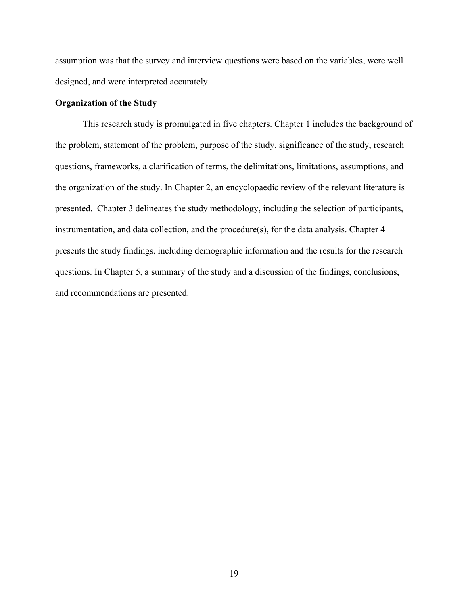assumption was that the survey and interview questions were based on the variables, were well designed, and were interpreted accurately.

## **Organization of the Study**

This research study is promulgated in five chapters. Chapter 1 includes the background of the problem, statement of the problem, purpose of the study, significance of the study, research questions, frameworks, a clarification of terms, the delimitations, limitations, assumptions, and the organization of the study. In Chapter 2, an encyclopaedic review of the relevant literature is presented. Chapter 3 delineates the study methodology, including the selection of participants, instrumentation, and data collection, and the procedure(s), for the data analysis. Chapter 4 presents the study findings, including demographic information and the results for the research questions. In Chapter 5, a summary of the study and a discussion of the findings, conclusions, and recommendations are presented.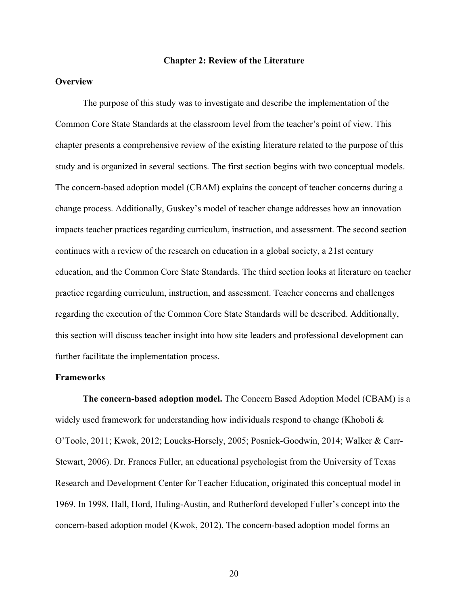#### **Chapter 2: Review of the Literature**

## **Overview**

The purpose of this study was to investigate and describe the implementation of the Common Core State Standards at the classroom level from the teacher's point of view. This chapter presents a comprehensive review of the existing literature related to the purpose of this study and is organized in several sections. The first section begins with two conceptual models. The concern-based adoption model (CBAM) explains the concept of teacher concerns during a change process. Additionally, Guskey's model of teacher change addresses how an innovation impacts teacher practices regarding curriculum, instruction, and assessment. The second section continues with a review of the research on education in a global society, a 21st century education, and the Common Core State Standards. The third section looks at literature on teacher practice regarding curriculum, instruction, and assessment. Teacher concerns and challenges regarding the execution of the Common Core State Standards will be described. Additionally, this section will discuss teacher insight into how site leaders and professional development can further facilitate the implementation process.

#### **Frameworks**

**The concern-based adoption model.** The Concern Based Adoption Model (CBAM) is a widely used framework for understanding how individuals respond to change (Khoboli  $\&$ O'Toole, 2011; Kwok, 2012; Loucks-Horsely, 2005; Posnick-Goodwin, 2014; Walker & Carr-Stewart, 2006). Dr. Frances Fuller, an educational psychologist from the University of Texas Research and Development Center for Teacher Education, originated this conceptual model in 1969. In 1998, Hall, Hord, Huling-Austin, and Rutherford developed Fuller's concept into the concern-based adoption model (Kwok, 2012). The concern-based adoption model forms an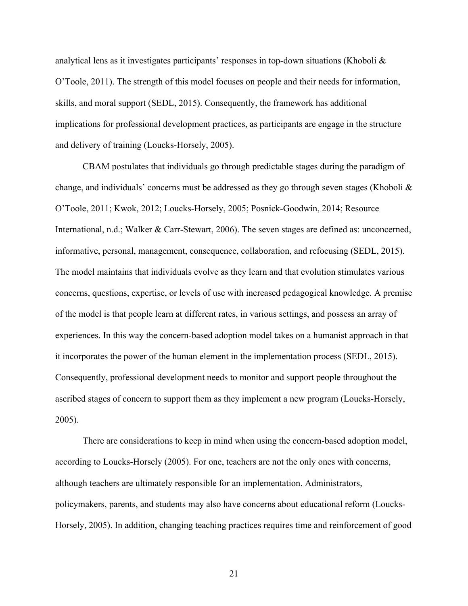analytical lens as it investigates participants' responses in top-down situations (Khoboli & O'Toole, 2011). The strength of this model focuses on people and their needs for information, skills, and moral support (SEDL, 2015). Consequently, the framework has additional implications for professional development practices, as participants are engage in the structure and delivery of training (Loucks-Horsely, 2005).

CBAM postulates that individuals go through predictable stages during the paradigm of change, and individuals' concerns must be addressed as they go through seven stages (Khoboli  $\&$ O'Toole, 2011; Kwok, 2012; Loucks-Horsely, 2005; Posnick-Goodwin, 2014; Resource International, n.d.; Walker & Carr-Stewart, 2006). The seven stages are defined as: unconcerned, informative, personal, management, consequence, collaboration, and refocusing (SEDL, 2015). The model maintains that individuals evolve as they learn and that evolution stimulates various concerns, questions, expertise, or levels of use with increased pedagogical knowledge. A premise of the model is that people learn at different rates, in various settings, and possess an array of experiences. In this way the concern-based adoption model takes on a humanist approach in that it incorporates the power of the human element in the implementation process (SEDL, 2015). Consequently, professional development needs to monitor and support people throughout the ascribed stages of concern to support them as they implement a new program (Loucks-Horsely, 2005).

There are considerations to keep in mind when using the concern-based adoption model, according to Loucks-Horsely (2005). For one, teachers are not the only ones with concerns, although teachers are ultimately responsible for an implementation. Administrators, policymakers, parents, and students may also have concerns about educational reform (Loucks-Horsely, 2005). In addition, changing teaching practices requires time and reinforcement of good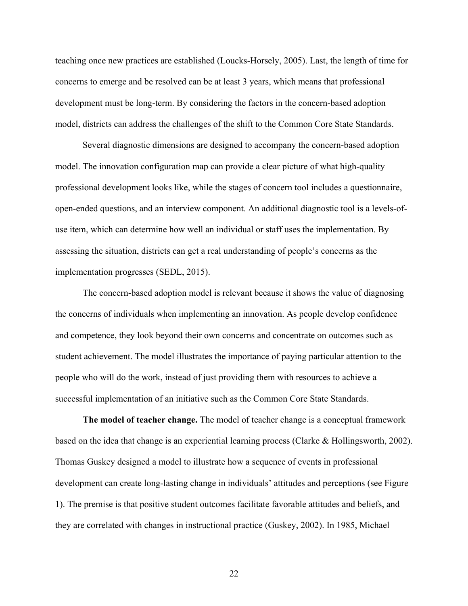teaching once new practices are established (Loucks-Horsely, 2005). Last, the length of time for concerns to emerge and be resolved can be at least 3 years, which means that professional development must be long-term. By considering the factors in the concern-based adoption model, districts can address the challenges of the shift to the Common Core State Standards.

Several diagnostic dimensions are designed to accompany the concern-based adoption model. The innovation configuration map can provide a clear picture of what high-quality professional development looks like, while the stages of concern tool includes a questionnaire, open-ended questions, and an interview component. An additional diagnostic tool is a levels-ofuse item, which can determine how well an individual or staff uses the implementation. By assessing the situation, districts can get a real understanding of people's concerns as the implementation progresses (SEDL, 2015).

The concern-based adoption model is relevant because it shows the value of diagnosing the concerns of individuals when implementing an innovation. As people develop confidence and competence, they look beyond their own concerns and concentrate on outcomes such as student achievement. The model illustrates the importance of paying particular attention to the people who will do the work, instead of just providing them with resources to achieve a successful implementation of an initiative such as the Common Core State Standards.

**The model of teacher change.** The model of teacher change is a conceptual framework based on the idea that change is an experiential learning process (Clarke & Hollingsworth, 2002). Thomas Guskey designed a model to illustrate how a sequence of events in professional development can create long-lasting change in individuals' attitudes and perceptions (see Figure 1). The premise is that positive student outcomes facilitate favorable attitudes and beliefs, and they are correlated with changes in instructional practice (Guskey, 2002). In 1985, Michael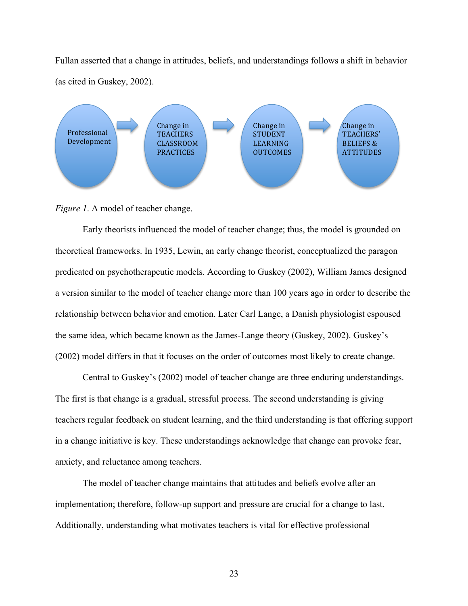Fullan asserted that a change in attitudes, beliefs, and understandings follows a shift in behavior (as cited in Guskey, 2002).



*Figure 1.* A model of teacher change.

Early theorists influenced the model of teacher change; thus, the model is grounded on theoretical frameworks. In 1935, Lewin, an early change theorist, conceptualized the paragon predicated on psychotherapeutic models. According to Guskey (2002), William James designed a version similar to the model of teacher change more than 100 years ago in order to describe the relationship between behavior and emotion. Later Carl Lange, a Danish physiologist espoused the same idea, which became known as the James-Lange theory (Guskey, 2002). Guskey's (2002) model differs in that it focuses on the order of outcomes most likely to create change.

Central to Guskey's (2002) model of teacher change are three enduring understandings. The first is that change is a gradual, stressful process. The second understanding is giving teachers regular feedback on student learning, and the third understanding is that offering support in a change initiative is key. These understandings acknowledge that change can provoke fear, anxiety, and reluctance among teachers.

The model of teacher change maintains that attitudes and beliefs evolve after an implementation; therefore, follow-up support and pressure are crucial for a change to last. Additionally, understanding what motivates teachers is vital for effective professional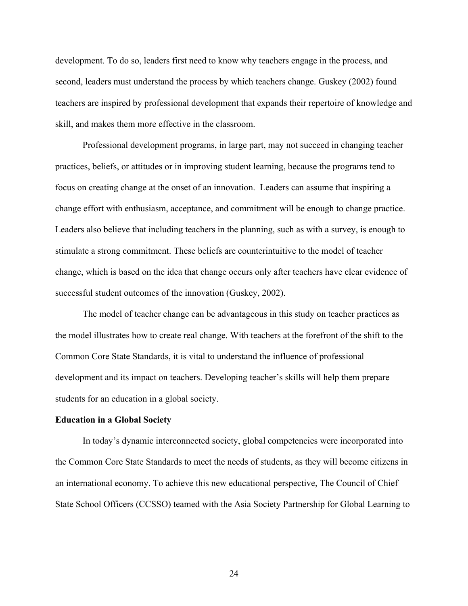development. To do so, leaders first need to know why teachers engage in the process, and second, leaders must understand the process by which teachers change. Guskey (2002) found teachers are inspired by professional development that expands their repertoire of knowledge and skill, and makes them more effective in the classroom.

Professional development programs, in large part, may not succeed in changing teacher practices, beliefs, or attitudes or in improving student learning, because the programs tend to focus on creating change at the onset of an innovation. Leaders can assume that inspiring a change effort with enthusiasm, acceptance, and commitment will be enough to change practice. Leaders also believe that including teachers in the planning, such as with a survey, is enough to stimulate a strong commitment. These beliefs are counterintuitive to the model of teacher change, which is based on the idea that change occurs only after teachers have clear evidence of successful student outcomes of the innovation (Guskey, 2002).

The model of teacher change can be advantageous in this study on teacher practices as the model illustrates how to create real change. With teachers at the forefront of the shift to the Common Core State Standards, it is vital to understand the influence of professional development and its impact on teachers. Developing teacher's skills will help them prepare students for an education in a global society.

### **Education in a Global Society**

In today's dynamic interconnected society, global competencies were incorporated into the Common Core State Standards to meet the needs of students, as they will become citizens in an international economy. To achieve this new educational perspective, The Council of Chief State School Officers (CCSSO) teamed with the Asia Society Partnership for Global Learning to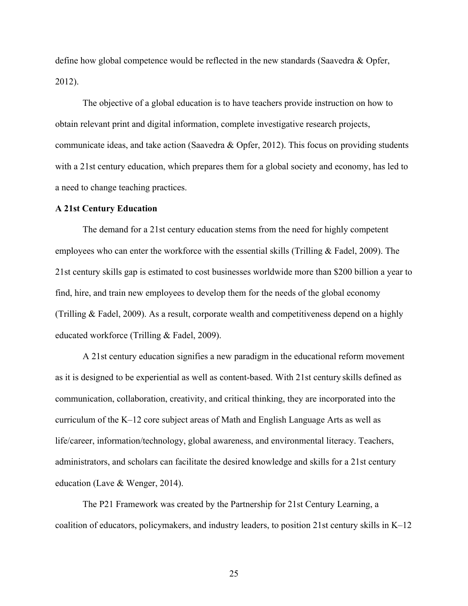define how global competence would be reflected in the new standards (Saavedra & Opfer, 2012).

The objective of a global education is to have teachers provide instruction on how to obtain relevant print and digital information, complete investigative research projects, communicate ideas, and take action (Saavedra & Opfer, 2012). This focus on providing students with a 21st century education, which prepares them for a global society and economy, has led to a need to change teaching practices.

### **A 21st Century Education**

The demand for a 21st century education stems from the need for highly competent employees who can enter the workforce with the essential skills (Trilling & Fadel, 2009). The 21st century skills gap is estimated to cost businesses worldwide more than \$200 billion a year to find, hire, and train new employees to develop them for the needs of the global economy (Trilling & Fadel, 2009). As a result, corporate wealth and competitiveness depend on a highly educated workforce (Trilling & Fadel, 2009).

A 21st century education signifies a new paradigm in the educational reform movement as it is designed to be experiential as well as content-based. With 21st century skills defined as communication, collaboration, creativity, and critical thinking, they are incorporated into the curriculum of the K–12 core subject areas of Math and English Language Arts as well as life/career, information/technology, global awareness, and environmental literacy. Teachers, administrators, and scholars can facilitate the desired knowledge and skills for a 21st century education (Lave & Wenger, 2014).

The P21 Framework was created by the Partnership for 21st Century Learning, a coalition of educators, policymakers, and industry leaders, to position 21st century skills in K–12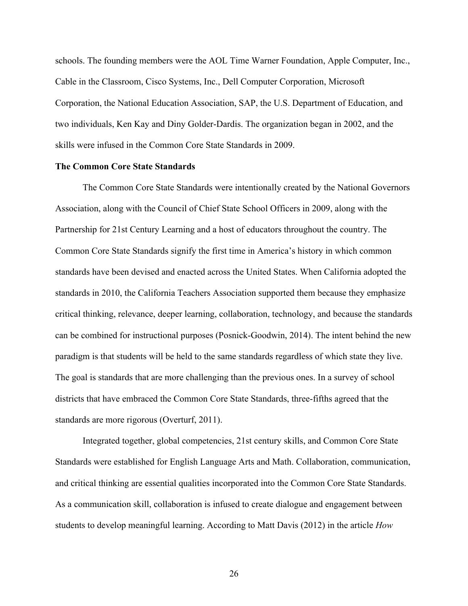schools. The founding members were the AOL Time Warner Foundation, Apple Computer, Inc., Cable in the Classroom, Cisco Systems, Inc., Dell Computer Corporation, Microsoft Corporation, the National Education Association, SAP, the U.S. Department of Education, and two individuals, Ken Kay and Diny Golder-Dardis. The organization began in 2002, and the skills were infused in the Common Core State Standards in 2009.

### **The Common Core State Standards**

The Common Core State Standards were intentionally created by the National Governors Association, along with the Council of Chief State School Officers in 2009, along with the Partnership for 21st Century Learning and a host of educators throughout the country. The Common Core State Standards signify the first time in America's history in which common standards have been devised and enacted across the United States. When California adopted the standards in 2010, the California Teachers Association supported them because they emphasize critical thinking, relevance, deeper learning, collaboration, technology, and because the standards can be combined for instructional purposes (Posnick-Goodwin, 2014). The intent behind the new paradigm is that students will be held to the same standards regardless of which state they live. The goal is standards that are more challenging than the previous ones. In a survey of school districts that have embraced the Common Core State Standards, three-fifths agreed that the standards are more rigorous (Overturf, 2011).

Integrated together, global competencies, 21st century skills, and Common Core State Standards were established for English Language Arts and Math. Collaboration, communication, and critical thinking are essential qualities incorporated into the Common Core State Standards. As a communication skill, collaboration is infused to create dialogue and engagement between students to develop meaningful learning. According to Matt Davis (2012) in the article *How*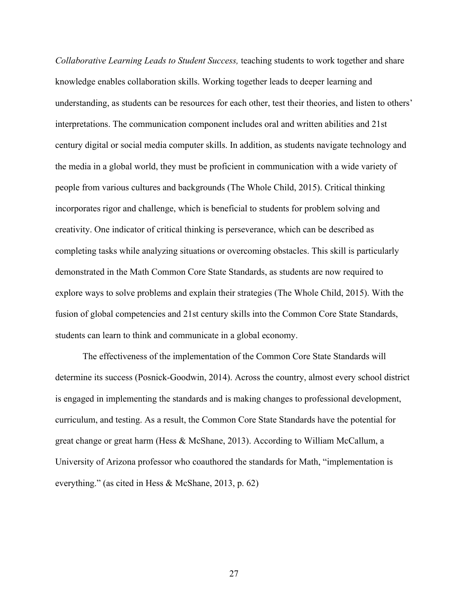*Collaborative Learning Leads to Student Success,* teaching students to work together and share knowledge enables collaboration skills. Working together leads to deeper learning and understanding, as students can be resources for each other, test their theories, and listen to others' interpretations. The communication component includes oral and written abilities and 21st century digital or social media computer skills. In addition, as students navigate technology and the media in a global world, they must be proficient in communication with a wide variety of people from various cultures and backgrounds (The Whole Child, 2015). Critical thinking incorporates rigor and challenge, which is beneficial to students for problem solving and creativity. One indicator of critical thinking is perseverance, which can be described as completing tasks while analyzing situations or overcoming obstacles. This skill is particularly demonstrated in the Math Common Core State Standards, as students are now required to explore ways to solve problems and explain their strategies (The Whole Child, 2015). With the fusion of global competencies and 21st century skills into the Common Core State Standards, students can learn to think and communicate in a global economy.

The effectiveness of the implementation of the Common Core State Standards will determine its success (Posnick-Goodwin, 2014). Across the country, almost every school district is engaged in implementing the standards and is making changes to professional development, curriculum, and testing. As a result, the Common Core State Standards have the potential for great change or great harm (Hess & McShane, 2013). According to William McCallum, a University of Arizona professor who coauthored the standards for Math, "implementation is everything." (as cited in Hess & McShane, 2013, p. 62)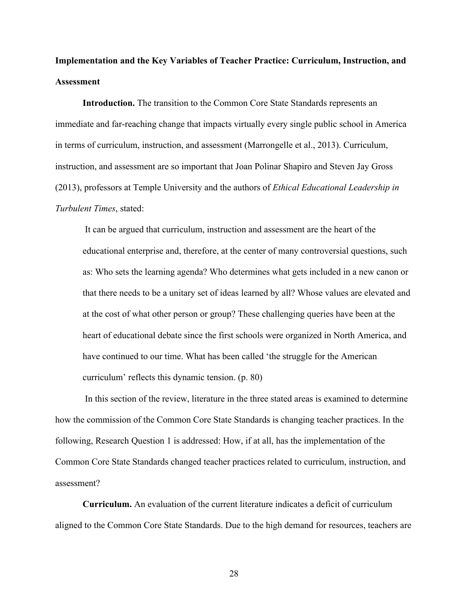# **Implementation and the Key Variables of Teacher Practice: Curriculum, Instruction, and Assessment**

**Introduction.** The transition to the Common Core State Standards represents an immediate and far-reaching change that impacts virtually every single public school in America in terms of curriculum, instruction, and assessment (Marrongelle et al., 2013). Curriculum, instruction, and assessment are so important that Joan Polinar Shapiro and Steven Jay Gross (2013), professors at Temple University and the authors of *Ethical Educational Leadership in Turbulent Times*, stated:

It can be argued that curriculum, instruction and assessment are the heart of the educational enterprise and, therefore, at the center of many controversial questions, such as: Who sets the learning agenda? Who determines what gets included in a new canon or that there needs to be a unitary set of ideas learned by all? Whose values are elevated and at the cost of what other person or group? These challenging queries have been at the heart of educational debate since the first schools were organized in North America, and have continued to our time. What has been called 'the struggle for the American curriculum' reflects this dynamic tension. (p. 80)

In this section of the review, literature in the three stated areas is examined to determine how the commission of the Common Core State Standards is changing teacher practices. In the following, Research Question 1 is addressed: How, if at all, has the implementation of the Common Core State Standards changed teacher practices related to curriculum, instruction, and assessment?

**Curriculum.** An evaluation of the current literature indicates a deficit of curriculum aligned to the Common Core State Standards. Due to the high demand for resources, teachers are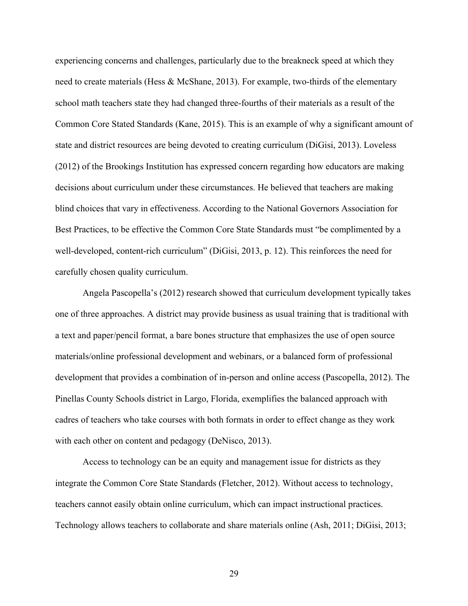experiencing concerns and challenges, particularly due to the breakneck speed at which they need to create materials (Hess & McShane, 2013). For example, two-thirds of the elementary school math teachers state they had changed three-fourths of their materials as a result of the Common Core Stated Standards (Kane, 2015). This is an example of why a significant amount of state and district resources are being devoted to creating curriculum (DiGisi, 2013). Loveless (2012) of the Brookings Institution has expressed concern regarding how educators are making decisions about curriculum under these circumstances. He believed that teachers are making blind choices that vary in effectiveness. According to the National Governors Association for Best Practices, to be effective the Common Core State Standards must "be complimented by a well-developed, content-rich curriculum" (DiGisi, 2013, p. 12). This reinforces the need for carefully chosen quality curriculum.

Angela Pascopella's (2012) research showed that curriculum development typically takes one of three approaches. A district may provide business as usual training that is traditional with a text and paper/pencil format, a bare bones structure that emphasizes the use of open source materials/online professional development and webinars, or a balanced form of professional development that provides a combination of in-person and online access (Pascopella, 2012). The Pinellas County Schools district in Largo, Florida, exemplifies the balanced approach with cadres of teachers who take courses with both formats in order to effect change as they work with each other on content and pedagogy (DeNisco, 2013).

Access to technology can be an equity and management issue for districts as they integrate the Common Core State Standards (Fletcher, 2012). Without access to technology, teachers cannot easily obtain online curriculum, which can impact instructional practices. Technology allows teachers to collaborate and share materials online (Ash, 2011; DiGisi, 2013;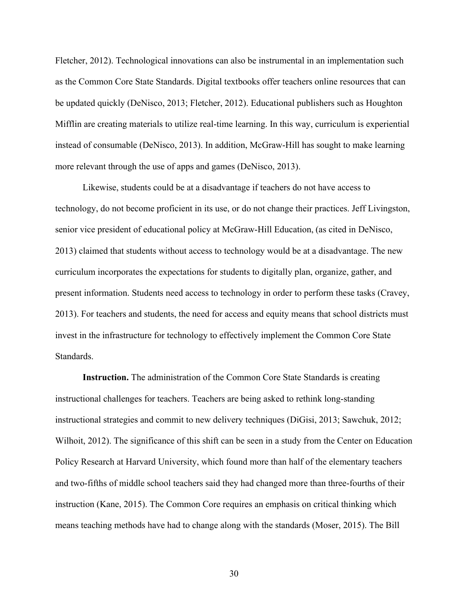Fletcher, 2012). Technological innovations can also be instrumental in an implementation such as the Common Core State Standards. Digital textbooks offer teachers online resources that can be updated quickly (DeNisco, 2013; Fletcher, 2012). Educational publishers such as Houghton Mifflin are creating materials to utilize real-time learning. In this way, curriculum is experiential instead of consumable (DeNisco, 2013). In addition, McGraw-Hill has sought to make learning more relevant through the use of apps and games (DeNisco, 2013).

Likewise, students could be at a disadvantage if teachers do not have access to technology, do not become proficient in its use, or do not change their practices. Jeff Livingston, senior vice president of educational policy at McGraw-Hill Education, (as cited in DeNisco, 2013) claimed that students without access to technology would be at a disadvantage. The new curriculum incorporates the expectations for students to digitally plan, organize, gather, and present information. Students need access to technology in order to perform these tasks (Cravey, 2013). For teachers and students, the need for access and equity means that school districts must invest in the infrastructure for technology to effectively implement the Common Core State **Standards** 

**Instruction.** The administration of the Common Core State Standards is creating instructional challenges for teachers. Teachers are being asked to rethink long-standing instructional strategies and commit to new delivery techniques (DiGisi, 2013; Sawchuk, 2012; Wilhoit, 2012). The significance of this shift can be seen in a study from the Center on Education Policy Research at Harvard University, which found more than half of the elementary teachers and two-fifths of middle school teachers said they had changed more than three-fourths of their instruction (Kane, 2015). The Common Core requires an emphasis on critical thinking which means teaching methods have had to change along with the standards (Moser, 2015). The Bill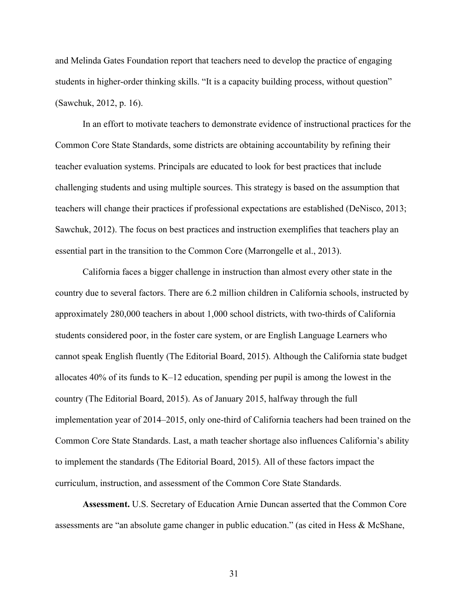and Melinda Gates Foundation report that teachers need to develop the practice of engaging students in higher-order thinking skills. "It is a capacity building process, without question" (Sawchuk, 2012, p. 16).

In an effort to motivate teachers to demonstrate evidence of instructional practices for the Common Core State Standards, some districts are obtaining accountability by refining their teacher evaluation systems. Principals are educated to look for best practices that include challenging students and using multiple sources. This strategy is based on the assumption that teachers will change their practices if professional expectations are established (DeNisco, 2013; Sawchuk, 2012). The focus on best practices and instruction exemplifies that teachers play an essential part in the transition to the Common Core (Marrongelle et al., 2013).

California faces a bigger challenge in instruction than almost every other state in the country due to several factors. There are 6.2 million children in California schools, instructed by approximately 280,000 teachers in about 1,000 school districts, with two-thirds of California students considered poor, in the foster care system, or are English Language Learners who cannot speak English fluently (The Editorial Board, 2015). Although the California state budget allocates 40% of its funds to K–12 education, spending per pupil is among the lowest in the country (The Editorial Board, 2015). As of January 2015, halfway through the full implementation year of 2014–2015, only one-third of California teachers had been trained on the Common Core State Standards. Last, a math teacher shortage also influences California's ability to implement the standards (The Editorial Board, 2015). All of these factors impact the curriculum, instruction, and assessment of the Common Core State Standards.

**Assessment.** U.S. Secretary of Education Arnie Duncan asserted that the Common Core assessments are "an absolute game changer in public education." (as cited in Hess & McShane,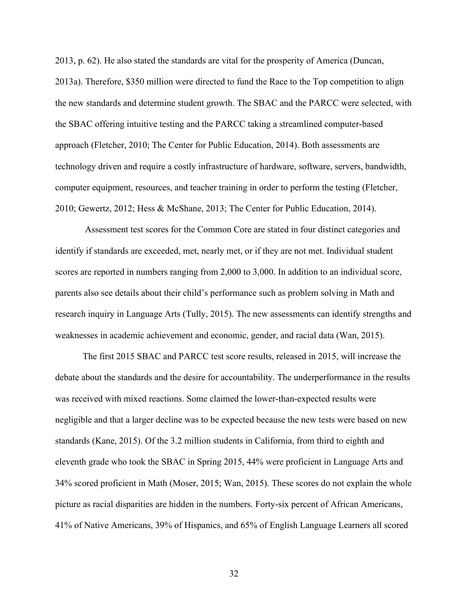2013, p. 62). He also stated the standards are vital for the prosperity of America (Duncan, 2013a). Therefore, \$350 million were directed to fund the Race to the Top competition to align the new standards and determine student growth. The SBAC and the PARCC were selected, with the SBAC offering intuitive testing and the PARCC taking a streamlined computer-based approach (Fletcher, 2010; The Center for Public Education, 2014). Both assessments are technology driven and require a costly infrastructure of hardware, software, servers, bandwidth, computer equipment, resources, and teacher training in order to perform the testing (Fletcher, 2010; Gewertz, 2012; Hess & McShane, 2013; The Center for Public Education, 2014).

Assessment test scores for the Common Core are stated in four distinct categories and identify if standards are exceeded, met, nearly met, or if they are not met. Individual student scores are reported in numbers ranging from 2,000 to 3,000. In addition to an individual score, parents also see details about their child's performance such as problem solving in Math and research inquiry in Language Arts (Tully, 2015). The new assessments can identify strengths and weaknesses in academic achievement and economic, gender, and racial data (Wan, 2015).

The first 2015 SBAC and PARCC test score results, released in 2015, will increase the debate about the standards and the desire for accountability. The underperformance in the results was received with mixed reactions. Some claimed the lower-than-expected results were negligible and that a larger decline was to be expected because the new tests were based on new standards (Kane, 2015). Of the 3.2 million students in California, from third to eighth and eleventh grade who took the SBAC in Spring 2015, 44% were proficient in Language Arts and 34% scored proficient in Math (Moser, 2015; Wan, 2015). These scores do not explain the whole picture as racial disparities are hidden in the numbers. Forty-six percent of African Americans, 41% of Native Americans, 39% of Hispanics, and 65% of English Language Learners all scored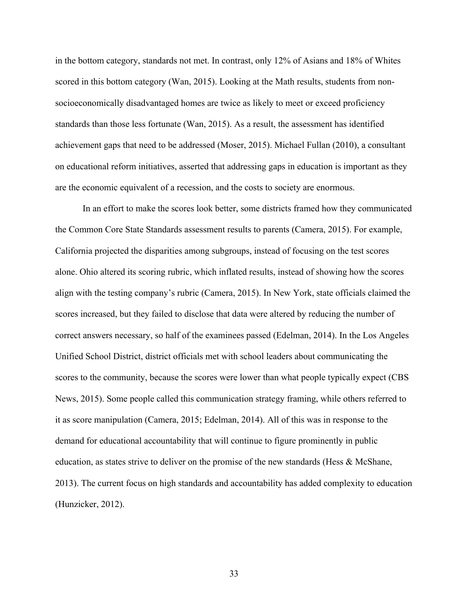in the bottom category, standards not met. In contrast, only 12% of Asians and 18% of Whites scored in this bottom category (Wan, 2015). Looking at the Math results, students from nonsocioeconomically disadvantaged homes are twice as likely to meet or exceed proficiency standards than those less fortunate (Wan, 2015). As a result, the assessment has identified achievement gaps that need to be addressed (Moser, 2015). Michael Fullan (2010), a consultant on educational reform initiatives, asserted that addressing gaps in education is important as they are the economic equivalent of a recession, and the costs to society are enormous.

In an effort to make the scores look better, some districts framed how they communicated the Common Core State Standards assessment results to parents (Camera, 2015). For example, California projected the disparities among subgroups, instead of focusing on the test scores alone. Ohio altered its scoring rubric, which inflated results, instead of showing how the scores align with the testing company's rubric (Camera, 2015). In New York, state officials claimed the scores increased, but they failed to disclose that data were altered by reducing the number of correct answers necessary, so half of the examinees passed (Edelman, 2014). In the Los Angeles Unified School District, district officials met with school leaders about communicating the scores to the community, because the scores were lower than what people typically expect (CBS News, 2015). Some people called this communication strategy framing, while others referred to it as score manipulation (Camera, 2015; Edelman, 2014). All of this was in response to the demand for educational accountability that will continue to figure prominently in public education, as states strive to deliver on the promise of the new standards (Hess & McShane, 2013). The current focus on high standards and accountability has added complexity to education (Hunzicker, 2012).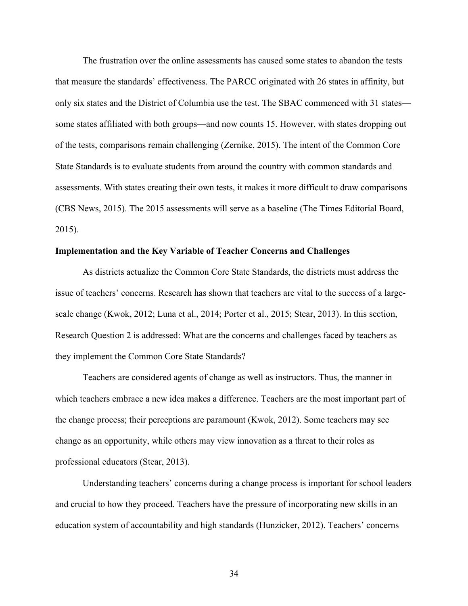The frustration over the online assessments has caused some states to abandon the tests that measure the standards' effectiveness. The PARCC originated with 26 states in affinity, but only six states and the District of Columbia use the test. The SBAC commenced with 31 states some states affiliated with both groups—and now counts 15. However, with states dropping out of the tests, comparisons remain challenging (Zernike, 2015). The intent of the Common Core State Standards is to evaluate students from around the country with common standards and assessments. With states creating their own tests, it makes it more difficult to draw comparisons (CBS News, 2015). The 2015 assessments will serve as a baseline (The Times Editorial Board, 2015).

### **Implementation and the Key Variable of Teacher Concerns and Challenges**

As districts actualize the Common Core State Standards, the districts must address the issue of teachers' concerns. Research has shown that teachers are vital to the success of a largescale change (Kwok, 2012; Luna et al., 2014; Porter et al., 2015; Stear, 2013). In this section, Research Question 2 is addressed: What are the concerns and challenges faced by teachers as they implement the Common Core State Standards?

Teachers are considered agents of change as well as instructors. Thus, the manner in which teachers embrace a new idea makes a difference. Teachers are the most important part of the change process; their perceptions are paramount (Kwok, 2012). Some teachers may see change as an opportunity, while others may view innovation as a threat to their roles as professional educators (Stear, 2013).

Understanding teachers' concerns during a change process is important for school leaders and crucial to how they proceed. Teachers have the pressure of incorporating new skills in an education system of accountability and high standards (Hunzicker, 2012). Teachers' concerns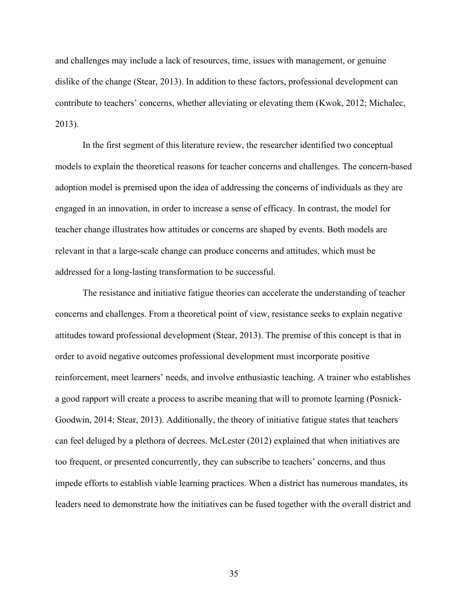and challenges may include a lack of resources, time, issues with management, or genuine dislike of the change (Stear, 2013). In addition to these factors, professional development can contribute to teachers' concerns, whether alleviating or elevating them (Kwok, 2012; Michalec, 2013).

In the first segment of this literature review, the researcher identified two conceptual models to explain the theoretical reasons for teacher concerns and challenges. The concern-based adoption model is premised upon the idea of addressing the concerns of individuals as they are engaged in an innovation, in order to increase a sense of efficacy. In contrast, the model for teacher change illustrates how attitudes or concerns are shaped by events. Both models are relevant in that a large-scale change can produce concerns and attitudes, which must be addressed for a long-lasting transformation to be successful.

The resistance and initiative fatigue theories can accelerate the understanding of teacher concerns and challenges. From a theoretical point of view, resistance seeks to explain negative attitudes toward professional development (Stear, 2013). The premise of this concept is that in order to avoid negative outcomes professional development must incorporate positive reinforcement, meet learners' needs, and involve enthusiastic teaching. A trainer who establishes a good rapport will create a process to ascribe meaning that will to promote learning (Posnick-Goodwin, 2014; Stear, 2013). Additionally, the theory of initiative fatigue states that teachers can feel deluged by a plethora of decrees. McLester (2012) explained that when initiatives are too frequent, or presented concurrently, they can subscribe to teachers' concerns, and thus impede efforts to establish viable learning practices. When a district has numerous mandates, its leaders need to demonstrate how the initiatives can be fused together with the overall district and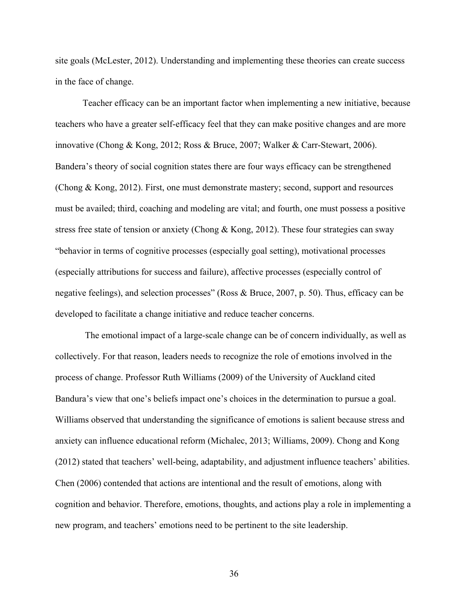site goals (McLester, 2012). Understanding and implementing these theories can create success in the face of change.

Teacher efficacy can be an important factor when implementing a new initiative, because teachers who have a greater self-efficacy feel that they can make positive changes and are more innovative (Chong & Kong, 2012; Ross & Bruce, 2007; Walker & Carr-Stewart, 2006). Bandera's theory of social cognition states there are four ways efficacy can be strengthened (Chong & Kong, 2012). First, one must demonstrate mastery; second, support and resources must be availed; third, coaching and modeling are vital; and fourth, one must possess a positive stress free state of tension or anxiety (Chong & Kong, 2012). These four strategies can sway "behavior in terms of cognitive processes (especially goal setting), motivational processes (especially attributions for success and failure), affective processes (especially control of negative feelings), and selection processes" (Ross & Bruce, 2007, p. 50). Thus, efficacy can be developed to facilitate a change initiative and reduce teacher concerns.

The emotional impact of a large-scale change can be of concern individually, as well as collectively. For that reason, leaders needs to recognize the role of emotions involved in the process of change. Professor Ruth Williams (2009) of the University of Auckland cited Bandura's view that one's beliefs impact one's choices in the determination to pursue a goal. Williams observed that understanding the significance of emotions is salient because stress and anxiety can influence educational reform (Michalec, 2013; Williams, 2009). Chong and Kong (2012) stated that teachers' well-being, adaptability, and adjustment influence teachers' abilities. Chen (2006) contended that actions are intentional and the result of emotions, along with cognition and behavior. Therefore, emotions, thoughts, and actions play a role in implementing a new program, and teachers' emotions need to be pertinent to the site leadership.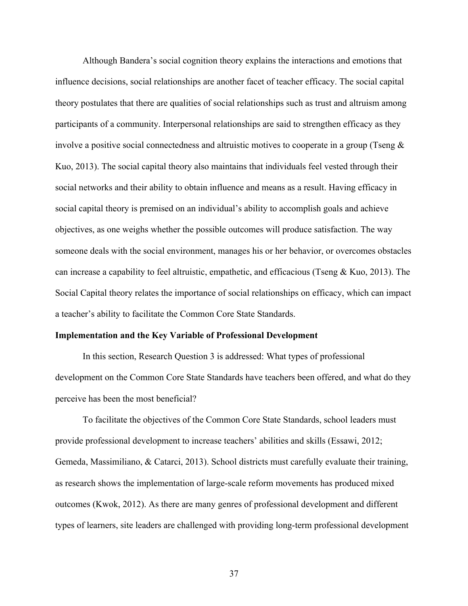Although Bandera's social cognition theory explains the interactions and emotions that influence decisions, social relationships are another facet of teacher efficacy. The social capital theory postulates that there are qualities of social relationships such as trust and altruism among participants of a community. Interpersonal relationships are said to strengthen efficacy as they involve a positive social connectedness and altruistic motives to cooperate in a group (Tseng  $\&$ Kuo, 2013). The social capital theory also maintains that individuals feel vested through their social networks and their ability to obtain influence and means as a result. Having efficacy in social capital theory is premised on an individual's ability to accomplish goals and achieve objectives, as one weighs whether the possible outcomes will produce satisfaction. The way someone deals with the social environment, manages his or her behavior, or overcomes obstacles can increase a capability to feel altruistic, empathetic, and efficacious (Tseng & Kuo, 2013). The Social Capital theory relates the importance of social relationships on efficacy, which can impact a teacher's ability to facilitate the Common Core State Standards.

### **Implementation and the Key Variable of Professional Development**

In this section, Research Question 3 is addressed: What types of professional development on the Common Core State Standards have teachers been offered, and what do they perceive has been the most beneficial?

To facilitate the objectives of the Common Core State Standards, school leaders must provide professional development to increase teachers' abilities and skills (Essawi, 2012; Gemeda, Massimiliano, & Catarci, 2013). School districts must carefully evaluate their training, as research shows the implementation of large-scale reform movements has produced mixed outcomes (Kwok, 2012). As there are many genres of professional development and different types of learners, site leaders are challenged with providing long-term professional development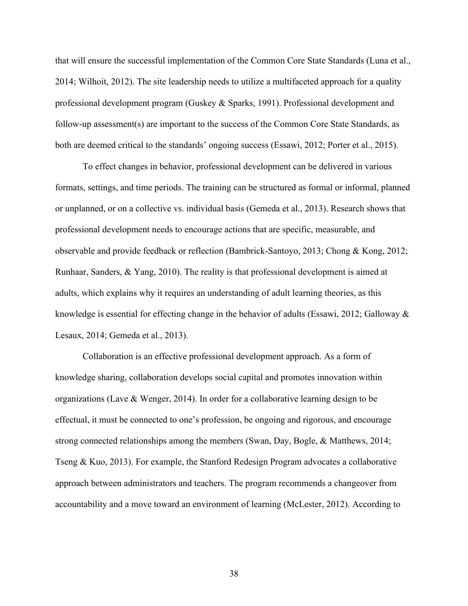that will ensure the successful implementation of the Common Core State Standards (Luna et al., 2014; Wilhoit, 2012). The site leadership needs to utilize a multifaceted approach for a quality professional development program (Guskey & Sparks, 1991). Professional development and follow-up assessment(s) are important to the success of the Common Core State Standards, as both are deemed critical to the standards' ongoing success (Essawi, 2012; Porter et al., 2015).

To effect changes in behavior, professional development can be delivered in various formats, settings, and time periods. The training can be structured as formal or informal, planned or unplanned, or on a collective vs. individual basis (Gemeda et al., 2013). Research shows that professional development needs to encourage actions that are specific, measurable, and observable and provide feedback or reflection (Bambrick-Santoyo, 2013; Chong & Kong, 2012; Runhaar, Sanders, & Yang, 2010). The reality is that professional development is aimed at adults, which explains why it requires an understanding of adult learning theories, as this knowledge is essential for effecting change in the behavior of adults (Essawi, 2012; Galloway & Lesaux, 2014; Gemeda et al., 2013).

Collaboration is an effective professional development approach. As a form of knowledge sharing, collaboration develops social capital and promotes innovation within organizations (Lave & Wenger, 2014). In order for a collaborative learning design to be effectual, it must be connected to one's profession, be ongoing and rigorous, and encourage strong connected relationships among the members (Swan, Day, Bogle, & Matthews, 2014; Tseng & Kuo, 2013). For example, the Stanford Redesign Program advocates a collaborative approach between administrators and teachers. The program recommends a changeover from accountability and a move toward an environment of learning (McLester, 2012). According to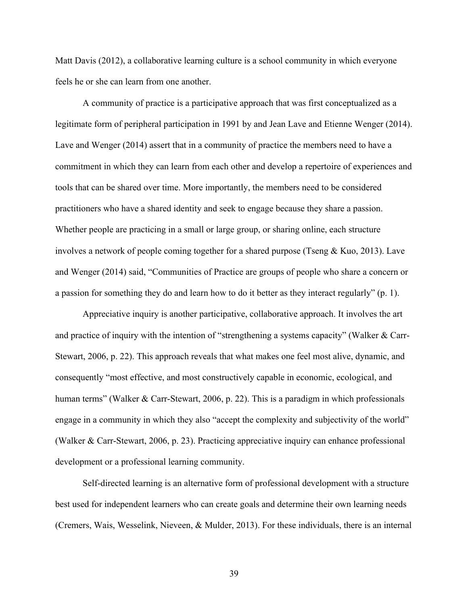Matt Davis (2012), a collaborative learning culture is a school community in which everyone feels he or she can learn from one another.

A community of practice is a participative approach that was first conceptualized as a legitimate form of peripheral participation in 1991 by and Jean Lave and Etienne Wenger (2014). Lave and Wenger (2014) assert that in a community of practice the members need to have a commitment in which they can learn from each other and develop a repertoire of experiences and tools that can be shared over time. More importantly, the members need to be considered practitioners who have a shared identity and seek to engage because they share a passion. Whether people are practicing in a small or large group, or sharing online, each structure involves a network of people coming together for a shared purpose (Tseng  $& Kuo, 2013$ ). Lave and Wenger (2014) said, "Communities of Practice are groups of people who share a concern or a passion for something they do and learn how to do it better as they interact regularly" (p. 1).

Appreciative inquiry is another participative, collaborative approach. It involves the art and practice of inquiry with the intention of "strengthening a systems capacity" (Walker & Carr-Stewart, 2006, p. 22). This approach reveals that what makes one feel most alive, dynamic, and consequently "most effective, and most constructively capable in economic, ecological, and human terms" (Walker & Carr-Stewart, 2006, p. 22). This is a paradigm in which professionals engage in a community in which they also "accept the complexity and subjectivity of the world" (Walker & Carr-Stewart, 2006, p. 23). Practicing appreciative inquiry can enhance professional development or a professional learning community.

Self-directed learning is an alternative form of professional development with a structure best used for independent learners who can create goals and determine their own learning needs (Cremers, Wais, Wesselink, Nieveen, & Mulder, 2013). For these individuals, there is an internal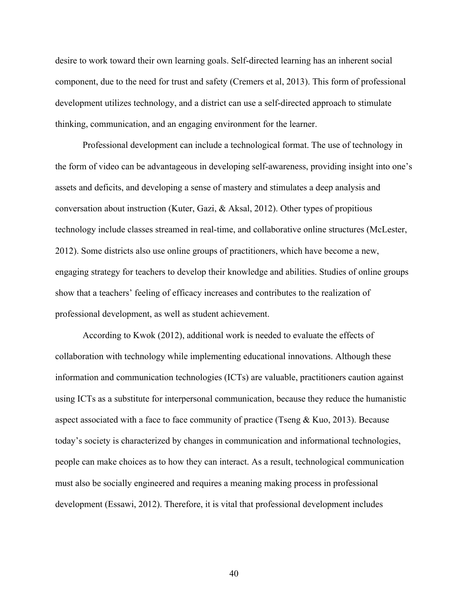desire to work toward their own learning goals. Self-directed learning has an inherent social component, due to the need for trust and safety (Cremers et al, 2013). This form of professional development utilizes technology, and a district can use a self-directed approach to stimulate thinking, communication, and an engaging environment for the learner.

Professional development can include a technological format. The use of technology in the form of video can be advantageous in developing self-awareness, providing insight into one's assets and deficits, and developing a sense of mastery and stimulates a deep analysis and conversation about instruction (Kuter, Gazi, & Aksal, 2012). Other types of propitious technology include classes streamed in real-time, and collaborative online structures (McLester, 2012). Some districts also use online groups of practitioners, which have become a new, engaging strategy for teachers to develop their knowledge and abilities. Studies of online groups show that a teachers' feeling of efficacy increases and contributes to the realization of professional development, as well as student achievement.

According to Kwok (2012), additional work is needed to evaluate the effects of collaboration with technology while implementing educational innovations. Although these information and communication technologies (ICTs) are valuable, practitioners caution against using ICTs as a substitute for interpersonal communication, because they reduce the humanistic aspect associated with a face to face community of practice (Tseng  $& Kuo, 2013$ ). Because today's society is characterized by changes in communication and informational technologies, people can make choices as to how they can interact. As a result, technological communication must also be socially engineered and requires a meaning making process in professional development (Essawi, 2012). Therefore, it is vital that professional development includes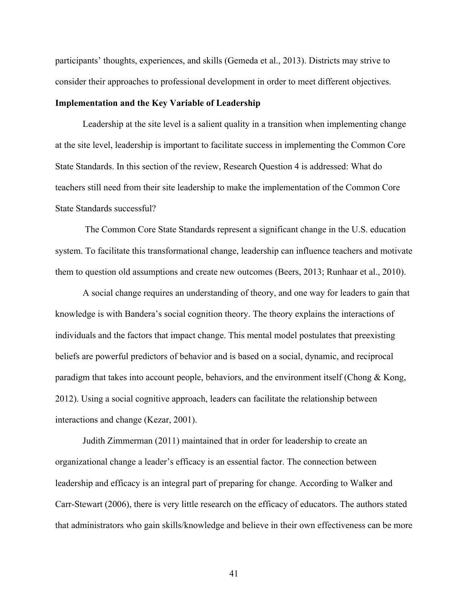participants' thoughts, experiences, and skills (Gemeda et al., 2013). Districts may strive to consider their approaches to professional development in order to meet different objectives.

### **Implementation and the Key Variable of Leadership**

Leadership at the site level is a salient quality in a transition when implementing change at the site level, leadership is important to facilitate success in implementing the Common Core State Standards. In this section of the review, Research Question 4 is addressed: What do teachers still need from their site leadership to make the implementation of the Common Core State Standards successful?

The Common Core State Standards represent a significant change in the U.S. education system. To facilitate this transformational change, leadership can influence teachers and motivate them to question old assumptions and create new outcomes (Beers, 2013; Runhaar et al., 2010).

A social change requires an understanding of theory, and one way for leaders to gain that knowledge is with Bandera's social cognition theory. The theory explains the interactions of individuals and the factors that impact change. This mental model postulates that preexisting beliefs are powerful predictors of behavior and is based on a social, dynamic, and reciprocal paradigm that takes into account people, behaviors, and the environment itself (Chong & Kong, 2012). Using a social cognitive approach, leaders can facilitate the relationship between interactions and change (Kezar, 2001).

Judith Zimmerman (2011) maintained that in order for leadership to create an organizational change a leader's efficacy is an essential factor. The connection between leadership and efficacy is an integral part of preparing for change. According to Walker and Carr-Stewart (2006), there is very little research on the efficacy of educators. The authors stated that administrators who gain skills/knowledge and believe in their own effectiveness can be more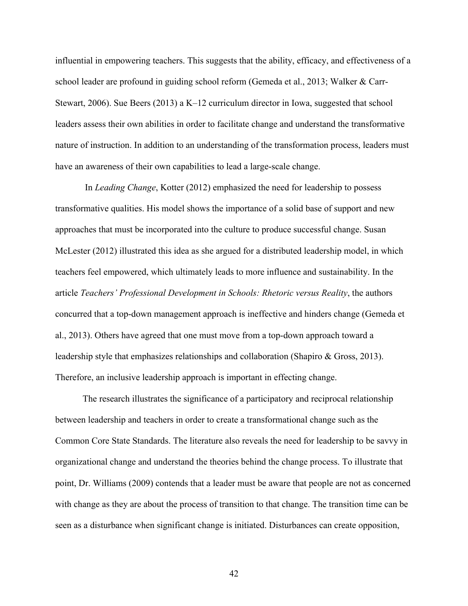influential in empowering teachers. This suggests that the ability, efficacy, and effectiveness of a school leader are profound in guiding school reform (Gemeda et al., 2013; Walker & Carr-Stewart, 2006). Sue Beers (2013) a K–12 curriculum director in Iowa, suggested that school leaders assess their own abilities in order to facilitate change and understand the transformative nature of instruction. In addition to an understanding of the transformation process, leaders must have an awareness of their own capabilities to lead a large-scale change.

In *Leading Change*, Kotter (2012) emphasized the need for leadership to possess transformative qualities. His model shows the importance of a solid base of support and new approaches that must be incorporated into the culture to produce successful change. Susan McLester (2012) illustrated this idea as she argued for a distributed leadership model, in which teachers feel empowered, which ultimately leads to more influence and sustainability. In the article *Teachers' Professional Development in Schools: Rhetoric versus Reality*, the authors concurred that a top-down management approach is ineffective and hinders change (Gemeda et al., 2013). Others have agreed that one must move from a top-down approach toward a leadership style that emphasizes relationships and collaboration (Shapiro & Gross, 2013). Therefore, an inclusive leadership approach is important in effecting change.

The research illustrates the significance of a participatory and reciprocal relationship between leadership and teachers in order to create a transformational change such as the Common Core State Standards. The literature also reveals the need for leadership to be savvy in organizational change and understand the theories behind the change process. To illustrate that point, Dr. Williams (2009) contends that a leader must be aware that people are not as concerned with change as they are about the process of transition to that change. The transition time can be seen as a disturbance when significant change is initiated. Disturbances can create opposition,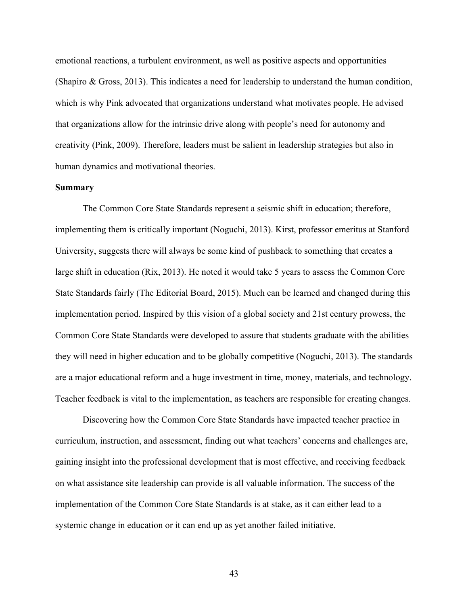emotional reactions, a turbulent environment, as well as positive aspects and opportunities (Shapiro & Gross, 2013). This indicates a need for leadership to understand the human condition, which is why Pink advocated that organizations understand what motivates people. He advised that organizations allow for the intrinsic drive along with people's need for autonomy and creativity (Pink, 2009). Therefore, leaders must be salient in leadership strategies but also in human dynamics and motivational theories.

### **Summary**

The Common Core State Standards represent a seismic shift in education; therefore, implementing them is critically important (Noguchi, 2013). Kirst, professor emeritus at Stanford University, suggests there will always be some kind of pushback to something that creates a large shift in education (Rix, 2013). He noted it would take 5 years to assess the Common Core State Standards fairly (The Editorial Board, 2015). Much can be learned and changed during this implementation period. Inspired by this vision of a global society and 21st century prowess, the Common Core State Standards were developed to assure that students graduate with the abilities they will need in higher education and to be globally competitive (Noguchi, 2013). The standards are a major educational reform and a huge investment in time, money, materials, and technology. Teacher feedback is vital to the implementation, as teachers are responsible for creating changes.

Discovering how the Common Core State Standards have impacted teacher practice in curriculum, instruction, and assessment, finding out what teachers' concerns and challenges are, gaining insight into the professional development that is most effective, and receiving feedback on what assistance site leadership can provide is all valuable information. The success of the implementation of the Common Core State Standards is at stake, as it can either lead to a systemic change in education or it can end up as yet another failed initiative.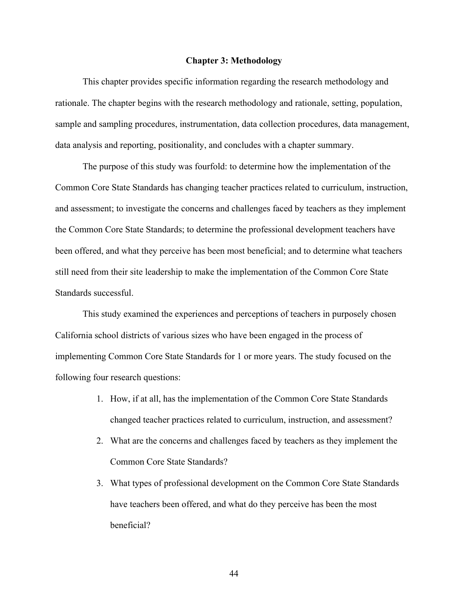#### **Chapter 3: Methodology**

This chapter provides specific information regarding the research methodology and rationale. The chapter begins with the research methodology and rationale, setting, population, sample and sampling procedures, instrumentation, data collection procedures, data management, data analysis and reporting, positionality, and concludes with a chapter summary.

The purpose of this study was fourfold: to determine how the implementation of the Common Core State Standards has changing teacher practices related to curriculum, instruction, and assessment; to investigate the concerns and challenges faced by teachers as they implement the Common Core State Standards; to determine the professional development teachers have been offered, and what they perceive has been most beneficial; and to determine what teachers still need from their site leadership to make the implementation of the Common Core State Standards successful.

This study examined the experiences and perceptions of teachers in purposely chosen California school districts of various sizes who have been engaged in the process of implementing Common Core State Standards for 1 or more years. The study focused on the following four research questions:

- 1. How, if at all, has the implementation of the Common Core State Standards changed teacher practices related to curriculum, instruction, and assessment?
- 2. What are the concerns and challenges faced by teachers as they implement the Common Core State Standards?
- 3. What types of professional development on the Common Core State Standards have teachers been offered, and what do they perceive has been the most beneficial?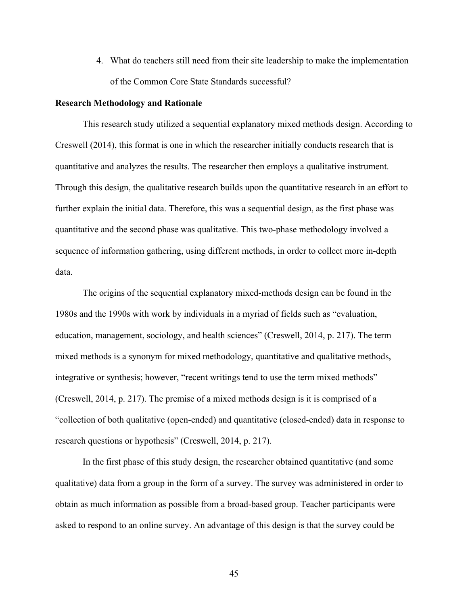4. What do teachers still need from their site leadership to make the implementation of the Common Core State Standards successful?

### **Research Methodology and Rationale**

This research study utilized a sequential explanatory mixed methods design. According to Creswell (2014), this format is one in which the researcher initially conducts research that is quantitative and analyzes the results. The researcher then employs a qualitative instrument. Through this design, the qualitative research builds upon the quantitative research in an effort to further explain the initial data. Therefore, this was a sequential design, as the first phase was quantitative and the second phase was qualitative. This two-phase methodology involved a sequence of information gathering, using different methods, in order to collect more in-depth data.

The origins of the sequential explanatory mixed-methods design can be found in the 1980s and the 1990s with work by individuals in a myriad of fields such as "evaluation, education, management, sociology, and health sciences" (Creswell, 2014, p. 217). The term mixed methods is a synonym for mixed methodology, quantitative and qualitative methods, integrative or synthesis; however, "recent writings tend to use the term mixed methods" (Creswell, 2014, p. 217). The premise of a mixed methods design is it is comprised of a "collection of both qualitative (open-ended) and quantitative (closed-ended) data in response to research questions or hypothesis" (Creswell, 2014, p. 217).

In the first phase of this study design, the researcher obtained quantitative (and some qualitative) data from a group in the form of a survey. The survey was administered in order to obtain as much information as possible from a broad-based group. Teacher participants were asked to respond to an online survey. An advantage of this design is that the survey could be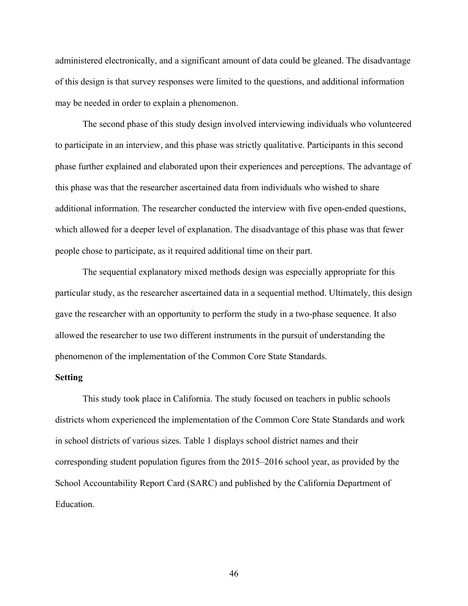administered electronically, and a significant amount of data could be gleaned. The disadvantage of this design is that survey responses were limited to the questions, and additional information may be needed in order to explain a phenomenon.

The second phase of this study design involved interviewing individuals who volunteered to participate in an interview, and this phase was strictly qualitative. Participants in this second phase further explained and elaborated upon their experiences and perceptions. The advantage of this phase was that the researcher ascertained data from individuals who wished to share additional information. The researcher conducted the interview with five open-ended questions, which allowed for a deeper level of explanation. The disadvantage of this phase was that fewer people chose to participate, as it required additional time on their part.

The sequential explanatory mixed methods design was especially appropriate for this particular study, as the researcher ascertained data in a sequential method. Ultimately, this design gave the researcher with an opportunity to perform the study in a two-phase sequence. It also allowed the researcher to use two different instruments in the pursuit of understanding the phenomenon of the implementation of the Common Core State Standards.

### **Setting**

This study took place in California. The study focused on teachers in public schools districts whom experienced the implementation of the Common Core State Standards and work in school districts of various sizes. Table 1 displays school district names and their corresponding student population figures from the 2015–2016 school year, as provided by the School Accountability Report Card (SARC) and published by the California Department of Education.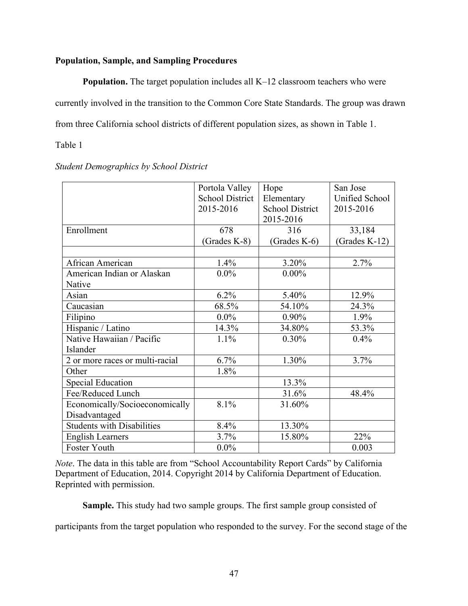### **Population, Sample, and Sampling Procedures**

**Population.** The target population includes all K–12 classroom teachers who were currently involved in the transition to the Common Core State Standards. The group was drawn from three California school districts of different population sizes, as shown in Table 1.

Table 1

|                                 | Portola Valley         | Hope                   | San Jose       |
|---------------------------------|------------------------|------------------------|----------------|
|                                 | <b>School District</b> | Elementary             | Unified School |
|                                 | 2015-2016              | <b>School District</b> | 2015-2016      |
|                                 |                        | 2015-2016              |                |
| Enrollment                      | 678                    | 316                    | 33,184         |
|                                 | (Grades K-8)           | $(Grades K-6)$         | (Grades K-12)  |
|                                 |                        |                        |                |
| African American                | 1.4%                   | 3.20%                  | 2.7%           |
| American Indian or Alaskan      | $0.0\%$                | $0.00\%$               |                |
| Native                          |                        |                        |                |
| Asian                           | 6.2%                   | 5.40%                  | 12.9%          |
| Caucasian                       | 68.5%                  | 54.10%                 | 24.3%          |
| Filipino                        | $0.0\%$                | $0.90\%$               | 1.9%           |
| Hispanic / Latino               | 14.3%                  | 34.80%                 | 53.3%          |
| Native Hawaiian / Pacific       | 1.1%                   | 0.30%                  | 0.4%           |
| Islander                        |                        |                        |                |
| 2 or more races or multi-racial | 6.7%                   | 1.30%                  | 3.7%           |
| Other                           | 1.8%                   |                        |                |
| <b>Special Education</b>        |                        | 13.3%                  |                |
| Fee/Reduced Lunch               |                        | 31.6%                  | 48.4%          |
| Economically/Socioeconomically  | 8.1%                   | 31.60%                 |                |
| Disadvantaged                   |                        |                        |                |
| Students with Disabilities      | 8.4%                   | 13.30%                 |                |
| <b>English Learners</b>         | 3.7%                   | 15.80%                 | 22%            |
| Foster Youth                    | $0.0\%$                |                        | 0.003          |

### *Student Demographics by School District*

*Note*. The data in this table are from "School Accountability Report Cards" by California Department of Education, 2014. Copyright 2014 by California Department of Education. Reprinted with permission.

**Sample.** This study had two sample groups. The first sample group consisted of

participants from the target population who responded to the survey. For the second stage of the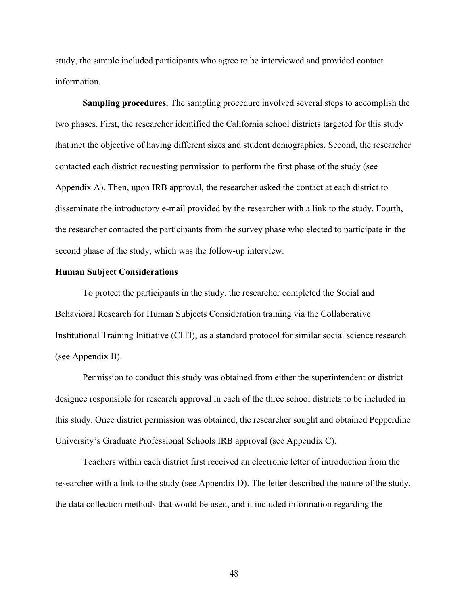study, the sample included participants who agree to be interviewed and provided contact information.

**Sampling procedures.** The sampling procedure involved several steps to accomplish the two phases. First, the researcher identified the California school districts targeted for this study that met the objective of having different sizes and student demographics. Second, the researcher contacted each district requesting permission to perform the first phase of the study (see Appendix A). Then, upon IRB approval, the researcher asked the contact at each district to disseminate the introductory e-mail provided by the researcher with a link to the study. Fourth, the researcher contacted the participants from the survey phase who elected to participate in the second phase of the study, which was the follow-up interview.

### **Human Subject Considerations**

To protect the participants in the study, the researcher completed the Social and Behavioral Research for Human Subjects Consideration training via the Collaborative Institutional Training Initiative (CITI), as a standard protocol for similar social science research (see Appendix B).

Permission to conduct this study was obtained from either the superintendent or district designee responsible for research approval in each of the three school districts to be included in this study. Once district permission was obtained, the researcher sought and obtained Pepperdine University's Graduate Professional Schools IRB approval (see Appendix C).

Teachers within each district first received an electronic letter of introduction from the researcher with a link to the study (see Appendix D). The letter described the nature of the study, the data collection methods that would be used, and it included information regarding the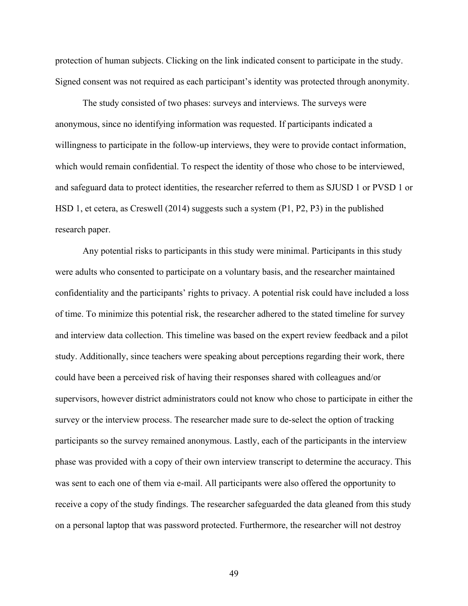protection of human subjects. Clicking on the link indicated consent to participate in the study. Signed consent was not required as each participant's identity was protected through anonymity.

The study consisted of two phases: surveys and interviews. The surveys were anonymous, since no identifying information was requested. If participants indicated a willingness to participate in the follow-up interviews, they were to provide contact information, which would remain confidential. To respect the identity of those who chose to be interviewed, and safeguard data to protect identities, the researcher referred to them as SJUSD 1 or PVSD 1 or HSD 1, et cetera, as Creswell (2014) suggests such a system (P1, P2, P3) in the published research paper.

Any potential risks to participants in this study were minimal. Participants in this study were adults who consented to participate on a voluntary basis, and the researcher maintained confidentiality and the participants' rights to privacy. A potential risk could have included a loss of time. To minimize this potential risk, the researcher adhered to the stated timeline for survey and interview data collection. This timeline was based on the expert review feedback and a pilot study. Additionally, since teachers were speaking about perceptions regarding their work, there could have been a perceived risk of having their responses shared with colleagues and/or supervisors, however district administrators could not know who chose to participate in either the survey or the interview process. The researcher made sure to de-select the option of tracking participants so the survey remained anonymous. Lastly, each of the participants in the interview phase was provided with a copy of their own interview transcript to determine the accuracy. This was sent to each one of them via e-mail. All participants were also offered the opportunity to receive a copy of the study findings. The researcher safeguarded the data gleaned from this study on a personal laptop that was password protected. Furthermore, the researcher will not destroy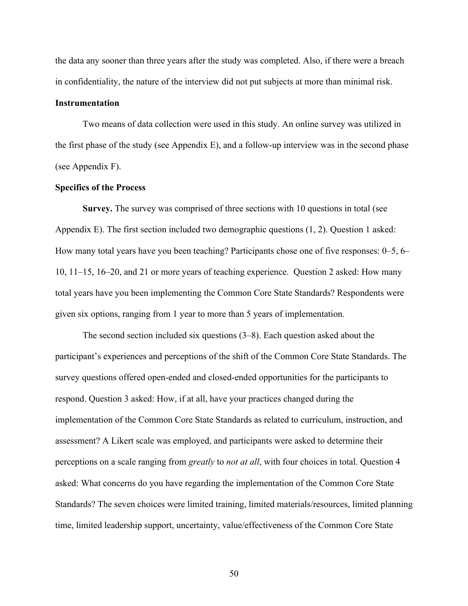the data any sooner than three years after the study was completed. Also, if there were a breach in confidentiality, the nature of the interview did not put subjects at more than minimal risk.

### **Instrumentation**

Two means of data collection were used in this study. An online survey was utilized in the first phase of the study (see Appendix E), and a follow-up interview was in the second phase (see Appendix F).

### **Specifics of the Process**

**Survey.** The survey was comprised of three sections with 10 questions in total (see Appendix E). The first section included two demographic questions (1, 2). Question 1 asked: How many total years have you been teaching? Participants chose one of five responses: 0–5, 6– 10, 11–15, 16–20, and 21 or more years of teaching experience. Question 2 asked: How many total years have you been implementing the Common Core State Standards? Respondents were given six options, ranging from 1 year to more than 5 years of implementation.

The second section included six questions (3–8). Each question asked about the participant's experiences and perceptions of the shift of the Common Core State Standards. The survey questions offered open-ended and closed-ended opportunities for the participants to respond. Question 3 asked: How, if at all, have your practices changed during the implementation of the Common Core State Standards as related to curriculum, instruction, and assessment? A Likert scale was employed, and participants were asked to determine their perceptions on a scale ranging from *greatly* to *not at all*, with four choices in total. Question 4 asked: What concerns do you have regarding the implementation of the Common Core State Standards? The seven choices were limited training, limited materials/resources, limited planning time, limited leadership support, uncertainty, value/effectiveness of the Common Core State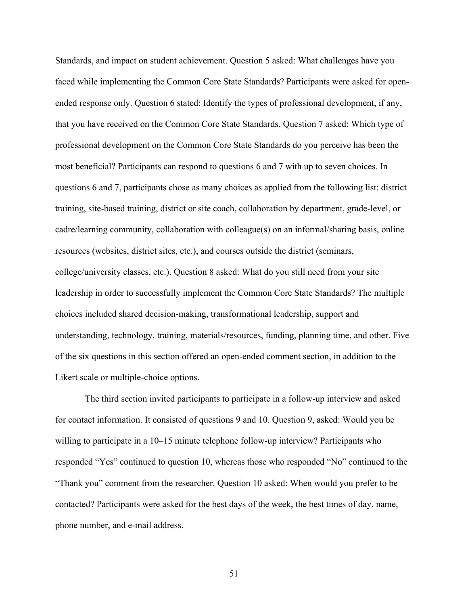Standards, and impact on student achievement. Question 5 asked: What challenges have you faced while implementing the Common Core State Standards? Participants were asked for openended response only. Question 6 stated: Identify the types of professional development, if any, that you have received on the Common Core State Standards. Question 7 asked: Which type of professional development on the Common Core State Standards do you perceive has been the most beneficial? Participants can respond to questions 6 and 7 with up to seven choices. In questions 6 and 7, participants chose as many choices as applied from the following list: district training, site-based training, district or site coach, collaboration by department, grade-level, or cadre/learning community, collaboration with colleague(s) on an informal/sharing basis, online resources (websites, district sites, etc.), and courses outside the district (seminars, college/university classes, etc.). Question 8 asked: What do you still need from your site leadership in order to successfully implement the Common Core State Standards? The multiple choices included shared decision-making, transformational leadership, support and understanding, technology, training, materials/resources, funding, planning time, and other. Five of the six questions in this section offered an open-ended comment section, in addition to the Likert scale or multiple-choice options.

The third section invited participants to participate in a follow-up interview and asked for contact information. It consisted of questions 9 and 10. Question 9, asked: Would you be willing to participate in a 10–15 minute telephone follow-up interview? Participants who responded "Yes" continued to question 10, whereas those who responded "No" continued to the "Thank you" comment from the researcher. Question 10 asked: When would you prefer to be contacted? Participants were asked for the best days of the week, the best times of day, name, phone number, and e-mail address.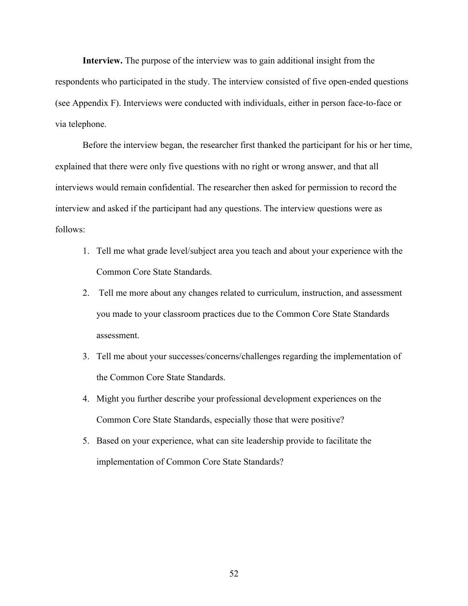**Interview.** The purpose of the interview was to gain additional insight from the respondents who participated in the study. The interview consisted of five open-ended questions (see Appendix F). Interviews were conducted with individuals, either in person face-to-face or via telephone.

Before the interview began, the researcher first thanked the participant for his or her time, explained that there were only five questions with no right or wrong answer, and that all interviews would remain confidential. The researcher then asked for permission to record the interview and asked if the participant had any questions. The interview questions were as follows:

- 1. Tell me what grade level/subject area you teach and about your experience with the Common Core State Standards.
- 2. Tell me more about any changes related to curriculum, instruction, and assessment you made to your classroom practices due to the Common Core State Standards assessment.
- 3. Tell me about your successes/concerns/challenges regarding the implementation of the Common Core State Standards.
- 4. Might you further describe your professional development experiences on the Common Core State Standards, especially those that were positive?
- 5. Based on your experience, what can site leadership provide to facilitate the implementation of Common Core State Standards?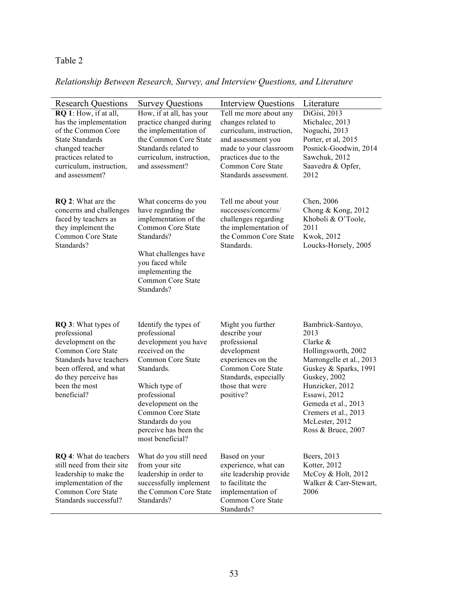## Table 2

## *Relationship Between Research, Survey, and Interview Questions, and Literature*

| <b>Research Questions</b>                                                                                                                                                                          | <b>Survey Questions</b>                                                                                                                                                                                                                                          | <b>Interview Questions</b>                                                                                                                                                                     | Literature                                                                                                                                                                                                                                                     |
|----------------------------------------------------------------------------------------------------------------------------------------------------------------------------------------------------|------------------------------------------------------------------------------------------------------------------------------------------------------------------------------------------------------------------------------------------------------------------|------------------------------------------------------------------------------------------------------------------------------------------------------------------------------------------------|----------------------------------------------------------------------------------------------------------------------------------------------------------------------------------------------------------------------------------------------------------------|
| RQ 1: How, if at all,<br>has the implementation<br>of the Common Core<br><b>State Standards</b><br>changed teacher<br>practices related to<br>curriculum, instruction,<br>and assessment?          | How, if at all, has your<br>practice changed during<br>the implementation of<br>the Common Core State<br>Standards related to<br>curriculum, instruction,<br>and assessment?                                                                                     | Tell me more about any<br>changes related to<br>curriculum, instruction,<br>and assessment you<br>made to your classroom<br>practices due to the<br>Common Core State<br>Standards assessment. | DiGisi, 2013<br>Michalec, 2013<br>Noguchi, 2013<br>Porter, et al, 2015<br>Posnick-Goodwin, 2014<br>Sawchuk, 2012<br>Saavedra & Opfer,<br>2012                                                                                                                  |
| <b>RQ 2:</b> What are the<br>concerns and challenges<br>faced by teachers as<br>they implement the<br>Common Core State<br>Standards?                                                              | What concerns do you<br>have regarding the<br>implementation of the<br>Common Core State<br>Standards?<br>What challenges have<br>you faced while<br>implementing the<br>Common Core State<br>Standards?                                                         | Tell me about your<br>successes/concerns/<br>challenges regarding<br>the implementation of<br>the Common Core State<br>Standards.                                                              | Chen, 2006<br>Chong & Kong, $2012$<br>Khoboli & O'Toole,<br>2011<br>Kwok, 2012<br>Loucks-Horsely, 2005                                                                                                                                                         |
| <b>RQ 3:</b> What types of<br>professional<br>development on the<br>Common Core State<br>Standards have teachers<br>been offered, and what<br>do they perceive has<br>been the most<br>beneficial? | Identify the types of<br>professional<br>development you have<br>received on the<br>Common Core State<br>Standards.<br>Which type of<br>professional<br>development on the<br>Common Core State<br>Standards do you<br>perceive has been the<br>most beneficial? | Might you further<br>describe your<br>professional<br>development<br>experiences on the<br>Common Core State<br>Standards, especially<br>those that were<br>positive?                          | Bambrick-Santoyo,<br>2013<br>Clarke $\&$<br>Hollingsworth, 2002<br>Marrongelle et al., 2013<br>Guskey & Sparks, 1991<br>Guskey, 2002<br>Hunzicker, 2012<br>Essawi, 2012<br>Gemeda et al., 2013<br>Cremers et al., 2013<br>McLester, 2012<br>Ross & Bruce, 2007 |
| <b>RQ 4:</b> What do teachers<br>still need from their site<br>leadership to make the<br>implementation of the<br>Common Core State<br>Standards successful?                                       | What do you still need<br>from your site<br>leadership in order to<br>successfully implement<br>the Common Core State<br>Standards?                                                                                                                              | Based on your<br>experience, what can<br>site leadership provide<br>to facilitate the<br>implementation of<br>Common Core State<br>Standards?                                                  | Beers, 2013<br>Kotter, 2012<br>McCoy & Holt, 2012<br>Walker & Carr-Stewart,<br>2006                                                                                                                                                                            |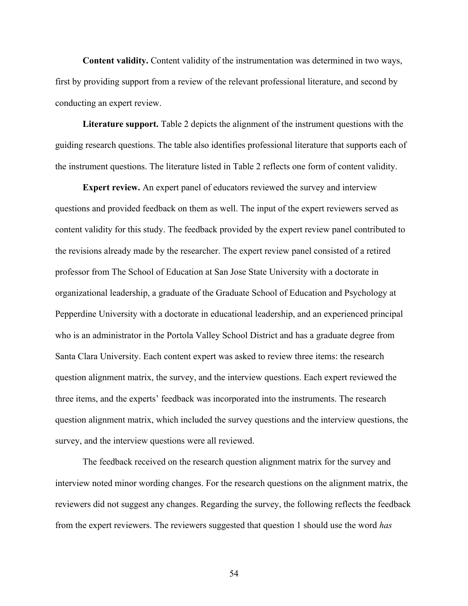**Content validity.** Content validity of the instrumentation was determined in two ways, first by providing support from a review of the relevant professional literature, and second by conducting an expert review.

**Literature support.** Table 2 depicts the alignment of the instrument questions with the guiding research questions. The table also identifies professional literature that supports each of the instrument questions. The literature listed in Table 2 reflects one form of content validity.

**Expert review.** An expert panel of educators reviewed the survey and interview questions and provided feedback on them as well. The input of the expert reviewers served as content validity for this study. The feedback provided by the expert review panel contributed to the revisions already made by the researcher. The expert review panel consisted of a retired professor from The School of Education at San Jose State University with a doctorate in organizational leadership, a graduate of the Graduate School of Education and Psychology at Pepperdine University with a doctorate in educational leadership, and an experienced principal who is an administrator in the Portola Valley School District and has a graduate degree from Santa Clara University. Each content expert was asked to review three items: the research question alignment matrix, the survey, and the interview questions. Each expert reviewed the three items, and the experts' feedback was incorporated into the instruments. The research question alignment matrix, which included the survey questions and the interview questions, the survey, and the interview questions were all reviewed.

The feedback received on the research question alignment matrix for the survey and interview noted minor wording changes. For the research questions on the alignment matrix, the reviewers did not suggest any changes. Regarding the survey, the following reflects the feedback from the expert reviewers. The reviewers suggested that question 1 should use the word *has*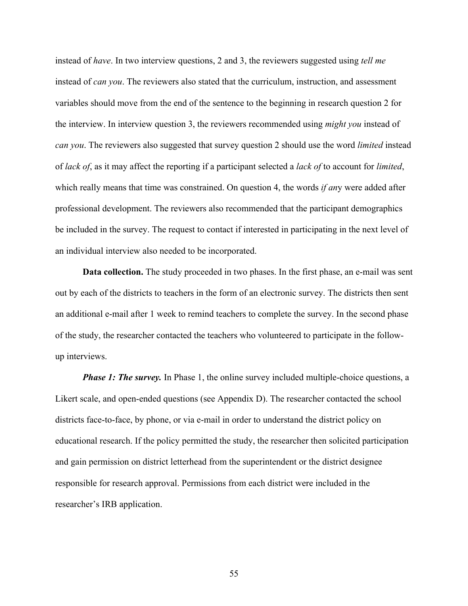instead of *have*. In two interview questions, 2 and 3, the reviewers suggested using *tell me* instead of *can you*. The reviewers also stated that the curriculum, instruction, and assessment variables should move from the end of the sentence to the beginning in research question 2 for the interview. In interview question 3, the reviewers recommended using *might you* instead of *can you*. The reviewers also suggested that survey question 2 should use the word *limited* instead of *lack of*, as it may affect the reporting if a participant selected a *lack of* to account for *limited*, which really means that time was constrained. On question 4, the words *if an*y were added after professional development. The reviewers also recommended that the participant demographics be included in the survey. The request to contact if interested in participating in the next level of an individual interview also needed to be incorporated.

**Data collection.** The study proceeded in two phases. In the first phase, an e-mail was sent out by each of the districts to teachers in the form of an electronic survey. The districts then sent an additional e-mail after 1 week to remind teachers to complete the survey. In the second phase of the study, the researcher contacted the teachers who volunteered to participate in the followup interviews.

*Phase 1: The survey.* In Phase 1, the online survey included multiple-choice questions, a Likert scale, and open-ended questions (see Appendix D). The researcher contacted the school districts face-to-face, by phone, or via e-mail in order to understand the district policy on educational research. If the policy permitted the study, the researcher then solicited participation and gain permission on district letterhead from the superintendent or the district designee responsible for research approval. Permissions from each district were included in the researcher's IRB application.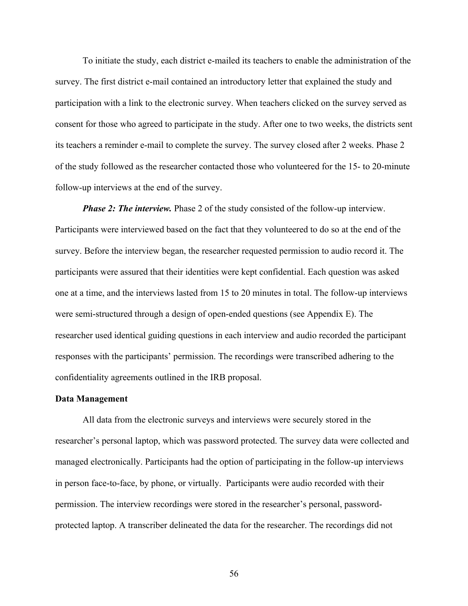To initiate the study, each district e-mailed its teachers to enable the administration of the survey. The first district e-mail contained an introductory letter that explained the study and participation with a link to the electronic survey. When teachers clicked on the survey served as consent for those who agreed to participate in the study. After one to two weeks, the districts sent its teachers a reminder e-mail to complete the survey. The survey closed after 2 weeks. Phase 2 of the study followed as the researcher contacted those who volunteered for the 15- to 20-minute follow-up interviews at the end of the survey.

*Phase 2: The interview.* Phase 2 of the study consisted of the follow-up interview. Participants were interviewed based on the fact that they volunteered to do so at the end of the survey. Before the interview began, the researcher requested permission to audio record it. The participants were assured that their identities were kept confidential. Each question was asked one at a time, and the interviews lasted from 15 to 20 minutes in total. The follow-up interviews were semi-structured through a design of open-ended questions (see Appendix E). The researcher used identical guiding questions in each interview and audio recorded the participant responses with the participants' permission. The recordings were transcribed adhering to the confidentiality agreements outlined in the IRB proposal.

### **Data Management**

All data from the electronic surveys and interviews were securely stored in the researcher's personal laptop, which was password protected. The survey data were collected and managed electronically. Participants had the option of participating in the follow-up interviews in person face-to-face, by phone, or virtually. Participants were audio recorded with their permission. The interview recordings were stored in the researcher's personal, passwordprotected laptop. A transcriber delineated the data for the researcher. The recordings did not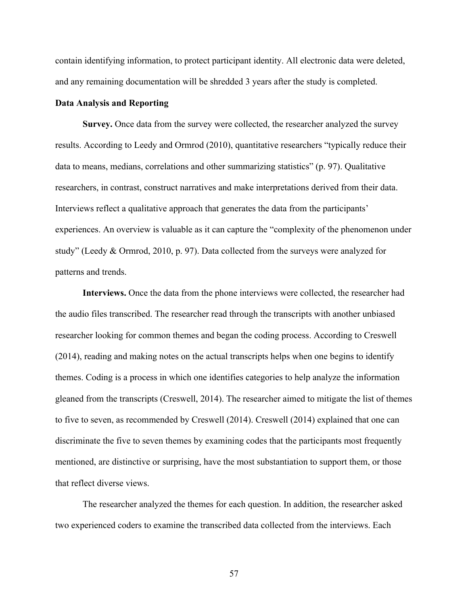contain identifying information, to protect participant identity. All electronic data were deleted, and any remaining documentation will be shredded 3 years after the study is completed.

### **Data Analysis and Reporting**

**Survey.** Once data from the survey were collected, the researcher analyzed the survey results. According to Leedy and Ormrod (2010), quantitative researchers "typically reduce their data to means, medians, correlations and other summarizing statistics" (p. 97). Qualitative researchers, in contrast, construct narratives and make interpretations derived from their data. Interviews reflect a qualitative approach that generates the data from the participants' experiences. An overview is valuable as it can capture the "complexity of the phenomenon under study" (Leedy & Ormrod, 2010, p. 97). Data collected from the surveys were analyzed for patterns and trends.

**Interviews.** Once the data from the phone interviews were collected, the researcher had the audio files transcribed. The researcher read through the transcripts with another unbiased researcher looking for common themes and began the coding process. According to Creswell (2014), reading and making notes on the actual transcripts helps when one begins to identify themes. Coding is a process in which one identifies categories to help analyze the information gleaned from the transcripts (Creswell, 2014). The researcher aimed to mitigate the list of themes to five to seven, as recommended by Creswell (2014). Creswell (2014) explained that one can discriminate the five to seven themes by examining codes that the participants most frequently mentioned, are distinctive or surprising, have the most substantiation to support them, or those that reflect diverse views.

The researcher analyzed the themes for each question. In addition, the researcher asked two experienced coders to examine the transcribed data collected from the interviews. Each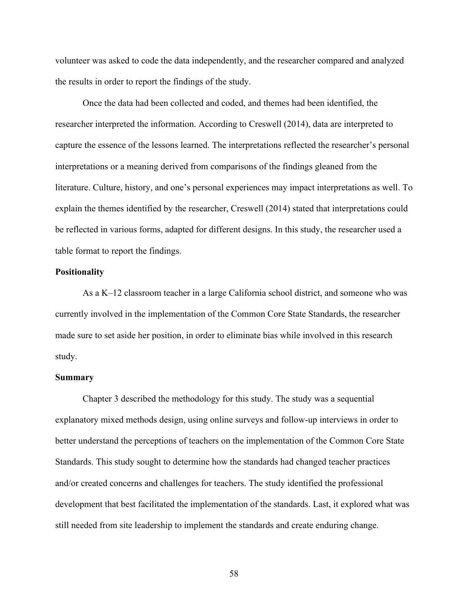volunteer was asked to code the data independently, and the researcher compared and analyzed the results in order to report the findings of the study.

Once the data had been collected and coded, and themes had been identified, the researcher interpreted the information. According to Creswell (2014), data are interpreted to capture the essence of the lessons learned. The interpretations reflected the researcher's personal interpretations or a meaning derived from comparisons of the findings gleaned from the literature. Culture, history, and one's personal experiences may impact interpretations as well. To explain the themes identified by the researcher, Creswell (2014) stated that interpretations could be reflected in various forms, adapted for different designs. In this study, the researcher used a table format to report the findings.

### **Positionality**

As a K–12 classroom teacher in a large California school district, and someone who was currently involved in the implementation of the Common Core State Standards, the researcher made sure to set aside her position, in order to eliminate bias while involved in this research study.

#### **Summary**

Chapter 3 described the methodology for this study. The study was a sequential explanatory mixed methods design, using online surveys and follow-up interviews in order to better understand the perceptions of teachers on the implementation of the Common Core State Standards. This study sought to determine how the standards had changed teacher practices and/or created concerns and challenges for teachers. The study identified the professional development that best facilitated the implementation of the standards. Last, it explored what was still needed from site leadership to implement the standards and create enduring change.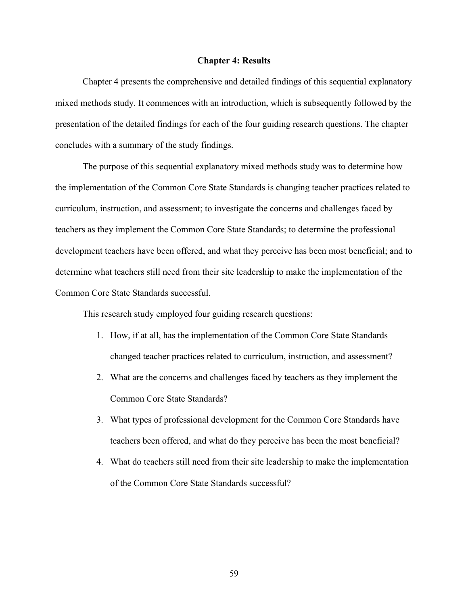### **Chapter 4: Results**

Chapter 4 presents the comprehensive and detailed findings of this sequential explanatory mixed methods study. It commences with an introduction, which is subsequently followed by the presentation of the detailed findings for each of the four guiding research questions. The chapter concludes with a summary of the study findings.

The purpose of this sequential explanatory mixed methods study was to determine how the implementation of the Common Core State Standards is changing teacher practices related to curriculum, instruction, and assessment; to investigate the concerns and challenges faced by teachers as they implement the Common Core State Standards; to determine the professional development teachers have been offered, and what they perceive has been most beneficial; and to determine what teachers still need from their site leadership to make the implementation of the Common Core State Standards successful.

This research study employed four guiding research questions:

- 1. How, if at all, has the implementation of the Common Core State Standards changed teacher practices related to curriculum, instruction, and assessment?
- 2. What are the concerns and challenges faced by teachers as they implement the Common Core State Standards?
- 3. What types of professional development for the Common Core Standards have teachers been offered, and what do they perceive has been the most beneficial?
- 4. What do teachers still need from their site leadership to make the implementation of the Common Core State Standards successful?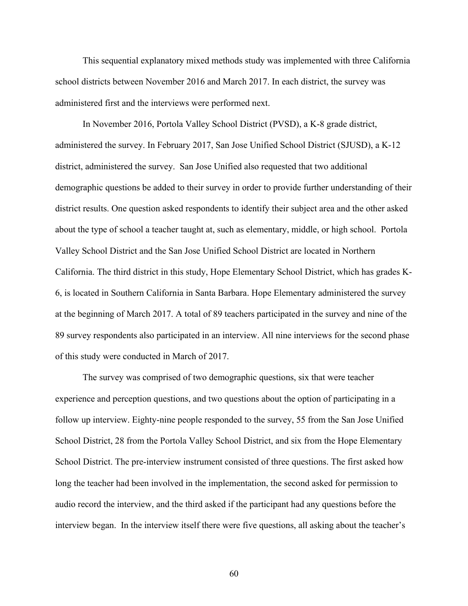This sequential explanatory mixed methods study was implemented with three California school districts between November 2016 and March 2017. In each district, the survey was administered first and the interviews were performed next.

In November 2016, Portola Valley School District (PVSD), a K-8 grade district, administered the survey. In February 2017, San Jose Unified School District (SJUSD), a K-12 district, administered the survey. San Jose Unified also requested that two additional demographic questions be added to their survey in order to provide further understanding of their district results. One question asked respondents to identify their subject area and the other asked about the type of school a teacher taught at, such as elementary, middle, or high school. Portola Valley School District and the San Jose Unified School District are located in Northern California. The third district in this study, Hope Elementary School District, which has grades K-6, is located in Southern California in Santa Barbara. Hope Elementary administered the survey at the beginning of March 2017. A total of 89 teachers participated in the survey and nine of the 89 survey respondents also participated in an interview. All nine interviews for the second phase of this study were conducted in March of 2017.

The survey was comprised of two demographic questions, six that were teacher experience and perception questions, and two questions about the option of participating in a follow up interview. Eighty-nine people responded to the survey, 55 from the San Jose Unified School District, 28 from the Portola Valley School District, and six from the Hope Elementary School District. The pre-interview instrument consisted of three questions. The first asked how long the teacher had been involved in the implementation, the second asked for permission to audio record the interview, and the third asked if the participant had any questions before the interview began. In the interview itself there were five questions, all asking about the teacher's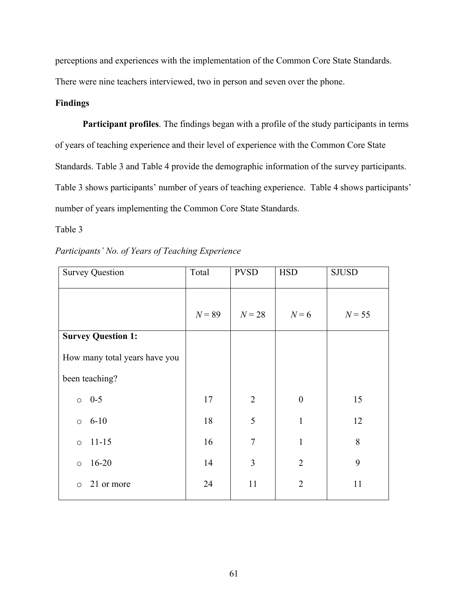perceptions and experiences with the implementation of the Common Core State Standards.

There were nine teachers interviewed, two in person and seven over the phone.

## **Findings**

**Participant profiles**. The findings began with a profile of the study participants in terms of years of teaching experience and their level of experience with the Common Core State Standards. Table 3 and Table 4 provide the demographic information of the survey participants. Table 3 shows participants' number of years of teaching experience. Table 4 shows participants' number of years implementing the Common Core State Standards.

### Table 3

| $N = 55$ |
|----------|
|          |
|          |
|          |
| 15       |
| 12       |
| 8        |
| 9        |
| 11       |
|          |

|  |  |  | Participants' No. of Years of Teaching Experience |
|--|--|--|---------------------------------------------------|
|--|--|--|---------------------------------------------------|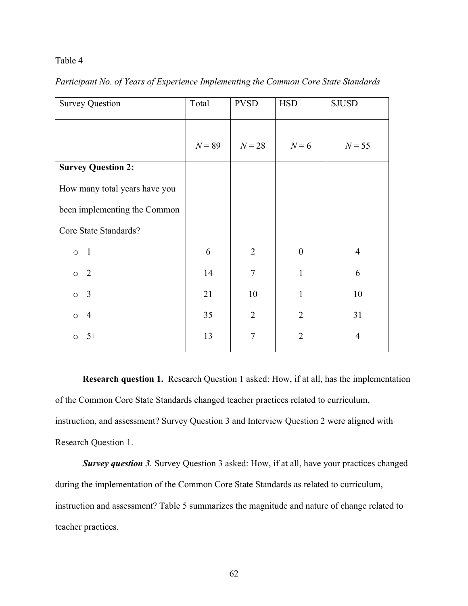### Table 4

| <b>Survey Question</b>        | Total    | <b>PVSD</b>    | <b>HSD</b>       | <b>SJUSD</b>   |
|-------------------------------|----------|----------------|------------------|----------------|
|                               | $N = 89$ | $N=28$         | $N=6$            | $N = 55$       |
| <b>Survey Question 2:</b>     |          |                |                  |                |
| How many total years have you |          |                |                  |                |
| been implementing the Common  |          |                |                  |                |
| Core State Standards?         |          |                |                  |                |
| $\overline{1}$<br>$\circ$     | 6        | $\overline{2}$ | $\boldsymbol{0}$ | $\overline{4}$ |
| $\overline{2}$<br>$\circ$     | 14       | $\overline{7}$ | $\mathbf{1}$     | 6              |
| 3<br>$\circ$                  | 21       | 10             | $\mathbf{1}$     | 10             |
| $\overline{4}$<br>$\circ$     | 35       | $\overline{2}$ | $\overline{2}$   | 31             |
| $5+$<br>$\circ$               | 13       | $\overline{7}$ | $\overline{2}$   | $\overline{4}$ |
|                               |          |                |                  |                |

*Participant No. of Years of Experience Implementing the Common Core State Standards*

**Research question 1.** Research Question 1 asked: How, if at all, has the implementation of the Common Core State Standards changed teacher practices related to curriculum, instruction, and assessment? Survey Question 3 and Interview Question 2 were aligned with Research Question 1.

*Survey question 3.* Survey Question 3 asked: How, if at all, have your practices changed during the implementation of the Common Core State Standards as related to curriculum, instruction and assessment? Table 5 summarizes the magnitude and nature of change related to teacher practices.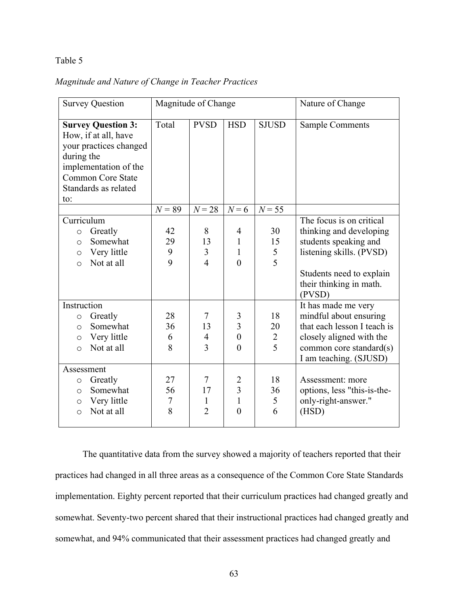### Table 5

|  | Magnitude and Nature of Change in Teacher Practices |  |  |  |  |
|--|-----------------------------------------------------|--|--|--|--|
|--|-----------------------------------------------------|--|--|--|--|

| <b>Survey Question</b>                                                                                                                                                        |                    | Magnitude of Change                         |                                                                |                           | Nature of Change                                                                                                                                                          |
|-------------------------------------------------------------------------------------------------------------------------------------------------------------------------------|--------------------|---------------------------------------------|----------------------------------------------------------------|---------------------------|---------------------------------------------------------------------------------------------------------------------------------------------------------------------------|
| <b>Survey Question 3:</b><br>How, if at all, have<br>your practices changed<br>during the<br>implementation of the<br><b>Common Core State</b><br>Standards as related<br>to: | Total              | <b>PVSD</b>                                 | <b>HSD</b>                                                     | <b>SJUSD</b>              | <b>Sample Comments</b>                                                                                                                                                    |
|                                                                                                                                                                               | $N = 89$           | $N=28$                                      | $N=6$                                                          | $N = 55$                  |                                                                                                                                                                           |
| Curriculum<br>Greatly<br>$\circ$<br>Somewhat<br>$\circ$<br>Very little<br>$\circ$<br>Not at all<br>$\circ$                                                                    | 42<br>29<br>9<br>9 | 8<br>13<br>$\overline{3}$<br>$\overline{4}$ | 4<br>$\mathbf{1}$<br>$\mathbf{1}$<br>$\theta$                  | 30<br>15<br>$rac{5}{5}$   | The focus is on critical<br>thinking and developing<br>students speaking and<br>listening skills. (PVSD)<br>Students need to explain<br>their thinking in math.<br>(PVSD) |
| Instruction<br>Greatly<br>$\circ$<br>Somewhat<br>$\circ$<br>Very little<br>O<br>Not at all<br>$\circ$                                                                         | 28<br>36<br>6<br>8 | 7<br>13<br>$\overline{4}$<br>3              | 3<br>$\overline{3}$<br>$\overline{0}$<br>$\theta$              | 18<br>20<br>$\frac{2}{5}$ | It has made me very<br>mindful about ensuring<br>that each lesson I teach is<br>closely aligned with the<br>common core standard(s)<br>I am teaching. (SJUSD)             |
| Assessment<br>Greatly<br>$\circ$<br>Somewhat<br>$\circ$<br>Very little<br>$\circ$<br>Not at all<br>$\circ$                                                                    | 27<br>56<br>7<br>8 | 7<br>17<br>1<br>$\overline{2}$              | $\overline{2}$<br>$\overline{3}$<br>$\overline{1}$<br>$\theta$ | 18<br>36<br>5<br>6        | Assessment: more<br>options, less "this-is-the-<br>only-right-answer."<br>(HSD)                                                                                           |

The quantitative data from the survey showed a majority of teachers reported that their practices had changed in all three areas as a consequence of the Common Core State Standards implementation. Eighty percent reported that their curriculum practices had changed greatly and somewhat. Seventy-two percent shared that their instructional practices had changed greatly and somewhat, and 94% communicated that their assessment practices had changed greatly and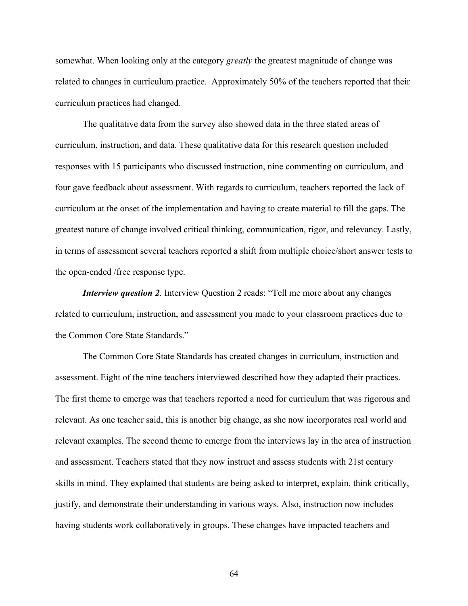somewhat. When looking only at the category *greatly* the greatest magnitude of change was related to changes in curriculum practice. Approximately 50% of the teachers reported that their curriculum practices had changed.

The qualitative data from the survey also showed data in the three stated areas of curriculum, instruction, and data. These qualitative data for this research question included responses with 15 participants who discussed instruction, nine commenting on curriculum, and four gave feedback about assessment. With regards to curriculum, teachers reported the lack of curriculum at the onset of the implementation and having to create material to fill the gaps. The greatest nature of change involved critical thinking, communication, rigor, and relevancy. Lastly, in terms of assessment several teachers reported a shift from multiple choice/short answer tests to the open-ended /free response type.

*Interview question 2.* Interview Question 2 reads: "Tell me more about any changes related to curriculum, instruction, and assessment you made to your classroom practices due to the Common Core State Standards."

The Common Core State Standards has created changes in curriculum, instruction and assessment. Eight of the nine teachers interviewed described how they adapted their practices. The first theme to emerge was that teachers reported a need for curriculum that was rigorous and relevant. As one teacher said, this is another big change, as she now incorporates real world and relevant examples. The second theme to emerge from the interviews lay in the area of instruction and assessment. Teachers stated that they now instruct and assess students with 21st century skills in mind. They explained that students are being asked to interpret, explain, think critically, justify, and demonstrate their understanding in various ways. Also, instruction now includes having students work collaboratively in groups. These changes have impacted teachers and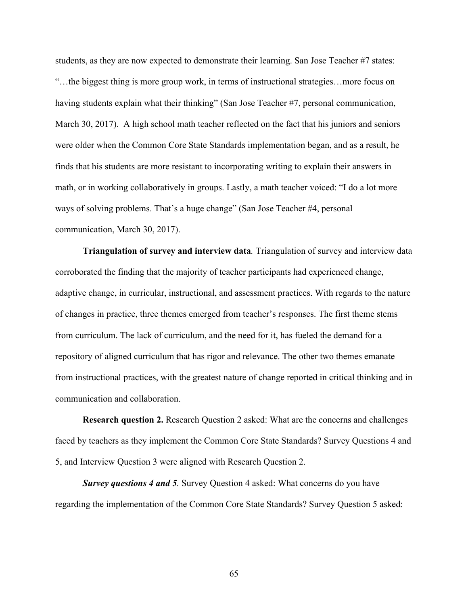students, as they are now expected to demonstrate their learning. San Jose Teacher #7 states: "…the biggest thing is more group work, in terms of instructional strategies…more focus on having students explain what their thinking" (San Jose Teacher #7, personal communication, March 30, 2017). A high school math teacher reflected on the fact that his juniors and seniors were older when the Common Core State Standards implementation began, and as a result, he finds that his students are more resistant to incorporating writing to explain their answers in math, or in working collaboratively in groups. Lastly, a math teacher voiced: "I do a lot more ways of solving problems. That's a huge change" (San Jose Teacher #4, personal communication, March 30, 2017).

**Triangulation of survey and interview data***.* Triangulation of survey and interview data corroborated the finding that the majority of teacher participants had experienced change, adaptive change, in curricular, instructional, and assessment practices. With regards to the nature of changes in practice, three themes emerged from teacher's responses. The first theme stems from curriculum. The lack of curriculum, and the need for it, has fueled the demand for a repository of aligned curriculum that has rigor and relevance. The other two themes emanate from instructional practices, with the greatest nature of change reported in critical thinking and in communication and collaboration.

**Research question 2.** Research Question 2 asked: What are the concerns and challenges faced by teachers as they implement the Common Core State Standards? Survey Questions 4 and 5, and Interview Question 3 were aligned with Research Question 2.

*Survey questions 4 and 5.* Survey Question 4 asked: What concerns do you have regarding the implementation of the Common Core State Standards? Survey Question 5 asked: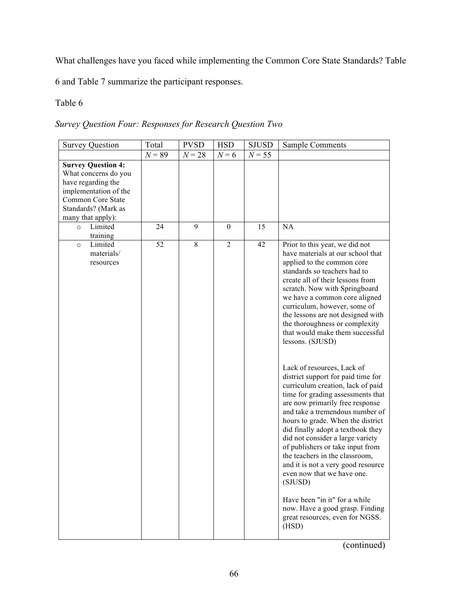What challenges have you faced while implementing the Common Core State Standards? Table

6 and Table 7 summarize the participant responses.

## Table 6

*Survey Question Four: Responses for Research Question Two*

| <b>Survey Question</b>                                                                                                                                            | Total    | <b>PVSD</b> | <b>HSD</b> | <b>SJUSD</b> | <b>Sample Comments</b>                                                                                                                                                                                                                                                                                                                                                                                                                                                                                                                                                                                                                                                                                                                                                                                                                                                                                                        |
|-------------------------------------------------------------------------------------------------------------------------------------------------------------------|----------|-------------|------------|--------------|-------------------------------------------------------------------------------------------------------------------------------------------------------------------------------------------------------------------------------------------------------------------------------------------------------------------------------------------------------------------------------------------------------------------------------------------------------------------------------------------------------------------------------------------------------------------------------------------------------------------------------------------------------------------------------------------------------------------------------------------------------------------------------------------------------------------------------------------------------------------------------------------------------------------------------|
|                                                                                                                                                                   | $N = 89$ | $N = 28$    | $N=6$      | $N = 55$     |                                                                                                                                                                                                                                                                                                                                                                                                                                                                                                                                                                                                                                                                                                                                                                                                                                                                                                                               |
| <b>Survey Question 4:</b><br>What concerns do you<br>have regarding the<br>implementation of the<br>Common Core State<br>Standards? (Mark as<br>many that apply): |          |             |            |              |                                                                                                                                                                                                                                                                                                                                                                                                                                                                                                                                                                                                                                                                                                                                                                                                                                                                                                                               |
| Limited<br>$\Omega$                                                                                                                                               | 24       | 9           | $\theta$   | 15           | <b>NA</b>                                                                                                                                                                                                                                                                                                                                                                                                                                                                                                                                                                                                                                                                                                                                                                                                                                                                                                                     |
| training<br>Limited<br>$\circ$<br>materials/<br>resources                                                                                                         | 52       | 8           | 2          | 42           | Prior to this year, we did not<br>have materials at our school that<br>applied to the common core<br>standards so teachers had to<br>create all of their lessons from<br>scratch. Now with Springboard<br>we have a common core aligned<br>curriculum, however, some of<br>the lessons are not designed with<br>the thoroughness or complexity<br>that would make them successful<br>lessons. (SJUSD)<br>Lack of resources, Lack of<br>district support for paid time for<br>curriculum creation, lack of paid<br>time for grading assessments that<br>are now primarily free response<br>and take a tremendous number of<br>hours to grade. When the district<br>did finally adopt a textbook they<br>did not consider a large variety<br>of publishers or take input from<br>the teachers in the classroom,<br>and it is not a very good resource<br>even now that we have one.<br>(SJUSD)<br>Have been "in it" for a while |
|                                                                                                                                                                   |          |             |            |              | now. Have a good grasp. Finding<br>great resources, even for NGSS.<br>(HSD)                                                                                                                                                                                                                                                                                                                                                                                                                                                                                                                                                                                                                                                                                                                                                                                                                                                   |

(continued)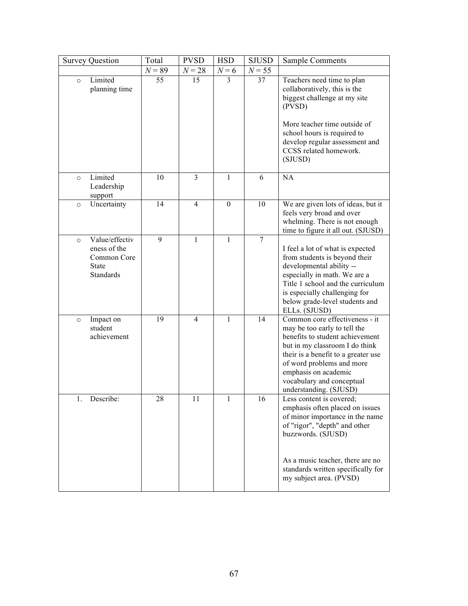| <b>Survey Question</b>                                                                       | Total    | <b>PVSD</b>    | <b>HSD</b>       | <b>SJUSD</b> | <b>Sample Comments</b>                                                                                                                                                                                                                                                                 |
|----------------------------------------------------------------------------------------------|----------|----------------|------------------|--------------|----------------------------------------------------------------------------------------------------------------------------------------------------------------------------------------------------------------------------------------------------------------------------------------|
|                                                                                              | $N = 89$ | $N = 28$       | $N=6$            | $N = 55$     |                                                                                                                                                                                                                                                                                        |
| Limited<br>$\circ$<br>planning time                                                          | 55       | 15             | 3                | 37           | Teachers need time to plan<br>collaboratively, this is the<br>biggest challenge at my site<br>(PVSD)<br>More teacher time outside of<br>school hours is required to<br>develop regular assessment and<br>CCSS related homework.<br>(SJUSD)                                             |
| Limited<br>$\circ$<br>Leadership<br>support                                                  | 10       | $\overline{3}$ | 1                | 6            | <b>NA</b>                                                                                                                                                                                                                                                                              |
| Uncertainty<br>$\circ$                                                                       | 14       | $\overline{4}$ | $\boldsymbol{0}$ | 10           | We are given lots of ideas, but it<br>feels very broad and over<br>whelming. There is not enough<br>time to figure it all out. (SJUSD)                                                                                                                                                 |
| Value/effectiv<br>$\circ$<br>eness of the<br>Common Core<br><b>State</b><br><b>Standards</b> | 9        | 1              | $\mathbf{1}$     | $\tau$       | I feel a lot of what is expected<br>from students is beyond their<br>developmental ability --<br>especially in math. We are a<br>Title 1 school and the curriculum<br>is especially challenging for<br>below grade-level students and<br>ELLs. (SJUSD)                                 |
| Impact on<br>$\circ$<br>student<br>achievement                                               | 19       | $\overline{4}$ | 1                | 14           | Common core effectiveness - it<br>may be too early to tell the<br>benefits to student achievement<br>but in my classroom I do think<br>their is a benefit to a greater use<br>of word problems and more<br>emphasis on academic<br>vocabulary and conceptual<br>understanding. (SJUSD) |
| Describe:<br>1.                                                                              | 28       | 11             | $\bf{l}$         | 16           | Less content is covered;<br>emphasis often placed on issues<br>of minor importance in the name<br>of "rigor", "depth" and other<br>buzzwords. (SJUSD)<br>As a music teacher, there are no<br>standards written specifically for<br>my subject area. (PVSD)                             |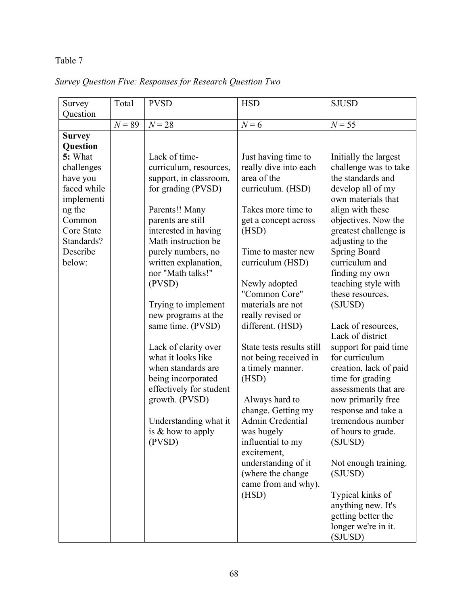## Table 7

# *Survey Question Five: Responses for Research Question Two*

| Survey                    | Total    | <b>PVSD</b>                                | <b>HSD</b>                               | <b>SJUSD</b>           |
|---------------------------|----------|--------------------------------------------|------------------------------------------|------------------------|
| Question                  | $N = 89$ |                                            | $N=6$                                    |                        |
|                           |          | $N = 28$                                   |                                          | $N = 55$               |
| <b>Survey</b><br>Question |          |                                            |                                          |                        |
| 5: What                   |          | Lack of time-                              | Just having time to                      | Initially the largest  |
| challenges                |          | curriculum, resources,                     | really dive into each                    | challenge was to take  |
| have you                  |          | support, in classroom,                     | area of the                              | the standards and      |
| faced while               |          | for grading (PVSD)                         | curriculum. (HSD)                        | develop all of my      |
| implementi                |          |                                            |                                          | own materials that     |
| ng the                    |          | Parents!! Many                             | Takes more time to                       | align with these       |
| Common                    |          | parents are still                          | get a concept across                     | objectives. Now the    |
| Core State                |          | interested in having                       | (HSD)                                    | greatest challenge is  |
| Standards?                |          | Math instruction be                        |                                          | adjusting to the       |
| Describe                  |          | purely numbers, no                         | Time to master new                       | <b>Spring Board</b>    |
| below:                    |          | written explanation,                       | curriculum (HSD)                         | curriculum and         |
|                           |          | nor "Math talks!"                          |                                          | finding my own         |
|                           |          | (PVSD)                                     | Newly adopted                            | teaching style with    |
|                           |          |                                            | "Common Core"                            | these resources.       |
|                           |          | Trying to implement<br>new programs at the | materials are not<br>really revised or   | (SJUSD)                |
|                           |          | same time. (PVSD)                          | different. (HSD)                         | Lack of resources,     |
|                           |          |                                            |                                          | Lack of district       |
|                           |          | Lack of clarity over                       | State tests results still                | support for paid time  |
|                           |          | what it looks like                         | not being received in                    | for curriculum         |
|                           |          | when standards are                         | a timely manner.                         | creation, lack of paid |
|                           |          | being incorporated                         | (HSD)                                    | time for grading       |
|                           |          | effectively for student                    |                                          | assessments that are   |
|                           |          | growth. (PVSD)                             | Always hard to                           | now primarily free     |
|                           |          |                                            | change. Getting my                       | response and take a    |
|                           |          | Understanding what it                      | Admin Credential                         | tremendous number      |
|                           |          | is $&$ how to apply                        | was hugely                               | of hours to grade.     |
|                           |          | (PVSD)                                     | influential to my                        | (SJUSD)                |
|                           |          |                                            | excitement,                              |                        |
|                           |          |                                            | understanding of it                      | Not enough training.   |
|                           |          |                                            | (where the change<br>came from and why). | (SJUSD)                |
|                           |          |                                            | (HSD)                                    | Typical kinks of       |
|                           |          |                                            |                                          | anything new. It's     |
|                           |          |                                            |                                          | getting better the     |
|                           |          |                                            |                                          | longer we're in it.    |
|                           |          |                                            |                                          | (SJUSD)                |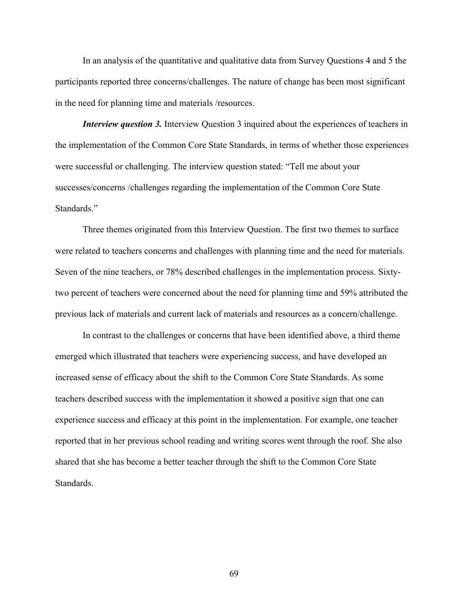In an analysis of the quantitative and qualitative data from Survey Questions 4 and 5 the participants reported three concerns/challenges. The nature of change has been most significant in the need for planning time and materials /resources.

*Interview question 3.* Interview Question 3 inquired about the experiences of teachers in the implementation of the Common Core State Standards, in terms of whether those experiences were successful or challenging. The interview question stated: "Tell me about your successes/concerns /challenges regarding the implementation of the Common Core State Standards."

Three themes originated from this Interview Question. The first two themes to surface were related to teachers concerns and challenges with planning time and the need for materials. Seven of the nine teachers, or 78% described challenges in the implementation process. Sixtytwo percent of teachers were concerned about the need for planning time and 59% attributed the previous lack of materials and current lack of materials and resources as a concern/challenge.

In contrast to the challenges or concerns that have been identified above, a third theme emerged which illustrated that teachers were experiencing success, and have developed an increased sense of efficacy about the shift to the Common Core State Standards. As some teachers described success with the implementation it showed a positive sign that one can experience success and efficacy at this point in the implementation. For example, one teacher reported that in her previous school reading and writing scores went through the roof. She also shared that she has become a better teacher through the shift to the Common Core State **Standards**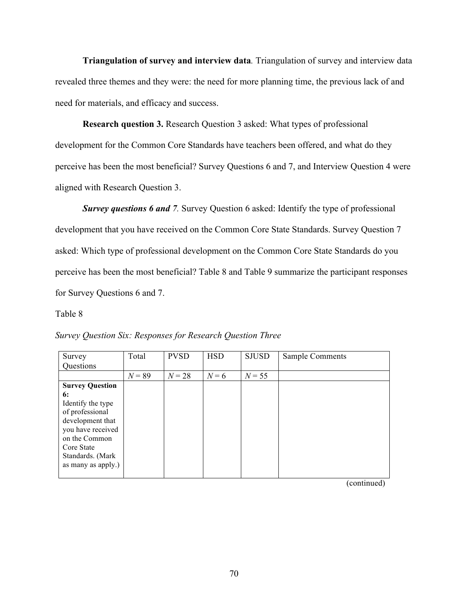**Triangulation of survey and interview data***.* Triangulation of survey and interview data revealed three themes and they were: the need for more planning time, the previous lack of and need for materials, and efficacy and success.

**Research question 3.** Research Question 3 asked: What types of professional development for the Common Core Standards have teachers been offered, and what do they perceive has been the most beneficial? Survey Questions 6 and 7, and Interview Question 4 were aligned with Research Question 3.

*Survey questions 6 and 7.* Survey Question 6 asked: Identify the type of professional development that you have received on the Common Core State Standards. Survey Question 7 asked: Which type of professional development on the Common Core State Standards do you perceive has been the most beneficial? Table 8 and Table 9 summarize the participant responses for Survey Questions 6 and 7.

#### Table 8

| Survey                 | Total    | <b>PVSD</b> | <b>HSD</b> | <b>SJUSD</b> | <b>Sample Comments</b> |
|------------------------|----------|-------------|------------|--------------|------------------------|
| Questions              |          |             |            |              |                        |
|                        | $N = 89$ | $N = 28$    | $N=6$      | $N = 55$     |                        |
| <b>Survey Question</b> |          |             |            |              |                        |
| 6:                     |          |             |            |              |                        |
| Identify the type      |          |             |            |              |                        |
| of professional        |          |             |            |              |                        |
| development that       |          |             |            |              |                        |
| you have received      |          |             |            |              |                        |
| on the Common          |          |             |            |              |                        |
| Core State             |          |             |            |              |                        |
| Standards. (Mark       |          |             |            |              |                        |
| as many as apply.)     |          |             |            |              |                        |
|                        |          |             |            |              |                        |

*Survey Question Six: Responses for Research Question Three*

(continued)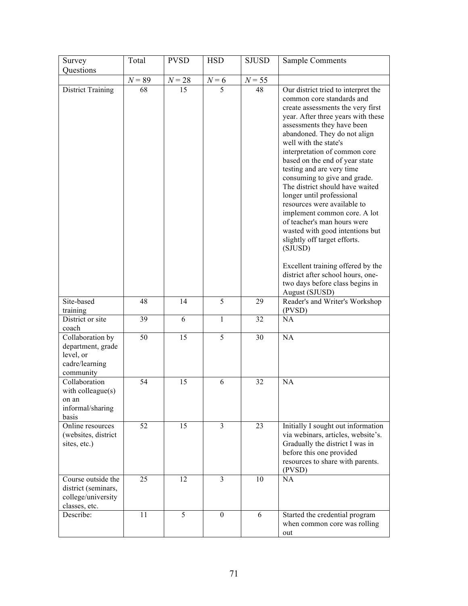| Survey                                                                            | Total    | <b>PVSD</b> | <b>HSD</b>       | <b>SJUSD</b> | <b>Sample Comments</b>                                                                                                                                                                                                                                                                                                                                                                                                                                                                                                                                                                                                                                                                                                                        |
|-----------------------------------------------------------------------------------|----------|-------------|------------------|--------------|-----------------------------------------------------------------------------------------------------------------------------------------------------------------------------------------------------------------------------------------------------------------------------------------------------------------------------------------------------------------------------------------------------------------------------------------------------------------------------------------------------------------------------------------------------------------------------------------------------------------------------------------------------------------------------------------------------------------------------------------------|
| Questions                                                                         |          |             |                  |              |                                                                                                                                                                                                                                                                                                                                                                                                                                                                                                                                                                                                                                                                                                                                               |
|                                                                                   | $N = 89$ | $N = 28$    | $N=6$            | $N = 55$     |                                                                                                                                                                                                                                                                                                                                                                                                                                                                                                                                                                                                                                                                                                                                               |
| <b>District Training</b>                                                          | 68       | 15          | 5                | 48           | Our district tried to interpret the<br>common core standards and<br>create assessments the very first<br>year. After three years with these<br>assessments they have been<br>abandoned. They do not align<br>well with the state's<br>interpretation of common core<br>based on the end of year state<br>testing and are very time<br>consuming to give and grade.<br>The district should have waited<br>longer until professional<br>resources were available to<br>implement common core. A lot<br>of teacher's man hours were<br>wasted with good intentions but<br>slightly off target efforts.<br>(SJUSD)<br>Excellent training offered by the<br>district after school hours, one-<br>two days before class begins in<br>August (SJUSD) |
| Site-based<br>training                                                            | 48       | 14          | 5                | 29           | Reader's and Writer's Workshop<br>(PVSD)                                                                                                                                                                                                                                                                                                                                                                                                                                                                                                                                                                                                                                                                                                      |
| District or site<br>coach                                                         | 39       | 6           | $\mathbf{1}$     | 32           | NA                                                                                                                                                                                                                                                                                                                                                                                                                                                                                                                                                                                                                                                                                                                                            |
| Collaboration by<br>department, grade<br>level, or<br>cadre/learning<br>community | 50       | 15          | 5                | 30           | NA                                                                                                                                                                                                                                                                                                                                                                                                                                                                                                                                                                                                                                                                                                                                            |
| Collaboration<br>with colleague(s)<br>on an<br>informal/sharing<br>basis          | 54       | 15          | 6                | 32           | NA                                                                                                                                                                                                                                                                                                                                                                                                                                                                                                                                                                                                                                                                                                                                            |
| Online resources<br>(websites, district<br>sites, etc.)                           | 52       | 15          | $\overline{3}$   | 23           | Initially I sought out information<br>via webinars, articles, website's.<br>Gradually the district I was in<br>before this one provided<br>resources to share with parents.<br>(PVSD)                                                                                                                                                                                                                                                                                                                                                                                                                                                                                                                                                         |
| Course outside the<br>district (seminars,<br>college/university<br>classes, etc.  | 25       | 12          | 3                | 10           | NA                                                                                                                                                                                                                                                                                                                                                                                                                                                                                                                                                                                                                                                                                                                                            |
| Describe:                                                                         | 11       | 5           | $\boldsymbol{0}$ | 6            | Started the credential program<br>when common core was rolling<br>out                                                                                                                                                                                                                                                                                                                                                                                                                                                                                                                                                                                                                                                                         |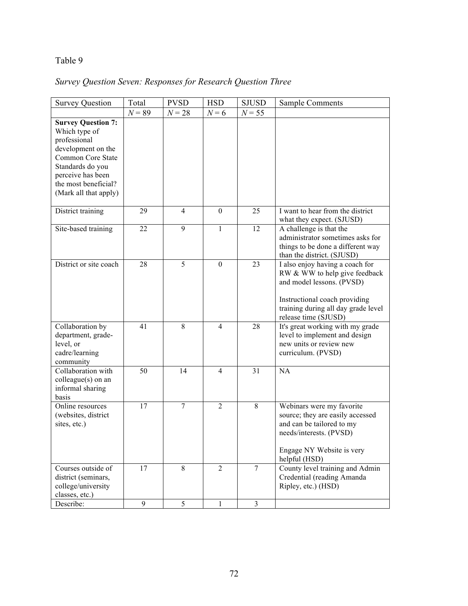## Table 9

# *Survey Question Seven: Responses for Research Question Three*

| <b>Survey Question</b>                                                                                                                                                                          | Total    | <b>PVSD</b>    | <b>HSD</b>       | <b>SJUSD</b>   | Sample Comments                                                                                                                                                                               |
|-------------------------------------------------------------------------------------------------------------------------------------------------------------------------------------------------|----------|----------------|------------------|----------------|-----------------------------------------------------------------------------------------------------------------------------------------------------------------------------------------------|
|                                                                                                                                                                                                 | $N = 89$ | $N = 28$       | $N=6$            | $N = 55$       |                                                                                                                                                                                               |
| <b>Survey Question 7:</b><br>Which type of<br>professional<br>development on the<br>Common Core State<br>Standards do you<br>perceive has been<br>the most beneficial?<br>(Mark all that apply) |          |                |                  |                |                                                                                                                                                                                               |
| District training                                                                                                                                                                               | 29       | $\overline{4}$ | $\mathbf{0}$     | 25             | I want to hear from the district<br>what they expect. (SJUSD)                                                                                                                                 |
| Site-based training                                                                                                                                                                             | 22       | 9              | 1                | 12             | A challenge is that the<br>administrator sometimes asks for<br>things to be done a different way<br>than the district. (SJUSD)                                                                |
| District or site coach                                                                                                                                                                          | 28       | 5              | $\boldsymbol{0}$ | 23             | I also enjoy having a coach for<br>RW & WW to help give feedback<br>and model lessons. (PVSD)<br>Instructional coach providing<br>training during all day grade level<br>release time (SJUSD) |
| Collaboration by<br>department, grade-<br>level, or<br>cadre/learning<br>community                                                                                                              | 41       | 8              | $\overline{4}$   | 28             | It's great working with my grade<br>level to implement and design<br>new units or review new<br>curriculum. (PVSD)                                                                            |
| Collaboration with<br>colleague(s) on an<br>informal sharing<br>basis                                                                                                                           | 50       | 14             | $\overline{4}$   | 31             | <b>NA</b>                                                                                                                                                                                     |
| Online resources<br>(websites, district<br>sites, etc.)                                                                                                                                         | 17       | $\overline{7}$ | $\overline{2}$   | 8              | Webinars were my favorite<br>source; they are easily accessed<br>and can be tailored to my<br>needs/interests. (PVSD)<br>Engage NY Website is very<br>helpful (HSD)                           |
| Courses outside of<br>district (seminars,<br>college/university<br>classes, etc.)                                                                                                               | 17       | 8              | $\overline{2}$   | $\overline{7}$ | County level training and Admin<br>Credential (reading Amanda<br>Ripley, etc.) (HSD)                                                                                                          |
| Describe:                                                                                                                                                                                       | 9        | 5              | 1                | $\overline{3}$ |                                                                                                                                                                                               |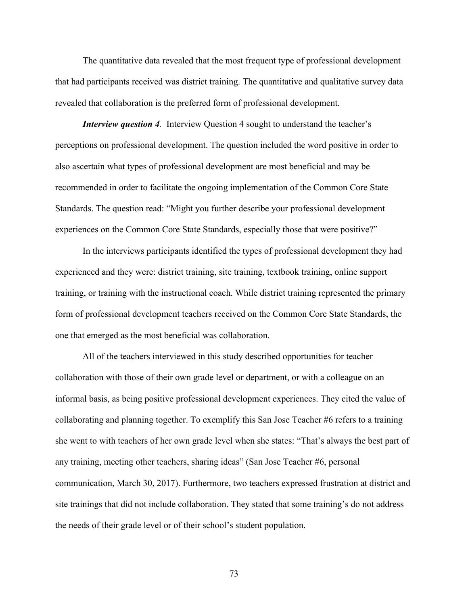The quantitative data revealed that the most frequent type of professional development that had participants received was district training. The quantitative and qualitative survey data revealed that collaboration is the preferred form of professional development.

*Interview question 4.* Interview Question 4 sought to understand the teacher's perceptions on professional development. The question included the word positive in order to also ascertain what types of professional development are most beneficial and may be recommended in order to facilitate the ongoing implementation of the Common Core State Standards. The question read: "Might you further describe your professional development experiences on the Common Core State Standards, especially those that were positive?"

In the interviews participants identified the types of professional development they had experienced and they were: district training, site training, textbook training, online support training, or training with the instructional coach. While district training represented the primary form of professional development teachers received on the Common Core State Standards, the one that emerged as the most beneficial was collaboration.

All of the teachers interviewed in this study described opportunities for teacher collaboration with those of their own grade level or department, or with a colleague on an informal basis, as being positive professional development experiences. They cited the value of collaborating and planning together. To exemplify this San Jose Teacher #6 refers to a training she went to with teachers of her own grade level when she states: "That's always the best part of any training, meeting other teachers, sharing ideas" (San Jose Teacher #6, personal communication, March 30, 2017). Furthermore, two teachers expressed frustration at district and site trainings that did not include collaboration. They stated that some training's do not address the needs of their grade level or of their school's student population.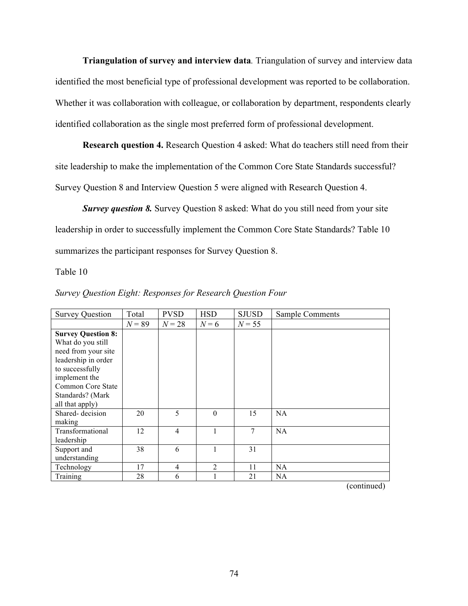**Triangulation of survey and interview data***.* Triangulation of survey and interview data identified the most beneficial type of professional development was reported to be collaboration. Whether it was collaboration with colleague, or collaboration by department, respondents clearly identified collaboration as the single most preferred form of professional development.

**Research question 4.** Research Question 4 asked: What do teachers still need from their site leadership to make the implementation of the Common Core State Standards successful? Survey Question 8 and Interview Question 5 were aligned with Research Question 4.

**Survey question 8.** Survey Question 8 asked: What do you still need from your site leadership in order to successfully implement the Common Core State Standards? Table 10 summarizes the participant responses for Survey Question 8.

#### Table 10

| <b>Survey Question</b>                                                                                                                                                                       | Total    | <b>PVSD</b>    | <b>HSD</b>     | <b>SJUSD</b>   | <b>Sample Comments</b> |
|----------------------------------------------------------------------------------------------------------------------------------------------------------------------------------------------|----------|----------------|----------------|----------------|------------------------|
|                                                                                                                                                                                              | $N = 89$ | $N=28$         | $N=6$          | $N = 55$       |                        |
| <b>Survey Question 8:</b><br>What do you still<br>need from your site<br>leadership in order<br>to successfully<br>implement the<br>Common Core State<br>Standards? (Mark<br>all that apply) |          |                |                |                |                        |
| Shared-decision<br>making                                                                                                                                                                    | 20       | 5              | $\theta$       | 15             | <b>NA</b>              |
| Transformational<br>leadership                                                                                                                                                               | 12       | $\overline{4}$ | 1              | $\overline{7}$ | NA                     |
| Support and<br>understanding                                                                                                                                                                 | 38       | 6              | 1              | 31             |                        |
| Technology                                                                                                                                                                                   | 17       | $\overline{4}$ | $\overline{2}$ | 11             | <b>NA</b>              |
| Training                                                                                                                                                                                     | 28       | 6              | 1              | 21             | <b>NA</b>              |

#### *Survey Question Eight: Responses for Research Question Four*

(continued)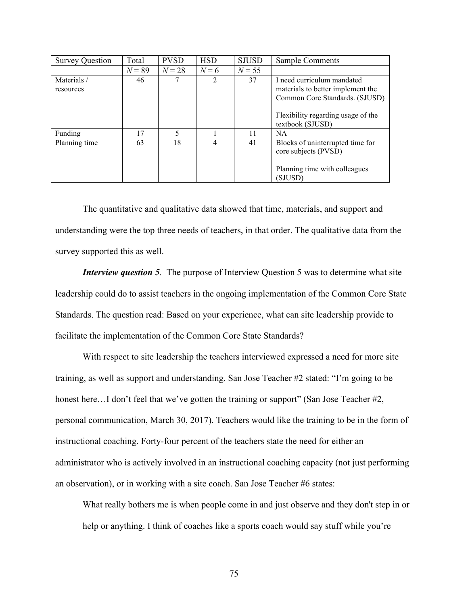| <b>Survey Question</b>  | Total    | <b>PVSD</b> | <b>HSD</b>     | <b>SJUSD</b> | Sample Comments                                                                                                                                             |
|-------------------------|----------|-------------|----------------|--------------|-------------------------------------------------------------------------------------------------------------------------------------------------------------|
|                         | $N = 89$ | $N = 28$    | $N=6$          | $N = 55$     |                                                                                                                                                             |
| Materials/<br>resources | 46       |             | $\mathfrak{D}$ | 37           | I need curriculum mandated<br>materials to better implement the<br>Common Core Standards. (SJUSD)<br>Flexibility regarding usage of the<br>textbook (SJUSD) |
| Funding                 | 17       | 5           |                | 11           | <b>NA</b>                                                                                                                                                   |
| Planning time           | 63       | 18          | 4              | 41           | Blocks of uninterrupted time for<br>core subjects (PVSD)<br>Planning time with colleagues<br>(SJUSD)                                                        |

The quantitative and qualitative data showed that time, materials, and support and understanding were the top three needs of teachers, in that order. The qualitative data from the survey supported this as well.

*Interview question 5.* The purpose of Interview Question 5 was to determine what site leadership could do to assist teachers in the ongoing implementation of the Common Core State Standards. The question read: Based on your experience, what can site leadership provide to facilitate the implementation of the Common Core State Standards?

With respect to site leadership the teachers interviewed expressed a need for more site training, as well as support and understanding. San Jose Teacher #2 stated: "I'm going to be honest here...I don't feel that we've gotten the training or support" (San Jose Teacher #2, personal communication, March 30, 2017). Teachers would like the training to be in the form of instructional coaching. Forty-four percent of the teachers state the need for either an administrator who is actively involved in an instructional coaching capacity (not just performing an observation), or in working with a site coach. San Jose Teacher #6 states:

What really bothers me is when people come in and just observe and they don't step in or help or anything. I think of coaches like a sports coach would say stuff while you're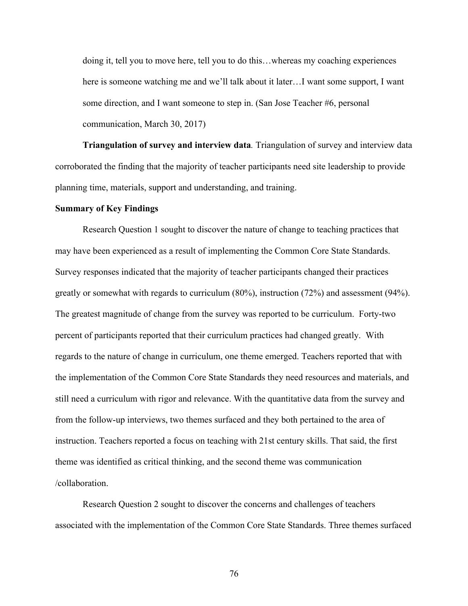doing it, tell you to move here, tell you to do this…whereas my coaching experiences here is someone watching me and we'll talk about it later…I want some support, I want some direction, and I want someone to step in. (San Jose Teacher #6, personal communication, March 30, 2017)

**Triangulation of survey and interview data***.* Triangulation of survey and interview data corroborated the finding that the majority of teacher participants need site leadership to provide planning time, materials, support and understanding, and training.

#### **Summary of Key Findings**

Research Question 1 sought to discover the nature of change to teaching practices that may have been experienced as a result of implementing the Common Core State Standards. Survey responses indicated that the majority of teacher participants changed their practices greatly or somewhat with regards to curriculum (80%), instruction (72%) and assessment (94%). The greatest magnitude of change from the survey was reported to be curriculum. Forty-two percent of participants reported that their curriculum practices had changed greatly. With regards to the nature of change in curriculum, one theme emerged. Teachers reported that with the implementation of the Common Core State Standards they need resources and materials, and still need a curriculum with rigor and relevance. With the quantitative data from the survey and from the follow-up interviews, two themes surfaced and they both pertained to the area of instruction. Teachers reported a focus on teaching with 21st century skills. That said, the first theme was identified as critical thinking, and the second theme was communication /collaboration.

Research Question 2 sought to discover the concerns and challenges of teachers associated with the implementation of the Common Core State Standards. Three themes surfaced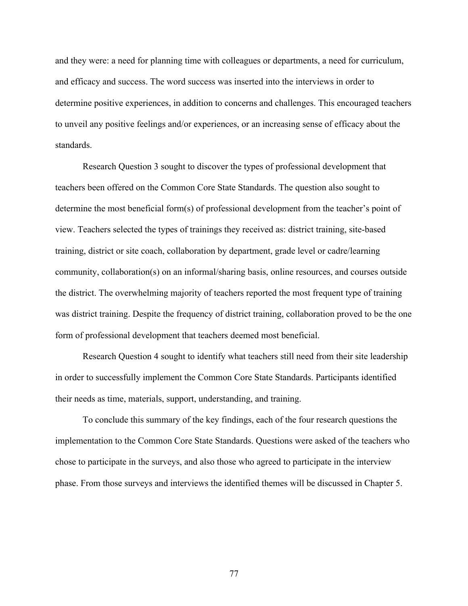and they were: a need for planning time with colleagues or departments, a need for curriculum, and efficacy and success. The word success was inserted into the interviews in order to determine positive experiences, in addition to concerns and challenges. This encouraged teachers to unveil any positive feelings and/or experiences, or an increasing sense of efficacy about the standards.

Research Question 3 sought to discover the types of professional development that teachers been offered on the Common Core State Standards. The question also sought to determine the most beneficial form(s) of professional development from the teacher's point of view. Teachers selected the types of trainings they received as: district training, site-based training, district or site coach, collaboration by department, grade level or cadre/learning community, collaboration(s) on an informal/sharing basis, online resources, and courses outside the district. The overwhelming majority of teachers reported the most frequent type of training was district training. Despite the frequency of district training, collaboration proved to be the one form of professional development that teachers deemed most beneficial.

Research Question 4 sought to identify what teachers still need from their site leadership in order to successfully implement the Common Core State Standards. Participants identified their needs as time, materials, support, understanding, and training.

To conclude this summary of the key findings, each of the four research questions the implementation to the Common Core State Standards. Questions were asked of the teachers who chose to participate in the surveys, and also those who agreed to participate in the interview phase. From those surveys and interviews the identified themes will be discussed in Chapter 5.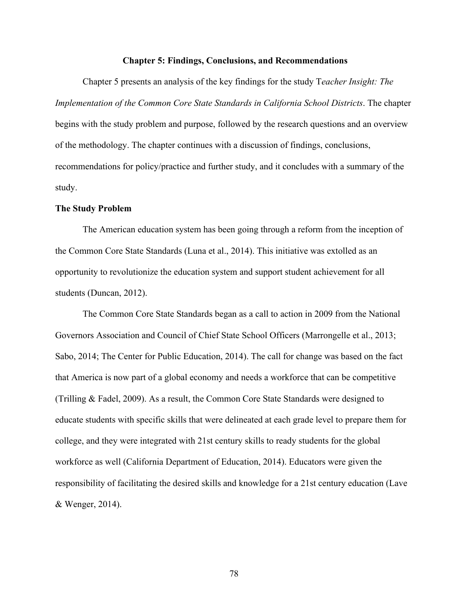#### **Chapter 5: Findings, Conclusions, and Recommendations**

Chapter 5 presents an analysis of the key findings for the study T*eacher Insight: The Implementation of the Common Core State Standards in California School Districts*. The chapter begins with the study problem and purpose, followed by the research questions and an overview of the methodology. The chapter continues with a discussion of findings, conclusions, recommendations for policy/practice and further study, and it concludes with a summary of the study.

#### **The Study Problem**

The American education system has been going through a reform from the inception of the Common Core State Standards (Luna et al., 2014). This initiative was extolled as an opportunity to revolutionize the education system and support student achievement for all students (Duncan, 2012).

The Common Core State Standards began as a call to action in 2009 from the National Governors Association and Council of Chief State School Officers (Marrongelle et al., 2013; Sabo, 2014; The Center for Public Education, 2014). The call for change was based on the fact that America is now part of a global economy and needs a workforce that can be competitive (Trilling & Fadel, 2009). As a result, the Common Core State Standards were designed to educate students with specific skills that were delineated at each grade level to prepare them for college, and they were integrated with 21st century skills to ready students for the global workforce as well (California Department of Education, 2014). Educators were given the responsibility of facilitating the desired skills and knowledge for a 21st century education (Lave & Wenger, 2014).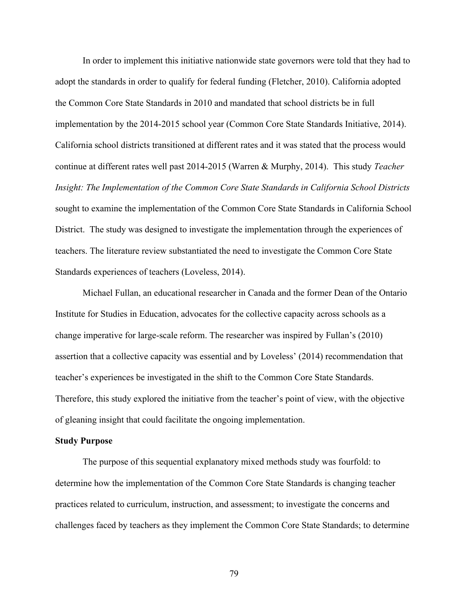In order to implement this initiative nationwide state governors were told that they had to adopt the standards in order to qualify for federal funding (Fletcher, 2010). California adopted the Common Core State Standards in 2010 and mandated that school districts be in full implementation by the 2014-2015 school year (Common Core State Standards Initiative, 2014). California school districts transitioned at different rates and it was stated that the process would continue at different rates well past 2014-2015 (Warren & Murphy, 2014). This study *Teacher Insight: The Implementation of the Common Core State Standards in California School Districts* sought to examine the implementation of the Common Core State Standards in California School District. The study was designed to investigate the implementation through the experiences of teachers. The literature review substantiated the need to investigate the Common Core State Standards experiences of teachers (Loveless, 2014).

Michael Fullan, an educational researcher in Canada and the former Dean of the Ontario Institute for Studies in Education, advocates for the collective capacity across schools as a change imperative for large-scale reform. The researcher was inspired by Fullan's (2010) assertion that a collective capacity was essential and by Loveless' (2014) recommendation that teacher's experiences be investigated in the shift to the Common Core State Standards. Therefore, this study explored the initiative from the teacher's point of view, with the objective of gleaning insight that could facilitate the ongoing implementation.

#### **Study Purpose**

The purpose of this sequential explanatory mixed methods study was fourfold: to determine how the implementation of the Common Core State Standards is changing teacher practices related to curriculum, instruction, and assessment; to investigate the concerns and challenges faced by teachers as they implement the Common Core State Standards; to determine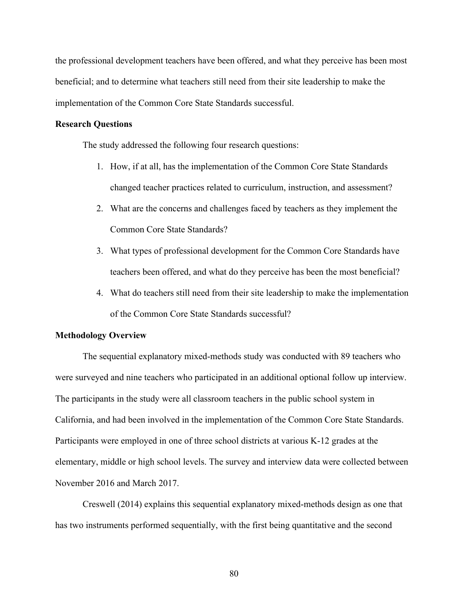the professional development teachers have been offered, and what they perceive has been most beneficial; and to determine what teachers still need from their site leadership to make the implementation of the Common Core State Standards successful.

#### **Research Questions**

The study addressed the following four research questions:

- 1. How, if at all, has the implementation of the Common Core State Standards changed teacher practices related to curriculum, instruction, and assessment?
- 2. What are the concerns and challenges faced by teachers as they implement the Common Core State Standards?
- 3. What types of professional development for the Common Core Standards have teachers been offered, and what do they perceive has been the most beneficial?
- 4. What do teachers still need from their site leadership to make the implementation of the Common Core State Standards successful?

#### **Methodology Overview**

The sequential explanatory mixed-methods study was conducted with 89 teachers who were surveyed and nine teachers who participated in an additional optional follow up interview. The participants in the study were all classroom teachers in the public school system in California, and had been involved in the implementation of the Common Core State Standards. Participants were employed in one of three school districts at various K-12 grades at the elementary, middle or high school levels. The survey and interview data were collected between November 2016 and March 2017.

Creswell (2014) explains this sequential explanatory mixed-methods design as one that has two instruments performed sequentially, with the first being quantitative and the second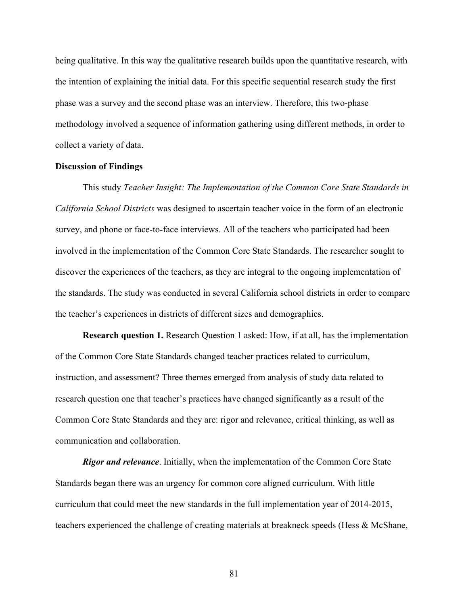being qualitative. In this way the qualitative research builds upon the quantitative research, with the intention of explaining the initial data. For this specific sequential research study the first phase was a survey and the second phase was an interview. Therefore, this two-phase methodology involved a sequence of information gathering using different methods, in order to collect a variety of data.

#### **Discussion of Findings**

This study *Teacher Insight: The Implementation of the Common Core State Standards in California School Districts* was designed to ascertain teacher voice in the form of an electronic survey, and phone or face-to-face interviews. All of the teachers who participated had been involved in the implementation of the Common Core State Standards. The researcher sought to discover the experiences of the teachers, as they are integral to the ongoing implementation of the standards. The study was conducted in several California school districts in order to compare the teacher's experiences in districts of different sizes and demographics.

**Research question 1.** Research Question 1 asked: How, if at all, has the implementation of the Common Core State Standards changed teacher practices related to curriculum, instruction, and assessment? Three themes emerged from analysis of study data related to research question one that teacher's practices have changed significantly as a result of the Common Core State Standards and they are: rigor and relevance, critical thinking, as well as communication and collaboration.

*Rigor and relevance*. Initially, when the implementation of the Common Core State Standards began there was an urgency for common core aligned curriculum. With little curriculum that could meet the new standards in the full implementation year of 2014-2015, teachers experienced the challenge of creating materials at breakneck speeds (Hess & McShane,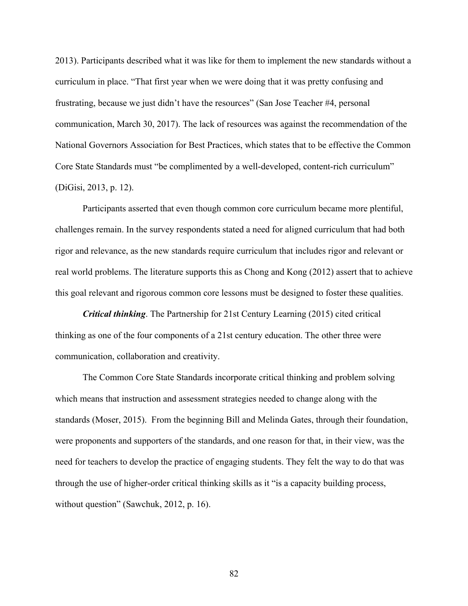2013). Participants described what it was like for them to implement the new standards without a curriculum in place. "That first year when we were doing that it was pretty confusing and frustrating, because we just didn't have the resources" (San Jose Teacher #4, personal communication, March 30, 2017). The lack of resources was against the recommendation of the National Governors Association for Best Practices, which states that to be effective the Common Core State Standards must "be complimented by a well-developed, content-rich curriculum" (DiGisi, 2013, p. 12).

Participants asserted that even though common core curriculum became more plentiful, challenges remain. In the survey respondents stated a need for aligned curriculum that had both rigor and relevance, as the new standards require curriculum that includes rigor and relevant or real world problems. The literature supports this as Chong and Kong (2012) assert that to achieve this goal relevant and rigorous common core lessons must be designed to foster these qualities.

*Critical thinking*. The Partnership for 21st Century Learning (2015) cited critical thinking as one of the four components of a 21st century education. The other three were communication, collaboration and creativity.

The Common Core State Standards incorporate critical thinking and problem solving which means that instruction and assessment strategies needed to change along with the standards (Moser, 2015). From the beginning Bill and Melinda Gates, through their foundation, were proponents and supporters of the standards, and one reason for that, in their view, was the need for teachers to develop the practice of engaging students. They felt the way to do that was through the use of higher-order critical thinking skills as it "is a capacity building process, without question" (Sawchuk, 2012, p. 16).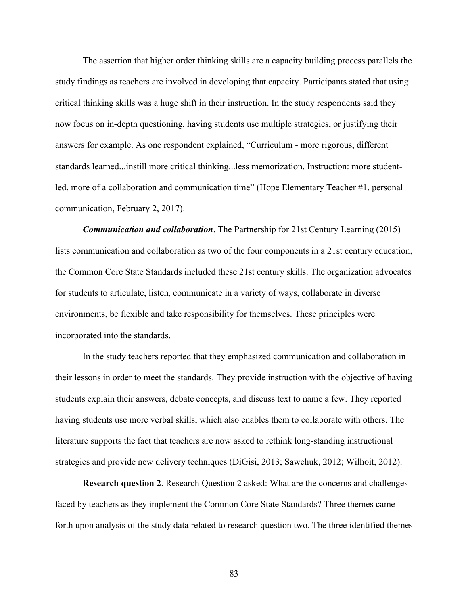The assertion that higher order thinking skills are a capacity building process parallels the study findings as teachers are involved in developing that capacity. Participants stated that using critical thinking skills was a huge shift in their instruction. In the study respondents said they now focus on in-depth questioning, having students use multiple strategies, or justifying their answers for example. As one respondent explained, "Curriculum - more rigorous, different standards learned...instill more critical thinking...less memorization. Instruction: more studentled, more of a collaboration and communication time" (Hope Elementary Teacher #1, personal communication, February 2, 2017).

*Communication and collaboration*. The Partnership for 21st Century Learning (2015) lists communication and collaboration as two of the four components in a 21st century education, the Common Core State Standards included these 21st century skills. The organization advocates for students to articulate, listen, communicate in a variety of ways, collaborate in diverse environments, be flexible and take responsibility for themselves. These principles were incorporated into the standards.

In the study teachers reported that they emphasized communication and collaboration in their lessons in order to meet the standards. They provide instruction with the objective of having students explain their answers, debate concepts, and discuss text to name a few. They reported having students use more verbal skills, which also enables them to collaborate with others. The literature supports the fact that teachers are now asked to rethink long-standing instructional strategies and provide new delivery techniques (DiGisi, 2013; Sawchuk, 2012; Wilhoit, 2012).

**Research question 2**. Research Question 2 asked: What are the concerns and challenges faced by teachers as they implement the Common Core State Standards? Three themes came forth upon analysis of the study data related to research question two. The three identified themes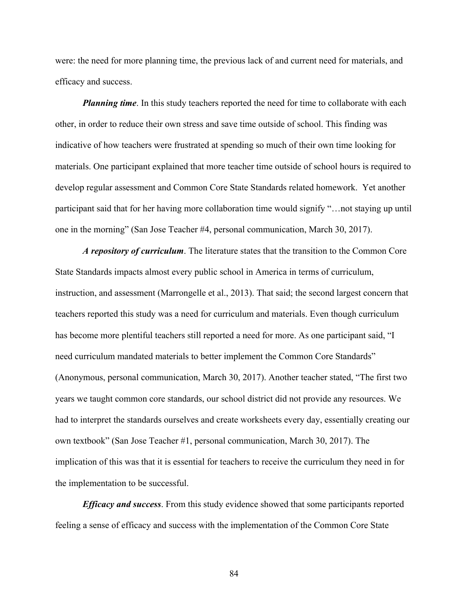were: the need for more planning time, the previous lack of and current need for materials, and efficacy and success.

*Planning time*. In this study teachers reported the need for time to collaborate with each other, in order to reduce their own stress and save time outside of school. This finding was indicative of how teachers were frustrated at spending so much of their own time looking for materials. One participant explained that more teacher time outside of school hours is required to develop regular assessment and Common Core State Standards related homework. Yet another participant said that for her having more collaboration time would signify "…not staying up until one in the morning" (San Jose Teacher #4, personal communication, March 30, 2017).

*A repository of curriculum*. The literature states that the transition to the Common Core State Standards impacts almost every public school in America in terms of curriculum, instruction, and assessment (Marrongelle et al., 2013). That said; the second largest concern that teachers reported this study was a need for curriculum and materials. Even though curriculum has become more plentiful teachers still reported a need for more. As one participant said, "I need curriculum mandated materials to better implement the Common Core Standards" (Anonymous, personal communication, March 30, 2017). Another teacher stated, "The first two years we taught common core standards, our school district did not provide any resources. We had to interpret the standards ourselves and create worksheets every day, essentially creating our own textbook" (San Jose Teacher #1, personal communication, March 30, 2017). The implication of this was that it is essential for teachers to receive the curriculum they need in for the implementation to be successful.

*Efficacy and success*. From this study evidence showed that some participants reported feeling a sense of efficacy and success with the implementation of the Common Core State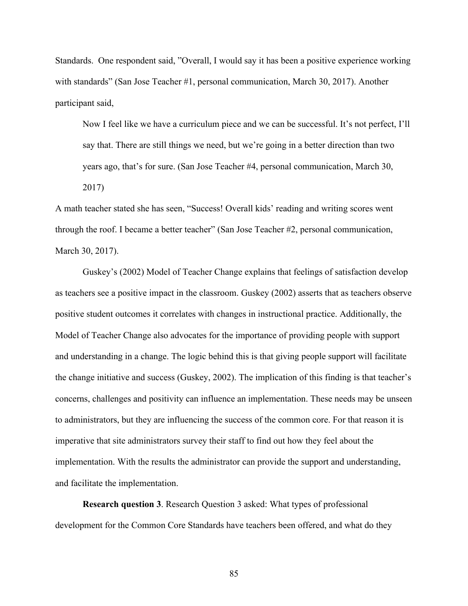Standards. One respondent said, "Overall, I would say it has been a positive experience working with standards" (San Jose Teacher #1, personal communication, March 30, 2017). Another participant said,

Now I feel like we have a curriculum piece and we can be successful. It's not perfect, I'll say that. There are still things we need, but we're going in a better direction than two years ago, that's for sure. (San Jose Teacher #4, personal communication, March 30, 2017)

A math teacher stated she has seen, "Success! Overall kids' reading and writing scores went through the roof. I became a better teacher" (San Jose Teacher #2, personal communication, March 30, 2017).

Guskey's (2002) Model of Teacher Change explains that feelings of satisfaction develop as teachers see a positive impact in the classroom. Guskey (2002) asserts that as teachers observe positive student outcomes it correlates with changes in instructional practice. Additionally, the Model of Teacher Change also advocates for the importance of providing people with support and understanding in a change. The logic behind this is that giving people support will facilitate the change initiative and success (Guskey, 2002). The implication of this finding is that teacher's concerns, challenges and positivity can influence an implementation. These needs may be unseen to administrators, but they are influencing the success of the common core. For that reason it is imperative that site administrators survey their staff to find out how they feel about the implementation. With the results the administrator can provide the support and understanding, and facilitate the implementation.

**Research question 3**. Research Question 3 asked: What types of professional development for the Common Core Standards have teachers been offered, and what do they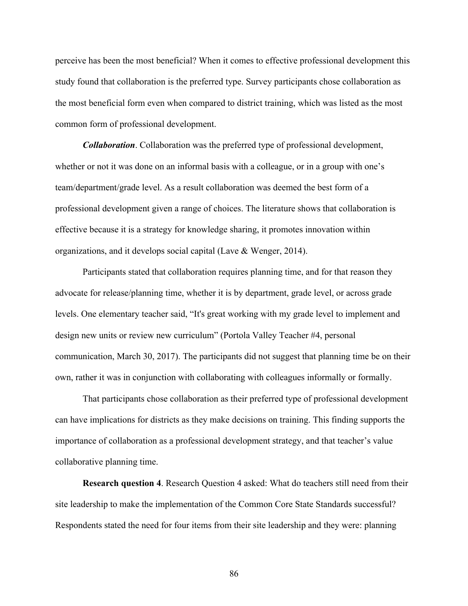perceive has been the most beneficial? When it comes to effective professional development this study found that collaboration is the preferred type. Survey participants chose collaboration as the most beneficial form even when compared to district training, which was listed as the most common form of professional development.

*Collaboration*. Collaboration was the preferred type of professional development, whether or not it was done on an informal basis with a colleague, or in a group with one's team/department/grade level. As a result collaboration was deemed the best form of a professional development given a range of choices. The literature shows that collaboration is effective because it is a strategy for knowledge sharing, it promotes innovation within organizations, and it develops social capital (Lave & Wenger, 2014).

Participants stated that collaboration requires planning time, and for that reason they advocate for release/planning time, whether it is by department, grade level, or across grade levels. One elementary teacher said, "It's great working with my grade level to implement and design new units or review new curriculum" (Portola Valley Teacher #4, personal communication, March 30, 2017). The participants did not suggest that planning time be on their own, rather it was in conjunction with collaborating with colleagues informally or formally.

That participants chose collaboration as their preferred type of professional development can have implications for districts as they make decisions on training. This finding supports the importance of collaboration as a professional development strategy, and that teacher's value collaborative planning time.

**Research question 4**. Research Question 4 asked: What do teachers still need from their site leadership to make the implementation of the Common Core State Standards successful? Respondents stated the need for four items from their site leadership and they were: planning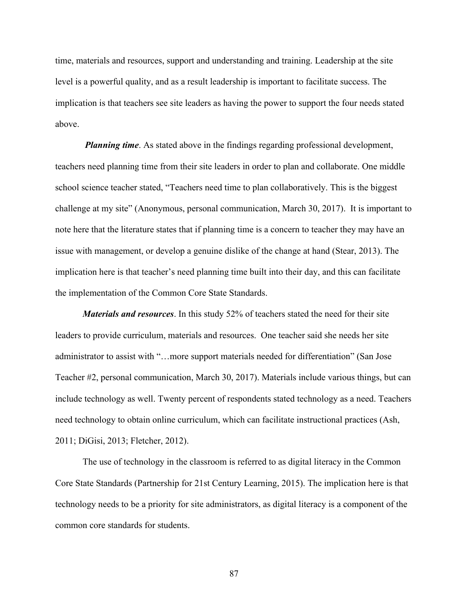time, materials and resources, support and understanding and training. Leadership at the site level is a powerful quality, and as a result leadership is important to facilitate success. The implication is that teachers see site leaders as having the power to support the four needs stated above.

*Planning time*. As stated above in the findings regarding professional development, teachers need planning time from their site leaders in order to plan and collaborate. One middle school science teacher stated, "Teachers need time to plan collaboratively. This is the biggest challenge at my site" (Anonymous, personal communication, March 30, 2017). It is important to note here that the literature states that if planning time is a concern to teacher they may have an issue with management, or develop a genuine dislike of the change at hand (Stear, 2013). The implication here is that teacher's need planning time built into their day, and this can facilitate the implementation of the Common Core State Standards.

*Materials and resources*. In this study 52% of teachers stated the need for their site leaders to provide curriculum, materials and resources. One teacher said she needs her site administrator to assist with "…more support materials needed for differentiation" (San Jose Teacher #2, personal communication, March 30, 2017). Materials include various things, but can include technology as well. Twenty percent of respondents stated technology as a need. Teachers need technology to obtain online curriculum, which can facilitate instructional practices (Ash, 2011; DiGisi, 2013; Fletcher, 2012).

The use of technology in the classroom is referred to as digital literacy in the Common Core State Standards (Partnership for 21st Century Learning, 2015). The implication here is that technology needs to be a priority for site administrators, as digital literacy is a component of the common core standards for students.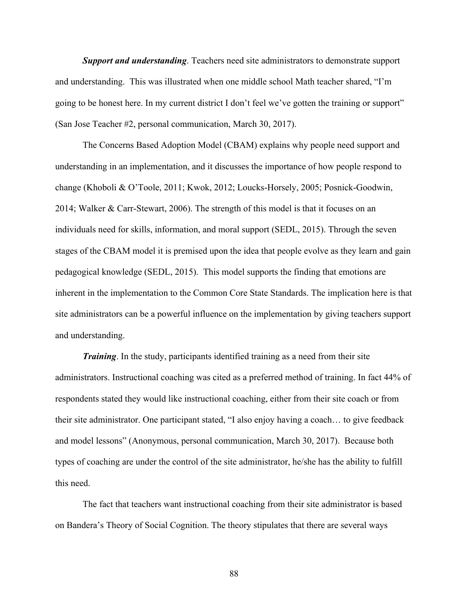*Support and understanding*. Teachers need site administrators to demonstrate support and understanding. This was illustrated when one middle school Math teacher shared, "I'm going to be honest here. In my current district I don't feel we've gotten the training or support" (San Jose Teacher #2, personal communication, March 30, 2017).

The Concerns Based Adoption Model (CBAM) explains why people need support and understanding in an implementation, and it discusses the importance of how people respond to change (Khoboli & O'Toole, 2011; Kwok, 2012; Loucks-Horsely, 2005; Posnick-Goodwin, 2014; Walker & Carr-Stewart, 2006). The strength of this model is that it focuses on an individuals need for skills, information, and moral support (SEDL, 2015). Through the seven stages of the CBAM model it is premised upon the idea that people evolve as they learn and gain pedagogical knowledge (SEDL, 2015). This model supports the finding that emotions are inherent in the implementation to the Common Core State Standards. The implication here is that site administrators can be a powerful influence on the implementation by giving teachers support and understanding.

 *Training*. In the study, participants identified training as a need from their site administrators. Instructional coaching was cited as a preferred method of training. In fact 44% of respondents stated they would like instructional coaching, either from their site coach or from their site administrator. One participant stated, "I also enjoy having a coach… to give feedback and model lessons" (Anonymous, personal communication, March 30, 2017). Because both types of coaching are under the control of the site administrator, he/she has the ability to fulfill this need.

The fact that teachers want instructional coaching from their site administrator is based on Bandera's Theory of Social Cognition. The theory stipulates that there are several ways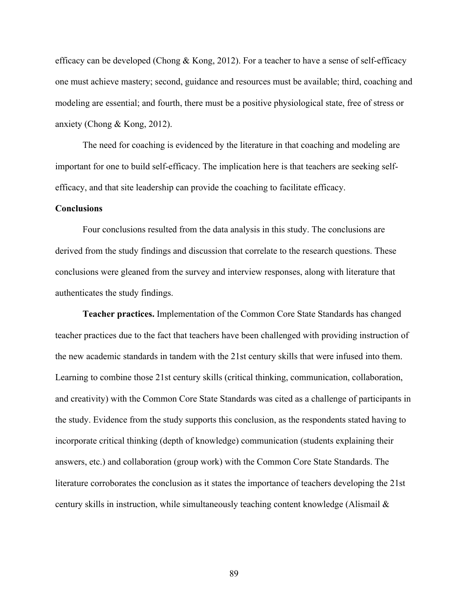efficacy can be developed (Chong & Kong, 2012). For a teacher to have a sense of self-efficacy one must achieve mastery; second, guidance and resources must be available; third, coaching and modeling are essential; and fourth, there must be a positive physiological state, free of stress or anxiety (Chong & Kong, 2012).

The need for coaching is evidenced by the literature in that coaching and modeling are important for one to build self-efficacy. The implication here is that teachers are seeking selfefficacy, and that site leadership can provide the coaching to facilitate efficacy.

#### **Conclusions**

Four conclusions resulted from the data analysis in this study. The conclusions are derived from the study findings and discussion that correlate to the research questions. These conclusions were gleaned from the survey and interview responses, along with literature that authenticates the study findings.

**Teacher practices.** Implementation of the Common Core State Standards has changed teacher practices due to the fact that teachers have been challenged with providing instruction of the new academic standards in tandem with the 21st century skills that were infused into them. Learning to combine those 21st century skills (critical thinking, communication, collaboration, and creativity) with the Common Core State Standards was cited as a challenge of participants in the study. Evidence from the study supports this conclusion, as the respondents stated having to incorporate critical thinking (depth of knowledge) communication (students explaining their answers, etc.) and collaboration (group work) with the Common Core State Standards. The literature corroborates the conclusion as it states the importance of teachers developing the 21st century skills in instruction, while simultaneously teaching content knowledge (Alismail &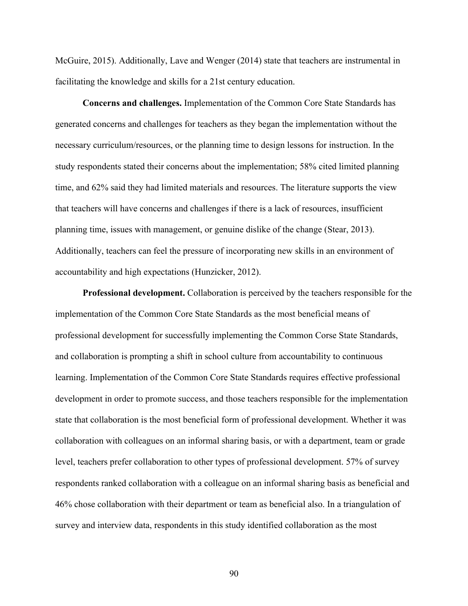McGuire, 2015). Additionally, Lave and Wenger (2014) state that teachers are instrumental in facilitating the knowledge and skills for a 21st century education.

**Concerns and challenges.** Implementation of the Common Core State Standards has generated concerns and challenges for teachers as they began the implementation without the necessary curriculum/resources, or the planning time to design lessons for instruction. In the study respondents stated their concerns about the implementation; 58% cited limited planning time, and 62% said they had limited materials and resources. The literature supports the view that teachers will have concerns and challenges if there is a lack of resources, insufficient planning time, issues with management, or genuine dislike of the change (Stear, 2013). Additionally, teachers can feel the pressure of incorporating new skills in an environment of accountability and high expectations (Hunzicker, 2012).

**Professional development.** Collaboration is perceived by the teachers responsible for the implementation of the Common Core State Standards as the most beneficial means of professional development for successfully implementing the Common Corse State Standards, and collaboration is prompting a shift in school culture from accountability to continuous learning. Implementation of the Common Core State Standards requires effective professional development in order to promote success, and those teachers responsible for the implementation state that collaboration is the most beneficial form of professional development. Whether it was collaboration with colleagues on an informal sharing basis, or with a department, team or grade level, teachers prefer collaboration to other types of professional development. 57% of survey respondents ranked collaboration with a colleague on an informal sharing basis as beneficial and 46% chose collaboration with their department or team as beneficial also. In a triangulation of survey and interview data, respondents in this study identified collaboration as the most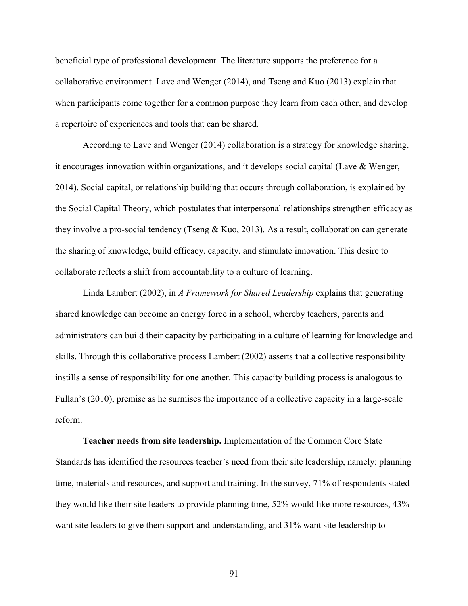beneficial type of professional development. The literature supports the preference for a collaborative environment. Lave and Wenger (2014), and Tseng and Kuo (2013) explain that when participants come together for a common purpose they learn from each other, and develop a repertoire of experiences and tools that can be shared.

According to Lave and Wenger (2014) collaboration is a strategy for knowledge sharing, it encourages innovation within organizations, and it develops social capital (Lave & Wenger, 2014). Social capital, or relationship building that occurs through collaboration, is explained by the Social Capital Theory, which postulates that interpersonal relationships strengthen efficacy as they involve a pro-social tendency (Tseng & Kuo, 2013). As a result, collaboration can generate the sharing of knowledge, build efficacy, capacity, and stimulate innovation. This desire to collaborate reflects a shift from accountability to a culture of learning.

Linda Lambert (2002), in *A Framework for Shared Leadership* explains that generating shared knowledge can become an energy force in a school, whereby teachers, parents and administrators can build their capacity by participating in a culture of learning for knowledge and skills. Through this collaborative process Lambert (2002) asserts that a collective responsibility instills a sense of responsibility for one another. This capacity building process is analogous to Fullan's (2010), premise as he surmises the importance of a collective capacity in a large-scale reform.

**Teacher needs from site leadership.** Implementation of the Common Core State Standards has identified the resources teacher's need from their site leadership, namely: planning time, materials and resources, and support and training. In the survey, 71% of respondents stated they would like their site leaders to provide planning time, 52% would like more resources, 43% want site leaders to give them support and understanding, and 31% want site leadership to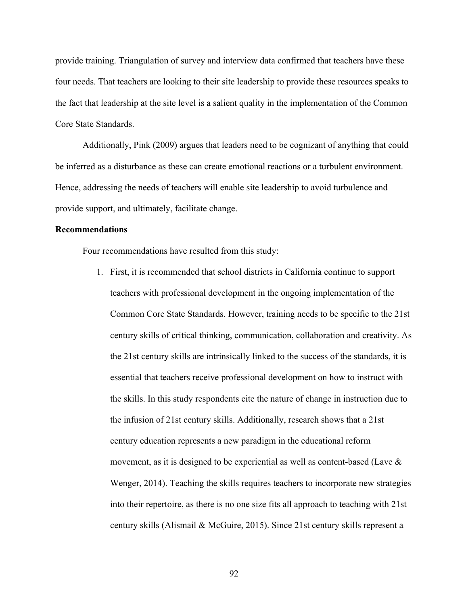provide training. Triangulation of survey and interview data confirmed that teachers have these four needs. That teachers are looking to their site leadership to provide these resources speaks to the fact that leadership at the site level is a salient quality in the implementation of the Common Core State Standards.

Additionally, Pink (2009) argues that leaders need to be cognizant of anything that could be inferred as a disturbance as these can create emotional reactions or a turbulent environment. Hence, addressing the needs of teachers will enable site leadership to avoid turbulence and provide support, and ultimately, facilitate change.

#### **Recommendations**

Four recommendations have resulted from this study:

1. First, it is recommended that school districts in California continue to support teachers with professional development in the ongoing implementation of the Common Core State Standards. However, training needs to be specific to the 21st century skills of critical thinking, communication, collaboration and creativity. As the 21st century skills are intrinsically linked to the success of the standards, it is essential that teachers receive professional development on how to instruct with the skills. In this study respondents cite the nature of change in instruction due to the infusion of 21st century skills. Additionally, research shows that a 21st century education represents a new paradigm in the educational reform movement, as it is designed to be experiential as well as content-based (Lave  $\&$ Wenger, 2014). Teaching the skills requires teachers to incorporate new strategies into their repertoire, as there is no one size fits all approach to teaching with 21st century skills (Alismail & McGuire, 2015). Since 21st century skills represent a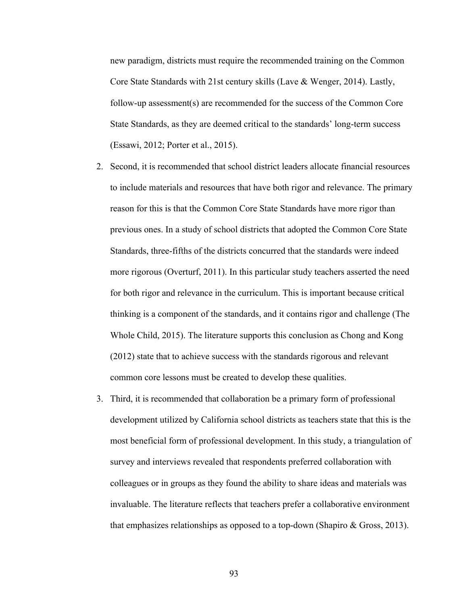new paradigm, districts must require the recommended training on the Common Core State Standards with 21st century skills (Lave & Wenger, 2014). Lastly, follow-up assessment(s) are recommended for the success of the Common Core State Standards, as they are deemed critical to the standards' long-term success (Essawi, 2012; Porter et al., 2015).

- 2. Second, it is recommended that school district leaders allocate financial resources to include materials and resources that have both rigor and relevance. The primary reason for this is that the Common Core State Standards have more rigor than previous ones. In a study of school districts that adopted the Common Core State Standards, three-fifths of the districts concurred that the standards were indeed more rigorous (Overturf, 2011). In this particular study teachers asserted the need for both rigor and relevance in the curriculum. This is important because critical thinking is a component of the standards, and it contains rigor and challenge (The Whole Child, 2015). The literature supports this conclusion as Chong and Kong (2012) state that to achieve success with the standards rigorous and relevant common core lessons must be created to develop these qualities.
- 3. Third, it is recommended that collaboration be a primary form of professional development utilized by California school districts as teachers state that this is the most beneficial form of professional development. In this study, a triangulation of survey and interviews revealed that respondents preferred collaboration with colleagues or in groups as they found the ability to share ideas and materials was invaluable. The literature reflects that teachers prefer a collaborative environment that emphasizes relationships as opposed to a top-down (Shapiro & Gross, 2013).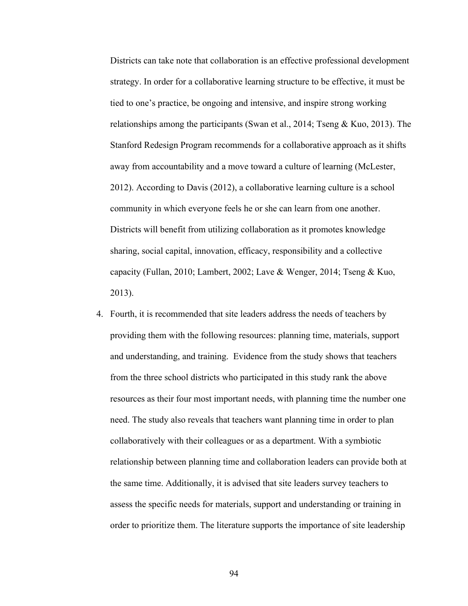Districts can take note that collaboration is an effective professional development strategy. In order for a collaborative learning structure to be effective, it must be tied to one's practice, be ongoing and intensive, and inspire strong working relationships among the participants (Swan et al., 2014; Tseng & Kuo, 2013). The Stanford Redesign Program recommends for a collaborative approach as it shifts away from accountability and a move toward a culture of learning (McLester, 2012). According to Davis (2012), a collaborative learning culture is a school community in which everyone feels he or she can learn from one another. Districts will benefit from utilizing collaboration as it promotes knowledge sharing, social capital, innovation, efficacy, responsibility and a collective capacity (Fullan, 2010; Lambert, 2002; Lave & Wenger, 2014; Tseng & Kuo, 2013).

4. Fourth, it is recommended that site leaders address the needs of teachers by providing them with the following resources: planning time, materials, support and understanding, and training. Evidence from the study shows that teachers from the three school districts who participated in this study rank the above resources as their four most important needs, with planning time the number one need. The study also reveals that teachers want planning time in order to plan collaboratively with their colleagues or as a department. With a symbiotic relationship between planning time and collaboration leaders can provide both at the same time. Additionally, it is advised that site leaders survey teachers to assess the specific needs for materials, support and understanding or training in order to prioritize them. The literature supports the importance of site leadership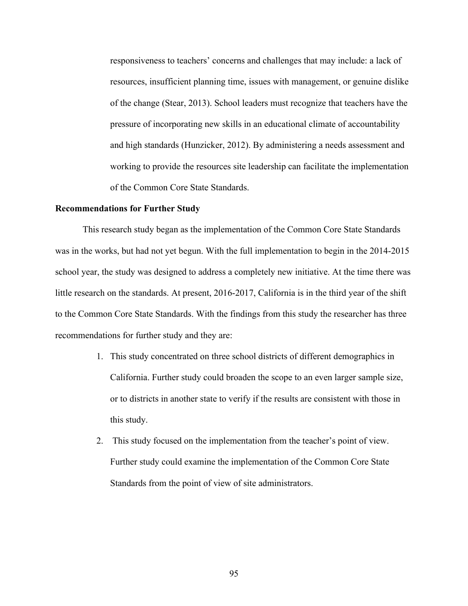responsiveness to teachers' concerns and challenges that may include: a lack of resources, insufficient planning time, issues with management, or genuine dislike of the change (Stear, 2013). School leaders must recognize that teachers have the pressure of incorporating new skills in an educational climate of accountability and high standards (Hunzicker, 2012). By administering a needs assessment and working to provide the resources site leadership can facilitate the implementation of the Common Core State Standards.

#### **Recommendations for Further Study**

This research study began as the implementation of the Common Core State Standards was in the works, but had not yet begun. With the full implementation to begin in the 2014-2015 school year, the study was designed to address a completely new initiative. At the time there was little research on the standards. At present, 2016-2017, California is in the third year of the shift to the Common Core State Standards. With the findings from this study the researcher has three recommendations for further study and they are:

- 1. This study concentrated on three school districts of different demographics in California. Further study could broaden the scope to an even larger sample size, or to districts in another state to verify if the results are consistent with those in this study.
- 2. This study focused on the implementation from the teacher's point of view. Further study could examine the implementation of the Common Core State Standards from the point of view of site administrators.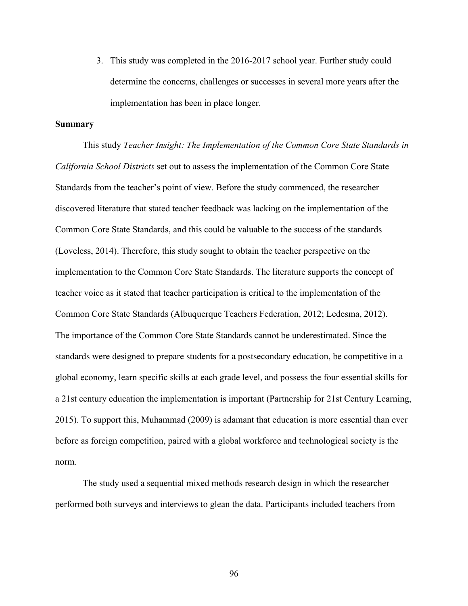3. This study was completed in the 2016-2017 school year. Further study could determine the concerns, challenges or successes in several more years after the implementation has been in place longer.

### **Summary**

This study *Teacher Insight: The Implementation of the Common Core State Standards in California School Districts* set out to assess the implementation of the Common Core State Standards from the teacher's point of view. Before the study commenced, the researcher discovered literature that stated teacher feedback was lacking on the implementation of the Common Core State Standards, and this could be valuable to the success of the standards (Loveless, 2014). Therefore, this study sought to obtain the teacher perspective on the implementation to the Common Core State Standards. The literature supports the concept of teacher voice as it stated that teacher participation is critical to the implementation of the Common Core State Standards (Albuquerque Teachers Federation, 2012; Ledesma, 2012). The importance of the Common Core State Standards cannot be underestimated. Since the standards were designed to prepare students for a postsecondary education, be competitive in a global economy, learn specific skills at each grade level, and possess the four essential skills for a 21st century education the implementation is important (Partnership for 21st Century Learning, 2015). To support this, Muhammad (2009) is adamant that education is more essential than ever before as foreign competition, paired with a global workforce and technological society is the norm.

The study used a sequential mixed methods research design in which the researcher performed both surveys and interviews to glean the data. Participants included teachers from

96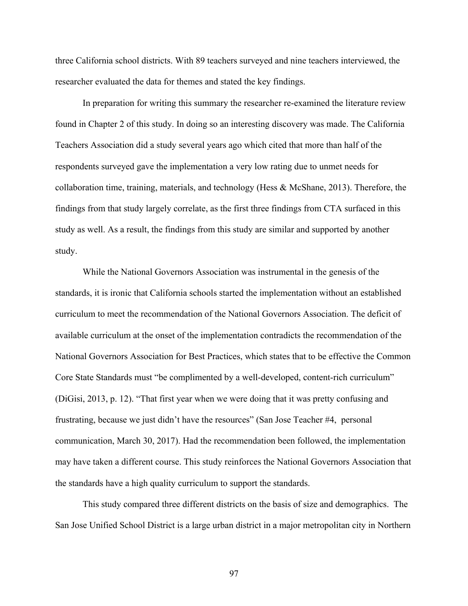three California school districts. With 89 teachers surveyed and nine teachers interviewed, the researcher evaluated the data for themes and stated the key findings.

In preparation for writing this summary the researcher re-examined the literature review found in Chapter 2 of this study. In doing so an interesting discovery was made. The California Teachers Association did a study several years ago which cited that more than half of the respondents surveyed gave the implementation a very low rating due to unmet needs for collaboration time, training, materials, and technology (Hess  $\&$  McShane, 2013). Therefore, the findings from that study largely correlate, as the first three findings from CTA surfaced in this study as well. As a result, the findings from this study are similar and supported by another study.

While the National Governors Association was instrumental in the genesis of the standards, it is ironic that California schools started the implementation without an established curriculum to meet the recommendation of the National Governors Association. The deficit of available curriculum at the onset of the implementation contradicts the recommendation of the National Governors Association for Best Practices, which states that to be effective the Common Core State Standards must "be complimented by a well-developed, content-rich curriculum" (DiGisi, 2013, p. 12). "That first year when we were doing that it was pretty confusing and frustrating, because we just didn't have the resources" (San Jose Teacher #4, personal communication, March 30, 2017). Had the recommendation been followed, the implementation may have taken a different course. This study reinforces the National Governors Association that the standards have a high quality curriculum to support the standards.

This study compared three different districts on the basis of size and demographics. The San Jose Unified School District is a large urban district in a major metropolitan city in Northern

97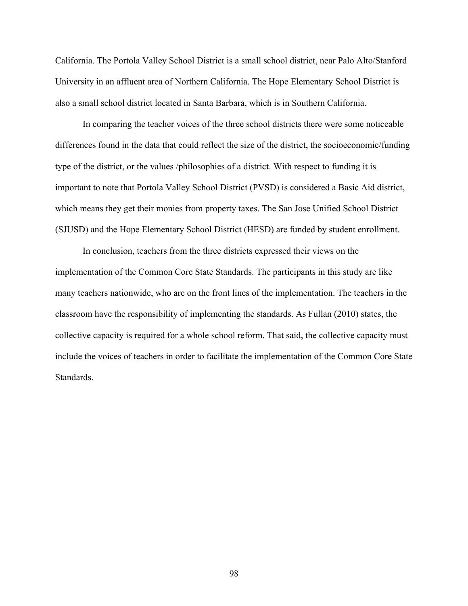California. The Portola Valley School District is a small school district, near Palo Alto/Stanford University in an affluent area of Northern California. The Hope Elementary School District is also a small school district located in Santa Barbara, which is in Southern California.

In comparing the teacher voices of the three school districts there were some noticeable differences found in the data that could reflect the size of the district, the socioeconomic/funding type of the district, or the values /philosophies of a district. With respect to funding it is important to note that Portola Valley School District (PVSD) is considered a Basic Aid district, which means they get their monies from property taxes. The San Jose Unified School District (SJUSD) and the Hope Elementary School District (HESD) are funded by student enrollment.

In conclusion, teachers from the three districts expressed their views on the implementation of the Common Core State Standards. The participants in this study are like many teachers nationwide, who are on the front lines of the implementation. The teachers in the classroom have the responsibility of implementing the standards. As Fullan (2010) states, the collective capacity is required for a whole school reform. That said, the collective capacity must include the voices of teachers in order to facilitate the implementation of the Common Core State Standards.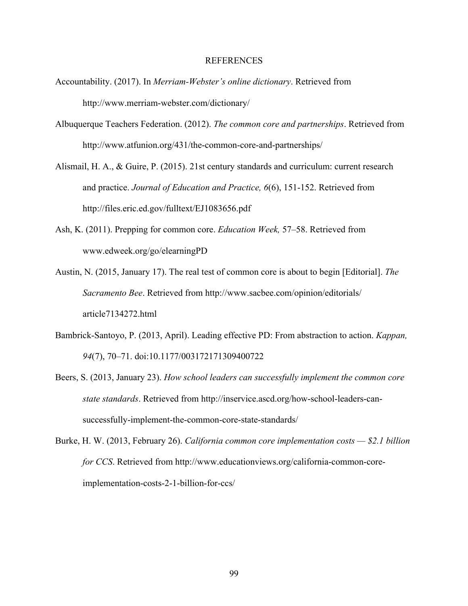### REFERENCES

- Accountability. (2017). In *Merriam-Webster's online dictionary*. Retrieved from http://www.merriam-webster.com/dictionary/
- Albuquerque Teachers Federation. (2012). *The common core and partnerships*. Retrieved from http://www.atfunion.org/431/the-common-core-and-partnerships/
- Alismail, H. A., & Guire, P. (2015). 21st century standards and curriculum: current research and practice. *Journal of Education and Practice, 6*(6), 151-152. Retrieved from http://files.eric.ed.gov/fulltext/EJ1083656.pdf
- Ash, K. (2011). Prepping for common core. *Education Week,* 57–58. Retrieved from www.edweek.org/go/elearningPD
- Austin, N. (2015, January 17). The real test of common core is about to begin [Editorial]. *The Sacramento Bee*. Retrieved from http://www.sacbee.com/opinion/editorials/ article7134272.html
- Bambrick-Santoyo, P. (2013, April). Leading effective PD: From abstraction to action. *Kappan, 94*(7), 70–71. doi:10.1177/003172171309400722
- Beers, S. (2013, January 23). *How school leaders can successfully implement the common core state standards*. Retrieved from http://inservice.ascd.org/how-school-leaders-cansuccessfully-implement-the-common-core-state-standards/
- Burke, H. W. (2013, February 26). *California common core implementation costs — \$2.1 billion for CCS*. Retrieved from http://www.educationviews.org/california-common-coreimplementation-costs-2-1-billion-for-ccs/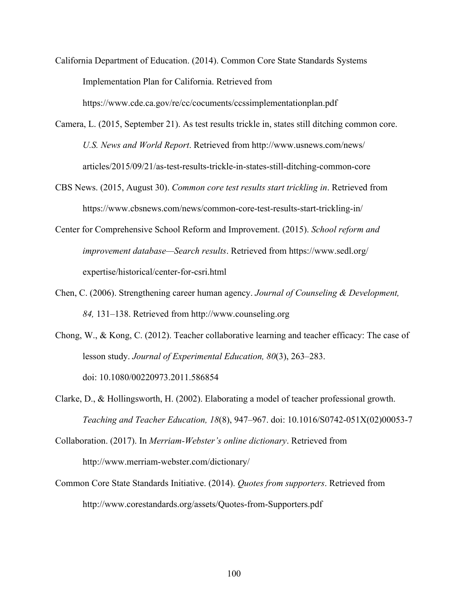- California Department of Education. (2014). Common Core State Standards Systems Implementation Plan for California. Retrieved from https://www.cde.ca.gov/re/cc/cocuments/ccssimplementationplan.pdf
- Camera, L. (2015, September 21). As test results trickle in, states still ditching common core. *U.S. News and World Report*. Retrieved from http://www.usnews.com/news/ articles/2015/09/21/as-test-results-trickle-in-states-still-ditching-common-core
- CBS News. (2015, August 30). *Common core test results start trickling in*. Retrieved from https://www.cbsnews.com/news/common-core-test-results-start-trickling-in/
- Center for Comprehensive School Reform and Improvement. (2015). *School reform and improvement database—Search results*. Retrieved from https://www.sedl.org/ expertise/historical/center-for-csri.html
- Chen, C. (2006). Strengthening career human agency. *Journal of Counseling & Development, 84,* 131–138. Retrieved from http://www.counseling.org
- Chong, W., & Kong, C. (2012). Teacher collaborative learning and teacher efficacy: The case of lesson study. *Journal of Experimental Education, 80*(3), 263–283. doi: 10.1080/00220973.2011.586854
- Clarke, D., & Hollingsworth, H. (2002). Elaborating a model of teacher professional growth. *Teaching and Teacher Education, 18*(8), 947–967. doi: 10.1016/S0742-051X(02)00053-7
- Collaboration. (2017). In *Merriam-Webster's online dictionary*. Retrieved from http://www.merriam-webster.com/dictionary/
- Common Core State Standards Initiative. (2014). *Quotes from supporters*. Retrieved from http://www.corestandards.org/assets/Quotes-from-Supporters.pdf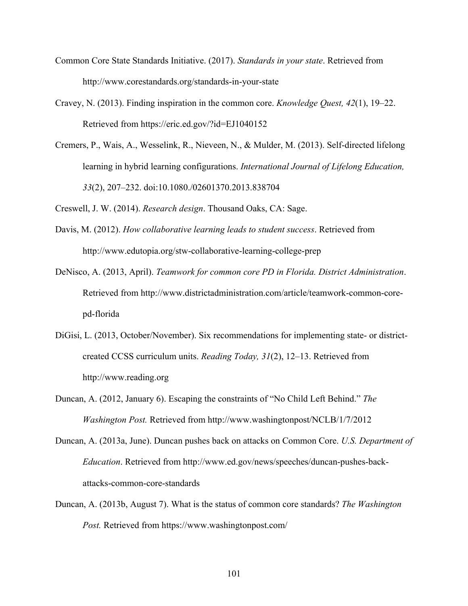- Common Core State Standards Initiative. (2017). *Standards in your state*. Retrieved from http://www.corestandards.org/standards-in-your-state
- Cravey, N. (2013). Finding inspiration in the common core. *Knowledge Quest, 42*(1), 19–22. Retrieved from https://eric.ed.gov/?id=EJ1040152
- Cremers, P., Wais, A., Wesselink, R., Nieveen, N., & Mulder, M. (2013). Self-directed lifelong learning in hybrid learning configurations. *International Journal of Lifelong Education, 33*(2), 207–232. doi:10.1080./02601370.2013.838704

Creswell, J. W. (2014). *Research design*. Thousand Oaks, CA: Sage.

- Davis, M. (2012). *How collaborative learning leads to student success*. Retrieved from http://www.edutopia.org/stw-collaborative-learning-college-prep
- DeNisco, A. (2013, April). *Teamwork for common core PD in Florida. District Administration*. Retrieved from http://www.districtadministration.com/article/teamwork-common-corepd-florida
- DiGisi, L. (2013, October/November). Six recommendations for implementing state- or districtcreated CCSS curriculum units. *Reading Today, 31*(2), 12–13. Retrieved from http://www.reading.org
- Duncan, A. (2012, January 6). Escaping the constraints of "No Child Left Behind." *The Washington Post.* Retrieved from http://www.washingtonpost/NCLB/1/7/2012
- Duncan, A. (2013a, June). Duncan pushes back on attacks on Common Core. *U.S. Department of Education*. Retrieved from http://www.ed.gov/news/speeches/duncan-pushes-backattacks-common-core-standards
- Duncan, A. (2013b, August 7). What is the status of common core standards? *The Washington Post.* Retrieved from https://www.washingtonpost.com/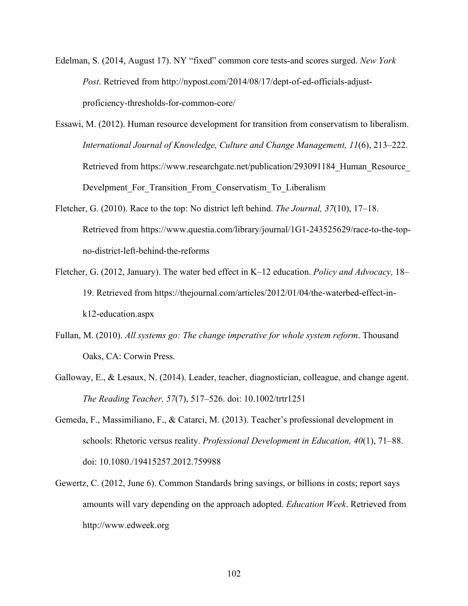- Edelman, S. (2014, August 17). NY "fixed" common core tests-and scores surged. *New York Post*. Retrieved from http://nypost.com/2014/08/17/dept-of-ed-officials-adjustproficiency-thresholds-for-common-core/
- Essawi, M. (2012). Human resource development for transition from conservatism to liberalism. *International Journal of Knowledge, Culture and Change Management, 11*(6), 213–222. Retrieved from https://www.researchgate.net/publication/293091184 Human Resource Develpment For Transition From Conservatism To Liberalism
- Fletcher, G. (2010). Race to the top: No district left behind. *The Journal, 37*(10), 17–18. Retrieved from https://www.questia.com/library/journal/1G1-243525629/race-to-the-topno-district-left-behind-the-reforms
- Fletcher, G. (2012, January). The water bed effect in K–12 education. *Policy and Advocacy,* 18– 19. Retrieved from https://thejournal.com/articles/2012/01/04/the-waterbed-effect-ink12-education.aspx
- Fullan, M. (2010). *All systems go: The change imperative for whole system reform*. Thousand Oaks, CA: Corwin Press.
- Galloway, E., & Lesaux, N. (2014). Leader, teacher, diagnostician, colleague, and change agent. *The Reading Teacher, 57*(7), 517–526. doi: 10.1002/trtr1251
- Gemeda, F., Massimiliano, F., & Catarci, M. (2013). Teacher's professional development in schools: Rhetoric versus reality. *Professional Development in Education, 40*(1), 71–88. doi: 10.1080./19415257.2012.759988
- Gewertz, C. (2012, June 6). Common Standards bring savings, or billions in costs; report says amounts will vary depending on the approach adopted. *Education Week*. Retrieved from http://www.edweek.org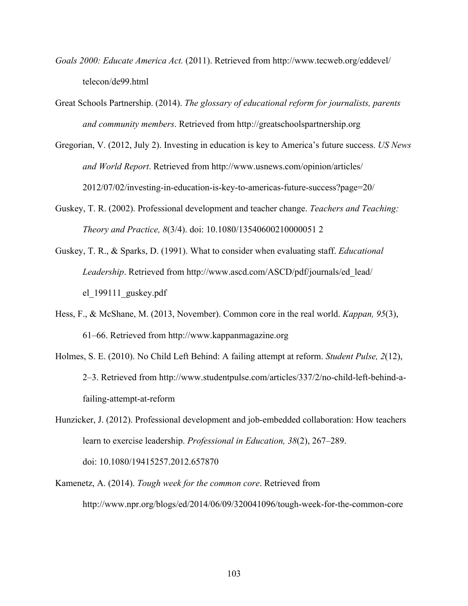- *Goals 2000: Educate America Act.* (2011). Retrieved from http://www.tecweb.org/eddevel/ telecon/de99.html
- Great Schools Partnership. (2014). *The glossary of educational reform for journalists, parents and community members*. Retrieved from http://greatschoolspartnership.org
- Gregorian, V. (2012, July 2). Investing in education is key to America's future success. *US News and World Report*. Retrieved from http://www.usnews.com/opinion/articles/ 2012/07/02/investing-in-education-is-key-to-americas-future-success?page=20/
- Guskey, T. R. (2002). Professional development and teacher change. *Teachers and Teaching: Theory and Practice, 8*(3/4). doi: 10.1080/13540600210000051 2
- Guskey, T. R., & Sparks, D. (1991). What to consider when evaluating staff. *Educational Leadership*. Retrieved from http://www.ascd.com/ASCD/pdf/journals/ed\_lead/ el\_199111\_guskey.pdf
- Hess, F., & McShane, M. (2013, November). Common core in the real world. *Kappan, 95*(3), 61–66. Retrieved from http://www.kappanmagazine.org
- Holmes, S. E. (2010). No Child Left Behind: A failing attempt at reform. *Student Pulse, 2*(12), 2–3. Retrieved from http://www.studentpulse.com/articles/337/2/no-child-left-behind-afailing-attempt-at-reform
- Hunzicker, J. (2012). Professional development and job-embedded collaboration: How teachers learn to exercise leadership. *Professional in Education, 38*(2), 267–289. doi: 10.1080/19415257.2012.657870
- Kamenetz, A. (2014). *Tough week for the common core*. Retrieved from http://www.npr.org/blogs/ed/2014/06/09/320041096/tough-week-for-the-common-core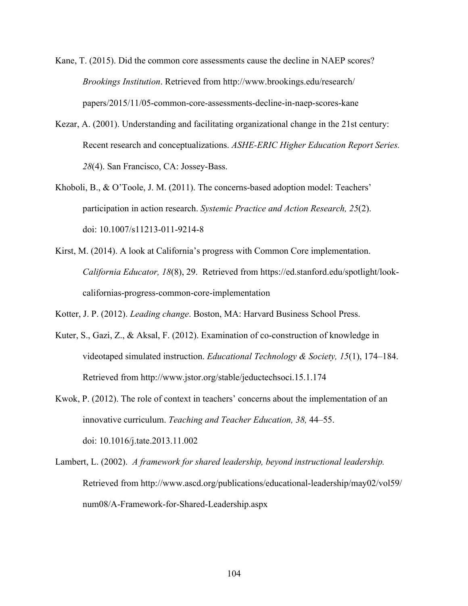- Kane, T. (2015). Did the common core assessments cause the decline in NAEP scores? *Brookings Institution*. Retrieved from http://www.brookings.edu/research/ papers/2015/11/05-common-core-assessments-decline-in-naep-scores-kane
- Kezar, A. (2001). Understanding and facilitating organizational change in the 21st century: Recent research and conceptualizations. *ASHE-ERIC Higher Education Report Series. 28*(4). San Francisco, CA: Jossey-Bass.
- Khoboli, B., & O'Toole, J. M. (2011). The concerns-based adoption model: Teachers' participation in action research. *Systemic Practice and Action Research, 25*(2). doi: 10.1007/s11213-011-9214-8
- Kirst, M. (2014). A look at California's progress with Common Core implementation. *California Educator, 18*(8), 29. Retrieved from https://ed.stanford.edu/spotlight/lookcalifornias-progress-common-core-implementation

Kotter, J. P. (2012). *Leading change*. Boston, MA: Harvard Business School Press.

- Kuter, S., Gazi, Z., & Aksal, F. (2012). Examination of co-construction of knowledge in videotaped simulated instruction. *Educational Technology & Society, 15*(1), 174–184. Retrieved from http://www.jstor.org/stable/jeductechsoci.15.1.174
- Kwok, P. (2012). The role of context in teachers' concerns about the implementation of an innovative curriculum. *Teaching and Teacher Education, 38,* 44–55. doi: 10.1016/j.tate.2013.11.002
- Lambert, L. (2002). *A framework for shared leadership, beyond instructional leadership.* Retrieved from http://www.ascd.org/publications/educational-leadership/may02/vol59/ num08/A-Framework-for-Shared-Leadership.aspx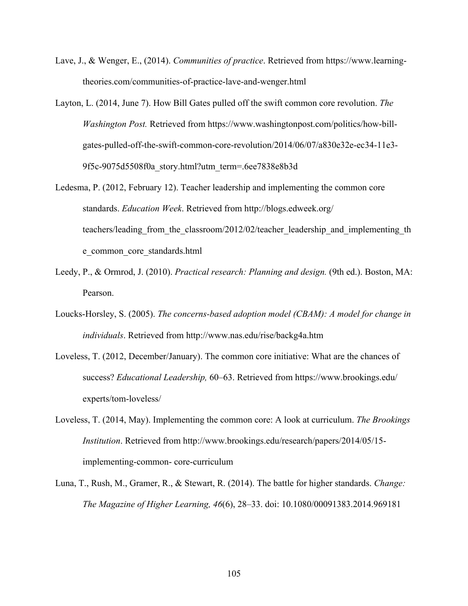- Lave, J., & Wenger, E., (2014). *Communities of practice*. Retrieved from https://www.learningtheories.com/communities-of-practice-lave-and-wenger.html
- Layton, L. (2014, June 7). How Bill Gates pulled off the swift common core revolution. *The Washington Post.* Retrieved from https://www.washingtonpost.com/politics/how-billgates-pulled-off-the-swift-common-core-revolution/2014/06/07/a830e32e-ec34-11e3- 9f5c-9075d5508f0a\_story.html?utm\_term=.6ee7838e8b3d
- Ledesma, P. (2012, February 12). Teacher leadership and implementing the common core standards. *Education Week*. Retrieved from http://blogs.edweek.org/ teachers/leading from the classroom/2012/02/teacher leadership and implementing th e\_common\_core\_standards.html
- Leedy, P., & Ormrod, J. (2010). *Practical research: Planning and design.* (9th ed.). Boston, MA: Pearson.
- Loucks-Horsley, S. (2005). *The concerns-based adoption model (CBAM): A model for change in individuals*. Retrieved from http://www.nas.edu/rise/backg4a.htm
- Loveless, T. (2012, December/January). The common core initiative: What are the chances of success? *Educational Leadership,* 60–63. Retrieved from https://www.brookings.edu/ experts/tom-loveless/
- Loveless, T. (2014, May). Implementing the common core: A look at curriculum. *The Brookings Institution*. Retrieved from http://www.brookings.edu/research/papers/2014/05/15 implementing-common- core-curriculum
- Luna, T., Rush, M., Gramer, R., & Stewart, R. (2014). The battle for higher standards. *Change: The Magazine of Higher Learning, 46*(6), 28–33. doi: 10.1080/00091383.2014.969181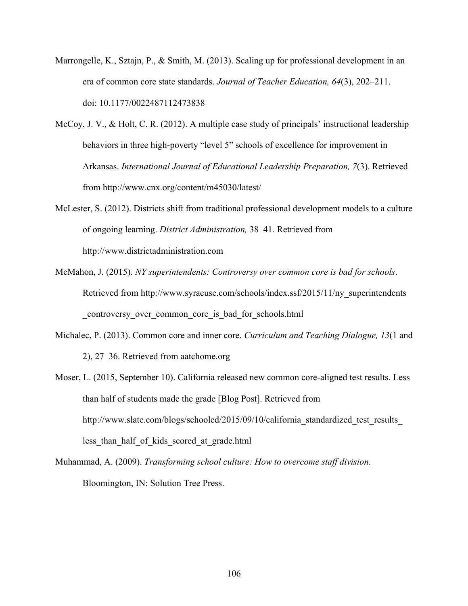- Marrongelle, K., Sztajn, P., & Smith, M. (2013). Scaling up for professional development in an era of common core state standards. *Journal of Teacher Education, 64*(3), 202–211. doi: 10.1177/0022487112473838
- McCoy, J. V., & Holt, C. R. (2012). A multiple case study of principals' instructional leadership behaviors in three high-poverty "level 5" schools of excellence for improvement in Arkansas. *International Journal of Educational Leadership Preparation, 7*(3). Retrieved from http://www.cnx.org/content/m45030/latest/
- McLester, S. (2012). Districts shift from traditional professional development models to a culture of ongoing learning. *District Administration,* 38–41. Retrieved from http://www.districtadministration.com
- McMahon, J. (2015). *NY superintendents: Controversy over common core is bad for schools*. Retrieved from http://www.syracuse.com/schools/index.ssf/2015/11/ny\_superintendents \_controversy\_over\_common\_core\_is\_bad\_for\_schools.html
- Michalec, P. (2013). Common core and inner core. *Curriculum and Teaching Dialogue, 13*(1 and 2), 27–36. Retrieved from aatchome.org
- Moser, L. (2015, September 10). California released new common core-aligned test results. Less than half of students made the grade [Blog Post]. Retrieved from http://www.slate.com/blogs/schooled/2015/09/10/california standardized test results less than half of kids scored at grade.html
- Muhammad, A. (2009). *Transforming school culture: How to overcome staff division*. Bloomington, IN: Solution Tree Press.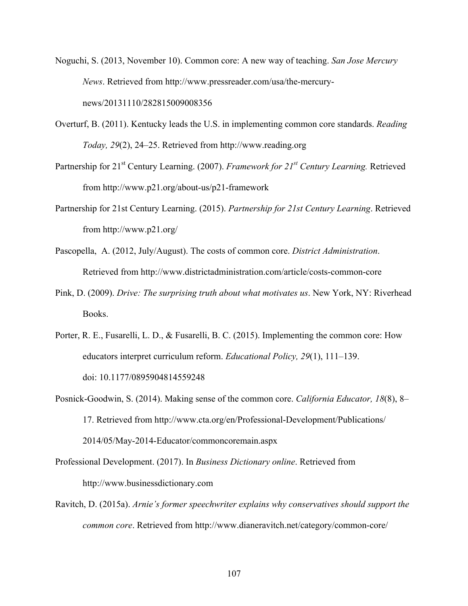- Noguchi, S. (2013, November 10). Common core: A new way of teaching. *San Jose Mercury News*. Retrieved from http://www.pressreader.com/usa/the-mercurynews/20131110/282815009008356
- Overturf, B. (2011). Kentucky leads the U.S. in implementing common core standards. *Reading Today, 29*(2), 24–25. Retrieved from http://www.reading.org
- Partnership for 21st Century Learning. (2007). *Framework for 21st Century Learning.* Retrieved from http://www.p21.org/about-us/p21-framework
- Partnership for 21st Century Learning. (2015). *Partnership for 21st Century Learning*. Retrieved from http://www.p21.org/
- Pascopella, A. (2012, July/August). The costs of common core. *District Administration*. Retrieved from http://www.districtadministration.com/article/costs-common-core
- Pink, D. (2009). *Drive: The surprising truth about what motivates us*. New York, NY: Riverhead Books.
- Porter, R. E., Fusarelli, L. D., & Fusarelli, B. C. (2015). Implementing the common core: How educators interpret curriculum reform. *Educational Policy, 29*(1), 111–139. doi: 10.1177/0895904814559248
- Posnick-Goodwin, S. (2014). Making sense of the common core. *California Educator, 18*(8), 8– 17. Retrieved from http://www.cta.org/en/Professional-Development/Publications/ 2014/05/May-2014-Educator/commoncoremain.aspx
- Professional Development. (2017). In *Business Dictionary online*. Retrieved from http://www.businessdictionary.com
- Ravitch, D. (2015a). *Arnie's former speechwriter explains why conservatives should support the common core*. Retrieved from http://www.dianeravitch.net/category/common-core/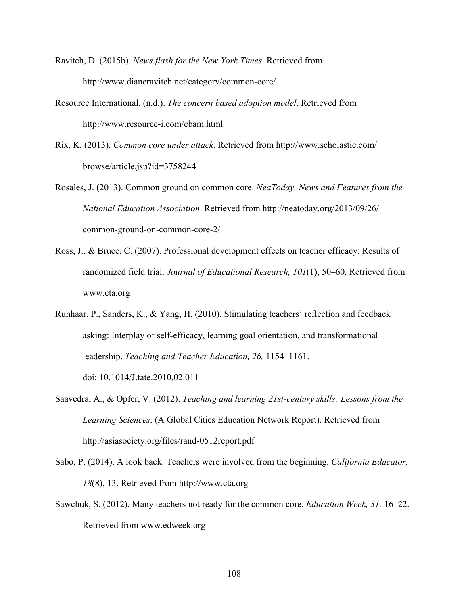Ravitch, D. (2015b). *News flash for the New York Times*. Retrieved from http://www.dianeravitch.net/category/common-core/

- Resource International. (n.d.). *The concern based adoption model*. Retrieved from http://www.resource-i.com/cbam.html
- Rix, K. (2013). *Common core under attack*. Retrieved from http://www.scholastic.com/ browse/article.jsp?id=3758244
- Rosales, J. (2013). Common ground on common core. *NeaToday, News and Features from the National Education Association*. Retrieved from http://neatoday.org/2013/09/26/ common-ground-on-common-core-2/
- Ross, J., & Bruce, C. (2007). Professional development effects on teacher efficacy: Results of randomized field trial. *Journal of Educational Research, 101*(1), 50–60. Retrieved from www.cta.org
- Runhaar, P., Sanders, K., & Yang, H. (2010). Stimulating teachers' reflection and feedback asking: Interplay of self-efficacy, learning goal orientation, and transformational leadership. *Teaching and Teacher Education, 26,* 1154–1161. doi: 10.1014/J.tate.2010.02.011
- Saavedra, A., & Opfer, V. (2012). *Teaching and learning 21st-century skills: Lessons from the Learning Sciences*. (A Global Cities Education Network Report). Retrieved from http://asiasociety.org/files/rand-0512report.pdf
- Sabo, P. (2014). A look back: Teachers were involved from the beginning. *California Educator, 18*(8), 13. Retrieved from http://www.cta.org
- Sawchuk, S. (2012). Many teachers not ready for the common core. *Education Week, 31,* 16–22. Retrieved from www.edweek.org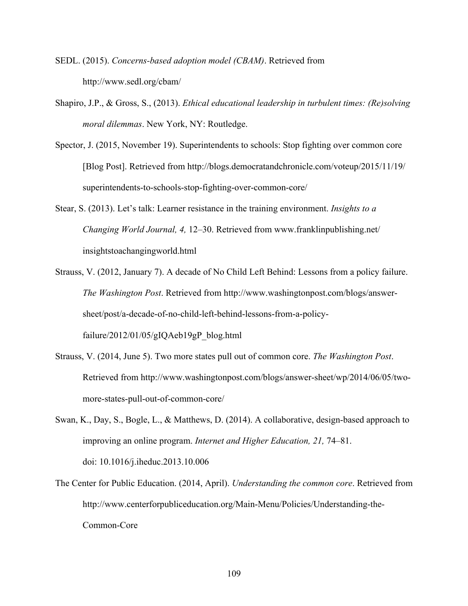- SEDL. (2015). *Concerns-based adoption model (CBAM)*. Retrieved from http://www.sedl.org/cbam/
- Shapiro, J.P., & Gross, S., (2013). *Ethical educational leadership in turbulent times: (Re)solving moral dilemmas*. New York, NY: Routledge.
- Spector, J. (2015, November 19). Superintendents to schools: Stop fighting over common core [Blog Post]. Retrieved from http://blogs.democratandchronicle.com/voteup/2015/11/19/ superintendents-to-schools-stop-fighting-over-common-core/
- Stear, S. (2013). Let's talk: Learner resistance in the training environment. *Insights to a Changing World Journal, 4,* 12–30. Retrieved from www.franklinpublishing.net/ insightstoachangingworld.html
- Strauss, V. (2012, January 7). A decade of No Child Left Behind: Lessons from a policy failure. *The Washington Post*. Retrieved from http://www.washingtonpost.com/blogs/answersheet/post/a-decade-of-no-child-left-behind-lessons-from-a-policyfailure/2012/01/05/gIQAeb19gP\_blog.html
- Strauss, V. (2014, June 5). Two more states pull out of common core. *The Washington Post*. Retrieved from http://www.washingtonpost.com/blogs/answer-sheet/wp/2014/06/05/twomore-states-pull-out-of-common-core/
- Swan, K., Day, S., Bogle, L., & Matthews, D. (2014). A collaborative, design-based approach to improving an online program. *Internet and Higher Education, 21,* 74–81. doi: 10.1016/j.iheduc.2013.10.006
- The Center for Public Education. (2014, April). *Understanding the common core*. Retrieved from http://www.centerforpubliceducation.org/Main-Menu/Policies/Understanding-the-Common-Core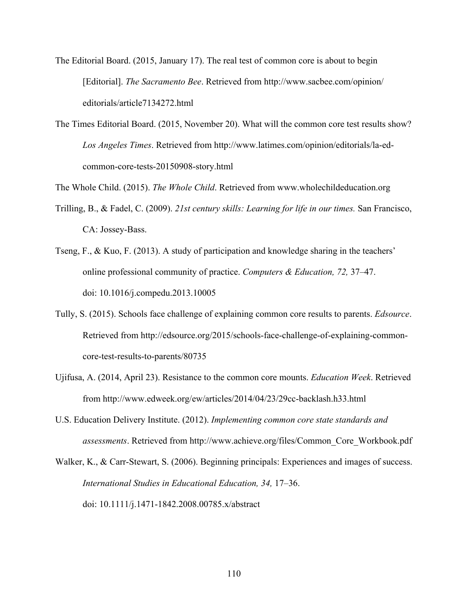The Editorial Board. (2015, January 17). The real test of common core is about to begin [Editorial]. *The Sacramento Bee*. Retrieved from http://www.sacbee.com/opinion/ editorials/article7134272.html

The Times Editorial Board. (2015, November 20). What will the common core test results show? *Los Angeles Times*. Retrieved from http://www.latimes.com/opinion/editorials/la-edcommon-core-tests-20150908-story.html

The Whole Child. (2015). *The Whole Child*. Retrieved from www.wholechildeducation.org

- Trilling, B., & Fadel, C. (2009). *21st century skills: Learning for life in our times.* San Francisco, CA: Jossey-Bass.
- Tseng, F., & Kuo, F. (2013). A study of participation and knowledge sharing in the teachers' online professional community of practice. *Computers & Education, 72,* 37–47. doi: 10.1016/j.compedu.2013.10005
- Tully, S. (2015). Schools face challenge of explaining common core results to parents. *Edsource*. Retrieved from http://edsource.org/2015/schools-face-challenge-of-explaining-commoncore-test-results-to-parents/80735
- Ujifusa, A. (2014, April 23). Resistance to the common core mounts. *Education Week*. Retrieved from http://www.edweek.org/ew/articles/2014/04/23/29cc-backlash.h33.html
- U.S. Education Delivery Institute. (2012). *Implementing common core state standards and assessments*. Retrieved from http://www.achieve.org/files/Common\_Core\_Workbook.pdf

Walker, K., & Carr-Stewart, S. (2006). Beginning principals: Experiences and images of success. *International Studies in Educational Education, 34,* 17–36. doi: 10.1111/j.1471-1842.2008.00785.x/abstract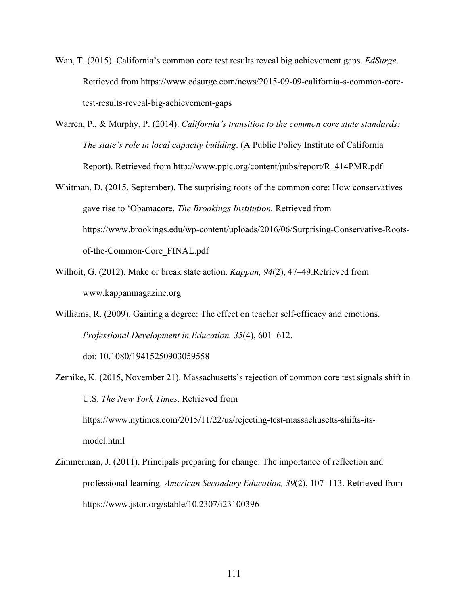- Wan, T. (2015). California's common core test results reveal big achievement gaps. *EdSurge*. Retrieved from https://www.edsurge.com/news/2015-09-09-california-s-common-coretest-results-reveal-big-achievement-gaps
- Warren, P., & Murphy, P. (2014). *California's transition to the common core state standards: The state's role in local capacity building*. (A Public Policy Institute of California Report). Retrieved from http://www.ppic.org/content/pubs/report/R\_414PMR.pdf
- Whitman, D. (2015, September). The surprising roots of the common core: How conservatives gave rise to 'Obamacore. *The Brookings Institution.* Retrieved from https://www.brookings.edu/wp-content/uploads/2016/06/Surprising-Conservative-Rootsof-the-Common-Core\_FINAL.pdf
- Wilhoit, G. (2012). Make or break state action. *Kappan, 94*(2), 47–49.Retrieved from www.kappanmagazine.org
- Williams, R. (2009). Gaining a degree: The effect on teacher self-efficacy and emotions. *Professional Development in Education, 35*(4), 601–612.

doi: 10.1080/19415250903059558

- Zernike, K. (2015, November 21). Massachusetts's rejection of common core test signals shift in U.S. *The New York Times*. Retrieved from https://www.nytimes.com/2015/11/22/us/rejecting-test-massachusetts-shifts-itsmodel.html
- Zimmerman, J. (2011). Principals preparing for change: The importance of reflection and professional learning. *American Secondary Education, 39*(2), 107–113. Retrieved from https://www.jstor.org/stable/10.2307/i23100396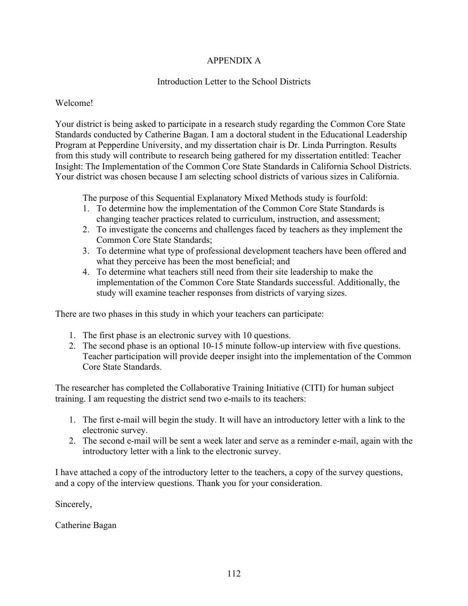# APPENDIX A

## Introduction Letter to the School Districts

## Welcome!

Your district is being asked to participate in a research study regarding the Common Core State Standards conducted by Catherine Bagan. I am a doctoral student in the Educational Leadership Program at Pepperdine University, and my dissertation chair is Dr. Linda Purrington. Results from this study will contribute to research being gathered for my dissertation entitled: Teacher Insight: The Implementation of the Common Core State Standards in California School Districts. Your district was chosen because I am selecting school districts of various sizes in California.

The purpose of this Sequential Explanatory Mixed Methods study is fourfold:

- 1. To determine how the implementation of the Common Core State Standards is changing teacher practices related to curriculum, instruction, and assessment;
- 2. To investigate the concerns and challenges faced by teachers as they implement the Common Core State Standards;
- 3. To determine what type of professional development teachers have been offered and what they perceive has been the most beneficial; and
- 4. To determine what teachers still need from their site leadership to make the implementation of the Common Core State Standards successful. Additionally, the study will examine teacher responses from districts of varying sizes.

There are two phases in this study in which your teachers can participate:

- 1. The first phase is an electronic survey with 10 questions.
- 2. The second phase is an optional 10-15 minute follow-up interview with five questions. Teacher participation will provide deeper insight into the implementation of the Common Core State Standards.

The researcher has completed the Collaborative Training Initiative (CITI) for human subject training. I am requesting the district send two e-mails to its teachers:

- 1. The first e-mail will begin the study. It will have an introductory letter with a link to the electronic survey.
- 2. The second e-mail will be sent a week later and serve as a reminder e-mail, again with the introductory letter with a link to the electronic survey.

I have attached a copy of the introductory letter to the teachers, a copy of the survey questions, and a copy of the interview questions. Thank you for your consideration.

Sincerely,

Catherine Bagan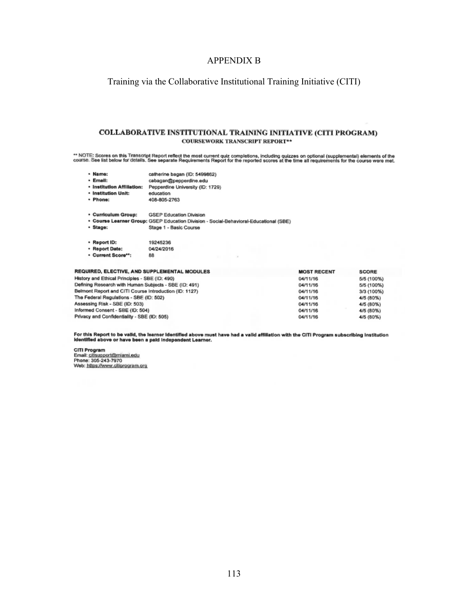### APPENDIX B

Training via the Collaborative Institutional Training Initiative (CITI)

### **COLLABORATIVE INSTITUTIONAL TRAINING INITIATIVE (CITI PROGRAM) COURSEWORK TRANSCRIPT REPORT\*\***

\*\* NOTE: Scores on this Transcript Report reflect the most current quiz completions, including quizzes on optional (supplemental) elements of the<br>course. See list below for details. See separate Requirements Report for the

|                                                                                                                 | <b><i>PERSONAL</i></b>         | camente pagan (ILI: depapor)                                                          |                    |  |
|-----------------------------------------------------------------------------------------------------------------|--------------------------------|---------------------------------------------------------------------------------------|--------------------|--|
|                                                                                                                 | · Email:                       | cabagan@pepperdine.edu                                                                |                    |  |
|                                                                                                                 | · Institution Affiliation:     | Pepperdine University (ID: 1729)                                                      |                    |  |
|                                                                                                                 | · Institution Unit:            | education                                                                             |                    |  |
|                                                                                                                 | · Phone:                       | 408-805-2763                                                                          |                    |  |
|                                                                                                                 | <b>• Curriculum Group:</b>     | <b>GSEP Education Division</b>                                                        |                    |  |
|                                                                                                                 |                                | * Course Learner Group: GSEP Education Division - Social-Behavioral-Educational (SBE) |                    |  |
|                                                                                                                 | · Stage:                       | Stage 1 - Basic Course                                                                |                    |  |
|                                                                                                                 | <b>Report ID:</b>              | 19245236                                                                              |                    |  |
|                                                                                                                 | · Report Date:                 | 04/24/2016                                                                            |                    |  |
|                                                                                                                 | Current Score**:               | 88                                                                                    |                    |  |
|                                                                                                                 |                                | REQUIRED, ELECTIVE, AND SUPPLEMENTAL MODULES                                          | <b>MOST RECENT</b> |  |
| History and Ethical Principles - SBE (ID: 490)                                                                  | 04/11/16                       |                                                                                       |                    |  |
|                                                                                                                 | 04/11/16                       |                                                                                       |                    |  |
| Defining Research with Human Subjects - SBE (ID: 491)<br>Belmont Report and CITI Course Introduction (ID: 1127) |                                |                                                                                       | 04/11/16           |  |
| The Federal Regulations - SBE (ID: 502)                                                                         | 04/11/16                       |                                                                                       |                    |  |
|                                                                                                                 | 04/11/16                       |                                                                                       |                    |  |
|                                                                                                                 | Assessing Risk - SBE (ID: 503) |                                                                                       |                    |  |

collection homes (IP), Exponenty

For this Report to be valid, the learner identified above must have had a valid affiliation with the CITI Program subscribing institution<br>Identified above or have been a paid independent Learner.

SCORE

5/5 (100%)

5/5 (100%)

3/3 (100%)  $4/5(80%)$ 

4/5 (80%)

4/5 (80%)

4/5 (80%)

04/11/16

04/11/16

CITI Program<br>Email: citisupport@miami.edu<br>Phone: 305-243-7970 Web: https://www.citiprogram.org

Informed Consent - SBE (ID: 504)

Privacy and Confidentiality - SBE (ID: 505)

- Massac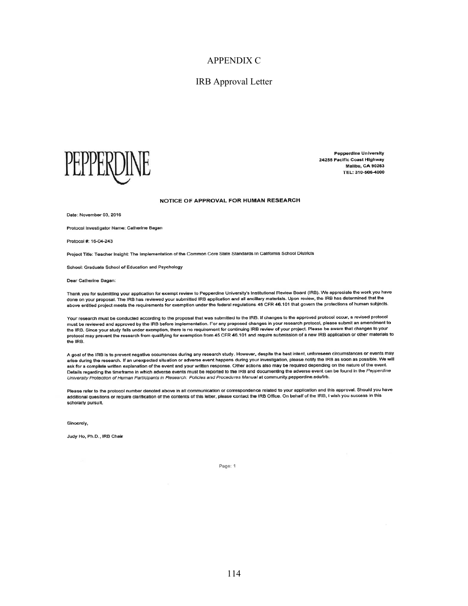### APPENDIX C

### IRB Approval Letter



**Pepperdine University** 24255 Pacific Coast Highway **Malibu, CA 90263** TEL: 310-506-4000

#### NOTICE OF APPROVAL FOR HUMAN RESEARCH

Date: November 03, 2016

Protocol Investigator Name: Catherine Bagan

Protocol #: 16-04-243

Project Title: Teacher Insight: The Implementation of the Common Core State Standards in California School Districts

School: Graduate School of Education and Psychology

Dear Catherine Bagan:

Thank you for submitting your application for exempt review to Pepperdine University's Institutional Review Board (IRB). We appreciate the work you have done on you for submitting your application for example to the preparation and all ancillary materials. Upon review, the IRB has determined that the<br>done on your proposal. The IRB has reviewed your submitted IRB applicatio

Your research must be conducted according to the proposal that was submitted to the IRB. If changes to the approved protocol occur, a revised protocol Tour covers and approved by the IRB before implementation. For any proposed changes in your research protocol, please submit an amendment to the IRB. Since your study falls under exemption, there is no requirement for continuing IRB review of your project. Please be aware that changes to your protocol may prevent the research from qualifying for exemption from 45 CFR 46.101 and require submission of a new IRB application or other materials to the IRB.

A goal of the IRB is to prevent negative occurrences during any research study. However, despite the best intent, unforeseen circumstances or events may reserving the research. If an unexpected situation or adverse event happens during your investigation, please notify the IRB as soon as possible. We will ask for a complete written explanation of the event and your written response. Other actions also may be required depending on the nature of the event. son will be advertised in which adverse events must be reported to the IRB and documenting the adverse event can be found in the Pepperdine University Protection of Human Participants in Research: Policies and Procedures Manual at community pepperdine edu/irb.

Please refer to the protocol number denoted above in all communication or correspondence related to your application and this approval. Should you have r cover once to the process in the contents of this letter, please contact the IRB Office. On behalf of the IRB, I wish you success in this scholarly pursuit.

Sincerely,

Judy Ho, Ph.D., IRB Chair

Page: 1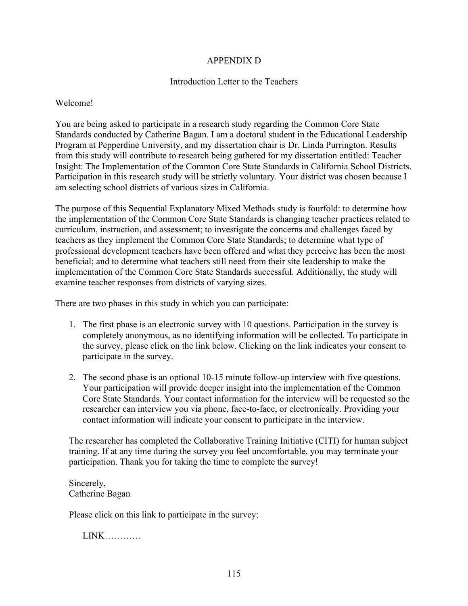## APPENDIX D

### Introduction Letter to the Teachers

### Welcome!

You are being asked to participate in a research study regarding the Common Core State Standards conducted by Catherine Bagan. I am a doctoral student in the Educational Leadership Program at Pepperdine University, and my dissertation chair is Dr. Linda Purrington. Results from this study will contribute to research being gathered for my dissertation entitled: Teacher Insight: The Implementation of the Common Core State Standards in California School Districts. Participation in this research study will be strictly voluntary. Your district was chosen because I am selecting school districts of various sizes in California.

The purpose of this Sequential Explanatory Mixed Methods study is fourfold: to determine how the implementation of the Common Core State Standards is changing teacher practices related to curriculum, instruction, and assessment; to investigate the concerns and challenges faced by teachers as they implement the Common Core State Standards; to determine what type of professional development teachers have been offered and what they perceive has been the most beneficial; and to determine what teachers still need from their site leadership to make the implementation of the Common Core State Standards successful. Additionally, the study will examine teacher responses from districts of varying sizes.

There are two phases in this study in which you can participate:

- 1. The first phase is an electronic survey with 10 questions. Participation in the survey is completely anonymous, as no identifying information will be collected. To participate in the survey, please click on the link below. Clicking on the link indicates your consent to participate in the survey.
- 2. The second phase is an optional 10-15 minute follow-up interview with five questions. Your participation will provide deeper insight into the implementation of the Common Core State Standards. Your contact information for the interview will be requested so the researcher can interview you via phone, face-to-face, or electronically. Providing your contact information will indicate your consent to participate in the interview.

The researcher has completed the Collaborative Training Initiative (CITI) for human subject training. If at any time during the survey you feel uncomfortable, you may terminate your participation. Thank you for taking the time to complete the survey!

Sincerely, Catherine Bagan

Please click on this link to participate in the survey:

LINK…………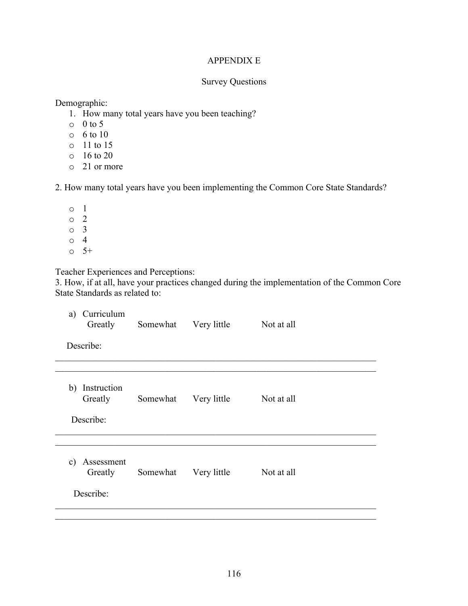## APPENDIX E

## Survey Questions

Demographic:

- 1. How many total years have you been teaching?
- $\circ$  0 to 5
- o 6 to 10
- o 11 to 15
- o 16 to 20
- o 21 or more

2. How many total years have you been implementing the Common Core State Standards?

- o 1 o 2 o 3 o 4
- $0 \t 5^+$

Teacher Experiences and Perceptions:

3. How, if at all, have your practices changed during the implementation of the Common Core State Standards as related to:

| Curriculum<br>a)<br>Greatly                         | Somewhat | Very little | Not at all |  |
|-----------------------------------------------------|----------|-------------|------------|--|
| Describe:                                           |          |             |            |  |
|                                                     |          |             |            |  |
| Instruction<br>b)<br>Greatly<br>Describe:           | Somewhat | Very little | Not at all |  |
|                                                     |          |             |            |  |
| Assessment<br>$\mathbf{c})$<br>Greatly<br>Describe: | Somewhat | Very little | Not at all |  |
|                                                     |          |             |            |  |
|                                                     |          |             |            |  |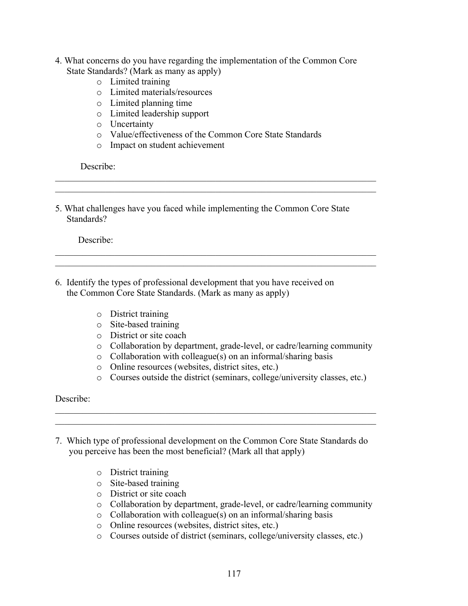- 4. What concerns do you have regarding the implementation of the Common Core State Standards? (Mark as many as apply)
	- o Limited training
	- o Limited materials/resources
	- o Limited planning time
	- o Limited leadership support
	- o Uncertainty
	- o Value/effectiveness of the Common Core State Standards

 $\mathcal{L}_\text{max} = \mathcal{L}_\text{max} = \mathcal{L}_\text{max} = \mathcal{L}_\text{max} = \mathcal{L}_\text{max} = \mathcal{L}_\text{max} = \mathcal{L}_\text{max} = \mathcal{L}_\text{max} = \mathcal{L}_\text{max} = \mathcal{L}_\text{max} = \mathcal{L}_\text{max} = \mathcal{L}_\text{max} = \mathcal{L}_\text{max} = \mathcal{L}_\text{max} = \mathcal{L}_\text{max} = \mathcal{L}_\text{max} = \mathcal{L}_\text{max} = \mathcal{L}_\text{max} = \mathcal{$  $\mathcal{L}_\text{max} = \mathcal{L}_\text{max} = \mathcal{L}_\text{max} = \mathcal{L}_\text{max} = \mathcal{L}_\text{max} = \mathcal{L}_\text{max} = \mathcal{L}_\text{max} = \mathcal{L}_\text{max} = \mathcal{L}_\text{max} = \mathcal{L}_\text{max} = \mathcal{L}_\text{max} = \mathcal{L}_\text{max} = \mathcal{L}_\text{max} = \mathcal{L}_\text{max} = \mathcal{L}_\text{max} = \mathcal{L}_\text{max} = \mathcal{L}_\text{max} = \mathcal{L}_\text{max} = \mathcal{$ 

 $\mathcal{L}_\mathcal{L} = \mathcal{L}_\mathcal{L} = \mathcal{L}_\mathcal{L} = \mathcal{L}_\mathcal{L} = \mathcal{L}_\mathcal{L} = \mathcal{L}_\mathcal{L} = \mathcal{L}_\mathcal{L} = \mathcal{L}_\mathcal{L} = \mathcal{L}_\mathcal{L} = \mathcal{L}_\mathcal{L} = \mathcal{L}_\mathcal{L} = \mathcal{L}_\mathcal{L} = \mathcal{L}_\mathcal{L} = \mathcal{L}_\mathcal{L} = \mathcal{L}_\mathcal{L} = \mathcal{L}_\mathcal{L} = \mathcal{L}_\mathcal{L}$  $\mathcal{L}_\mathcal{L} = \mathcal{L}_\mathcal{L} = \mathcal{L}_\mathcal{L} = \mathcal{L}_\mathcal{L} = \mathcal{L}_\mathcal{L} = \mathcal{L}_\mathcal{L} = \mathcal{L}_\mathcal{L} = \mathcal{L}_\mathcal{L} = \mathcal{L}_\mathcal{L} = \mathcal{L}_\mathcal{L} = \mathcal{L}_\mathcal{L} = \mathcal{L}_\mathcal{L} = \mathcal{L}_\mathcal{L} = \mathcal{L}_\mathcal{L} = \mathcal{L}_\mathcal{L} = \mathcal{L}_\mathcal{L} = \mathcal{L}_\mathcal{L}$ 

o Impact on student achievement

Describe:

5. What challenges have you faced while implementing the Common Core State Standards?

Describe:

- 6. Identify the types of professional development that you have received on the Common Core State Standards. (Mark as many as apply)
	- o District training
	- o Site-based training
	- o District or site coach
	- o Collaboration by department, grade-level, or cadre/learning community
	- o Collaboration with colleague(s) on an informal/sharing basis
	- o Online resources (websites, district sites, etc.)
	- o Courses outside the district (seminars, college/university classes, etc.)

Describe:

7. Which type of professional development on the Common Core State Standards do you perceive has been the most beneficial? (Mark all that apply)

 $\mathcal{L}_\mathcal{L} = \mathcal{L}_\mathcal{L} = \mathcal{L}_\mathcal{L} = \mathcal{L}_\mathcal{L} = \mathcal{L}_\mathcal{L} = \mathcal{L}_\mathcal{L} = \mathcal{L}_\mathcal{L} = \mathcal{L}_\mathcal{L} = \mathcal{L}_\mathcal{L} = \mathcal{L}_\mathcal{L} = \mathcal{L}_\mathcal{L} = \mathcal{L}_\mathcal{L} = \mathcal{L}_\mathcal{L} = \mathcal{L}_\mathcal{L} = \mathcal{L}_\mathcal{L} = \mathcal{L}_\mathcal{L} = \mathcal{L}_\mathcal{L}$  $\mathcal{L}_\mathcal{L} = \mathcal{L}_\mathcal{L} = \mathcal{L}_\mathcal{L} = \mathcal{L}_\mathcal{L} = \mathcal{L}_\mathcal{L} = \mathcal{L}_\mathcal{L} = \mathcal{L}_\mathcal{L} = \mathcal{L}_\mathcal{L} = \mathcal{L}_\mathcal{L} = \mathcal{L}_\mathcal{L} = \mathcal{L}_\mathcal{L} = \mathcal{L}_\mathcal{L} = \mathcal{L}_\mathcal{L} = \mathcal{L}_\mathcal{L} = \mathcal{L}_\mathcal{L} = \mathcal{L}_\mathcal{L} = \mathcal{L}_\mathcal{L}$ 

- o District training
- o Site-based training
- o District or site coach
- o Collaboration by department, grade-level, or cadre/learning community
- o Collaboration with colleague(s) on an informal/sharing basis
- o Online resources (websites, district sites, etc.)
- o Courses outside of district (seminars, college/university classes, etc.)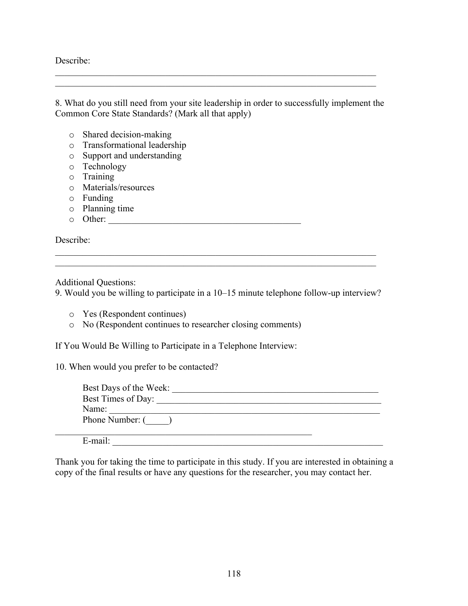Describe:

8. What do you still need from your site leadership in order to successfully implement the Common Core State Standards? (Mark all that apply)

 $\mathcal{L}_\text{max} = \mathcal{L}_\text{max} = \mathcal{L}_\text{max} = \mathcal{L}_\text{max} = \mathcal{L}_\text{max} = \mathcal{L}_\text{max} = \mathcal{L}_\text{max} = \mathcal{L}_\text{max} = \mathcal{L}_\text{max} = \mathcal{L}_\text{max} = \mathcal{L}_\text{max} = \mathcal{L}_\text{max} = \mathcal{L}_\text{max} = \mathcal{L}_\text{max} = \mathcal{L}_\text{max} = \mathcal{L}_\text{max} = \mathcal{L}_\text{max} = \mathcal{L}_\text{max} = \mathcal{$  $\mathcal{L}_\text{max} = \mathcal{L}_\text{max} = \mathcal{L}_\text{max} = \mathcal{L}_\text{max} = \mathcal{L}_\text{max} = \mathcal{L}_\text{max} = \mathcal{L}_\text{max} = \mathcal{L}_\text{max} = \mathcal{L}_\text{max} = \mathcal{L}_\text{max} = \mathcal{L}_\text{max} = \mathcal{L}_\text{max} = \mathcal{L}_\text{max} = \mathcal{L}_\text{max} = \mathcal{L}_\text{max} = \mathcal{L}_\text{max} = \mathcal{L}_\text{max} = \mathcal{L}_\text{max} = \mathcal{$ 

- o Shared decision-making
- o Transformational leadership
- o Support and understanding
- o Technology
- o Training
- o Materials/resources
- o Funding
- o Planning time
- o Other: \_\_\_\_\_\_\_\_\_\_\_\_\_\_\_\_\_\_\_\_\_\_\_\_\_\_\_\_\_\_\_\_\_\_\_\_\_\_\_\_\_\_

Describe:

Additional Questions:

9. Would you be willing to participate in a 10–15 minute telephone follow-up interview?

 $\mathcal{L}_\mathcal{L} = \mathcal{L}_\mathcal{L} = \mathcal{L}_\mathcal{L} = \mathcal{L}_\mathcal{L} = \mathcal{L}_\mathcal{L} = \mathcal{L}_\mathcal{L} = \mathcal{L}_\mathcal{L} = \mathcal{L}_\mathcal{L} = \mathcal{L}_\mathcal{L} = \mathcal{L}_\mathcal{L} = \mathcal{L}_\mathcal{L} = \mathcal{L}_\mathcal{L} = \mathcal{L}_\mathcal{L} = \mathcal{L}_\mathcal{L} = \mathcal{L}_\mathcal{L} = \mathcal{L}_\mathcal{L} = \mathcal{L}_\mathcal{L}$  $\mathcal{L}_\mathcal{L} = \mathcal{L}_\mathcal{L} = \mathcal{L}_\mathcal{L} = \mathcal{L}_\mathcal{L} = \mathcal{L}_\mathcal{L} = \mathcal{L}_\mathcal{L} = \mathcal{L}_\mathcal{L} = \mathcal{L}_\mathcal{L} = \mathcal{L}_\mathcal{L} = \mathcal{L}_\mathcal{L} = \mathcal{L}_\mathcal{L} = \mathcal{L}_\mathcal{L} = \mathcal{L}_\mathcal{L} = \mathcal{L}_\mathcal{L} = \mathcal{L}_\mathcal{L} = \mathcal{L}_\mathcal{L} = \mathcal{L}_\mathcal{L}$ 

- o Yes (Respondent continues)
- o No (Respondent continues to researcher closing comments)

If You Would Be Willing to Participate in a Telephone Interview:

10. When would you prefer to be contacted?

| Best Days of the Week: |
|------------------------|
| Best Times of Day:     |
| Name:                  |
| Phone Number: (        |
| E-mail:                |

Thank you for taking the time to participate in this study. If you are interested in obtaining a copy of the final results or have any questions for the researcher, you may contact her.